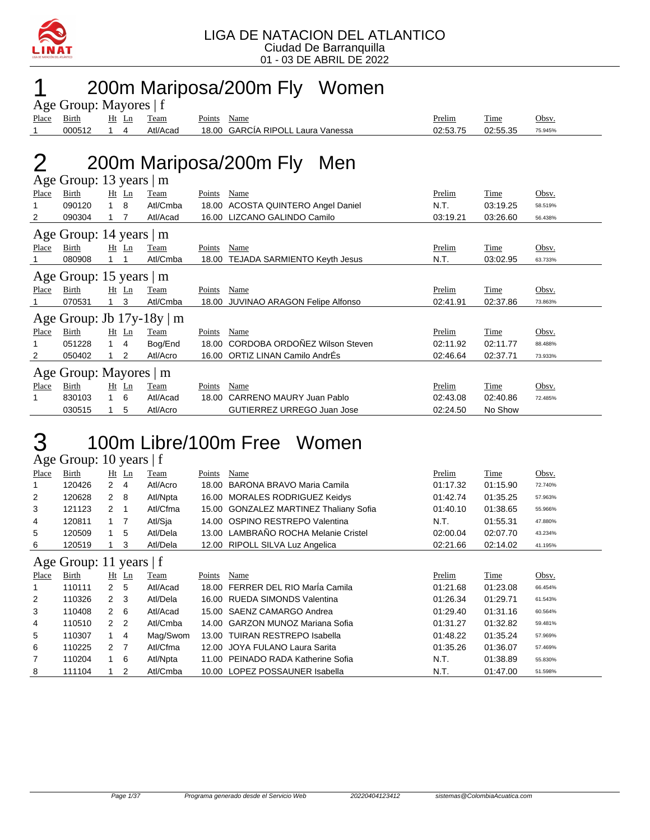

### 1 200m Mariposa/200m Fly Women

|              | Age Group: Mayores   f        |              |         |                                |        |                                     |          |             |         |
|--------------|-------------------------------|--------------|---------|--------------------------------|--------|-------------------------------------|----------|-------------|---------|
| Place        | <b>Birth</b>                  |              | $Ht$ Ln | Team                           | Points | Name                                | Prelim   | Time        | Obsv.   |
|              | 000512                        | 1            | 4       | Atl/Acad                       | 18.00  | <b>GARCIA RIPOLL Laura Vanessa</b>  | 02:53.75 | 02:55.35    | 75.945% |
|              |                               |              |         |                                |        |                                     |          |             |         |
|              |                               |              |         |                                |        | 200m Mariposa/200m Fly<br>Men       |          |             |         |
|              | Age Group: 13 years $\vert$ m |              |         |                                |        |                                     |          |             |         |
| Place        | <b>Birth</b>                  |              | $Ht$ Ln | Team                           | Points | Name                                | Prelim   | Time        | Obsv.   |
|              | 090120                        | $\mathbf{1}$ | 8       | Atl/Cmba                       |        | 18.00 ACOSTA QUINTERO Angel Daniel  | N.T.     | 03:19.25    | 58.519% |
| 2            | 090304                        | 1            | 7       | Atl/Acad                       |        | 16.00 LIZCANO GALINDO Camilo        | 03:19.21 | 03:26.60    | 56.438% |
|              | Age Group: 14 years   m       |              |         |                                |        |                                     |          |             |         |
| Place        | Birth                         |              | $Ht$ Ln | Team                           | Points | Name                                | Prelim   | Time        | Obsv.   |
|              | 080908                        |              |         | Atl/Cmba                       | 18.00  | TEJADA SARMIENTO Keyth Jesus        | N.T.     | 03:02.95    | 63.733% |
|              | Age Group: 15 years $ m$      |              |         |                                |        |                                     |          |             |         |
| Place        | Birth                         |              | $Ht$ Ln | Team                           | Points | Name                                | Prelim   | Time        | Obsv.   |
|              | 070531                        | 1            | 3       | Atl/Cmba                       |        | 18.00 JUVINAO ARAGON Felipe Alfonso | 02:41.91 | 02:37.86    | 73.863% |
|              |                               |              |         | Age Group: Jb $17y-18y \mid m$ |        |                                     |          |             |         |
| Place        | Birth                         |              | $Ht$ Ln | Team                           | Points | Name                                | Prelim   | Time        | Obsv.   |
| 1            | 051228                        | 1            | 4       | Bog/End                        |        | 18.00 CORDOBA ORDOÑEZ Wilson Steven | 02:11.92 | 02:11.77    | 88.488% |
| 2            | 050402                        |              | 2       | Atl/Acro                       |        | 16.00 ORTIZ LINAN Camilo AndrÉs     | 02:46.64 | 02:37.71    | 73.933% |
|              | Age Group: Mayores   m        |              |         |                                |        |                                     |          |             |         |
| <b>Place</b> | Birth                         |              | $Ht$ Ln | Team                           | Points | Name                                | Prelim   | <b>Time</b> | Obsv.   |
| 1            | 830103                        |              | 6       | Atl/Acad                       | 18.00  | CARRENO MAURY Juan Pablo            | 02:43.08 | 02:40.86    | 72.485% |
|              | 030515                        | 1            | 5       | Atl/Acro                       |        | GUTIERREZ URREGO Juan Jose          | 02:24.50 | No Show     |         |

### 3 100m Libre/100m Free Women

Age Group: 10 years | f

| Place          | Birth                     | Ht                   | Ln             | Team     | Points | Name                                    | Prelim   | Time     | Obsv.   |
|----------------|---------------------------|----------------------|----------------|----------|--------|-----------------------------------------|----------|----------|---------|
| 1              | 120426                    | $\overline{2}$       | 4              | Atl/Acro | 18.00  | BARONA BRAVO Maria Camila               | 01:17.32 | 01:15.90 | 72.740% |
| 2              | 120628                    | $\mathbf{2}$         | 8              | Atl/Npta |        | 16.00 MORALES RODRIGUEZ Keidys          | 01:42.74 | 01:35.25 | 57.963% |
| 3              | 121123                    | 2                    | $\mathbf 1$    | Atl/Cfma | 15.00  | <b>GONZALEZ MARTINEZ Thaliany Sofia</b> | 01:40.10 | 01:38.65 | 55.966% |
| 4              | 120811                    | 1 7                  |                | Atl/Sja  | 14.00  | OSPINO RESTREPO Valentina               | N.T.     | 01:55.31 | 47.880% |
| 5              | 120509                    |                      | 5              | Atl/Dela |        | 13.00 LAMBRAÑO ROCHA Melanie Cristel    | 02:00.04 | 02:07.70 | 43.234% |
| 6              | 120519                    |                      | 3              | Atl/Dela |        | 12.00 RIPOLL SILVA Luz Angelica         | 02:21.66 | 02:14.02 | 41.195% |
|                | Age Group: 11 years $ f $ |                      |                |          |        |                                         |          |          |         |
| Place          | Birth                     |                      | $Ht$ Ln        | Team     | Points | Name                                    | Prelim   | Time     | Obsv.   |
| 1              | 110111                    | $\mathbf{2}$         | 5              | Atl/Acad | 18.00  | FERRER DEL RIO María Camila             | 01:21.68 | 01:23.08 | 66.454% |
| 2              | 110326                    | $\mathbf{2}$         | 3              | Atl/Dela | 16.00  | <b>RUEDA SIMONDS Valentina</b>          | 01:26.34 | 01:29.71 | 61.543% |
| 3              | 110408                    | $\mathbf{2}$         | - 6            | Atl/Acad |        | 15.00 SAENZ CAMARGO Andrea              | 01:29.40 | 01:31.16 | 60.564% |
| 4              | 110510                    | 2 <sub>2</sub>       |                | Atl/Cmba |        | 14.00 GARZON MUNOZ Mariana Sofia        | 01:31.27 | 01:32.82 | 59.481% |
| 5              | 110307                    | 1                    | $\overline{4}$ | Mag/Swom |        | 13.00 TUIRAN RESTREPO Isabella          | 01:48.22 | 01:35.24 | 57.969% |
| 6              | 110225                    | $\mathbf{2}^{\circ}$ | 7              | Atl/Cfma | 12.00  | JOYA FULANO Laura Sarita                | 01:35.26 | 01:36.07 | 57.469% |
| $\overline{7}$ | 110204                    |                      | 6              | Atl/Npta | 11.00  | PEINADO RADA Katherine Sofia            | N.T.     | 01:38.89 | 55.830% |
| 8              | 111104                    |                      | 2              | Atl/Cmba |        | 10.00 LOPEZ POSSAUNER Isabella          | N.T.     | 01:47.00 | 51.598% |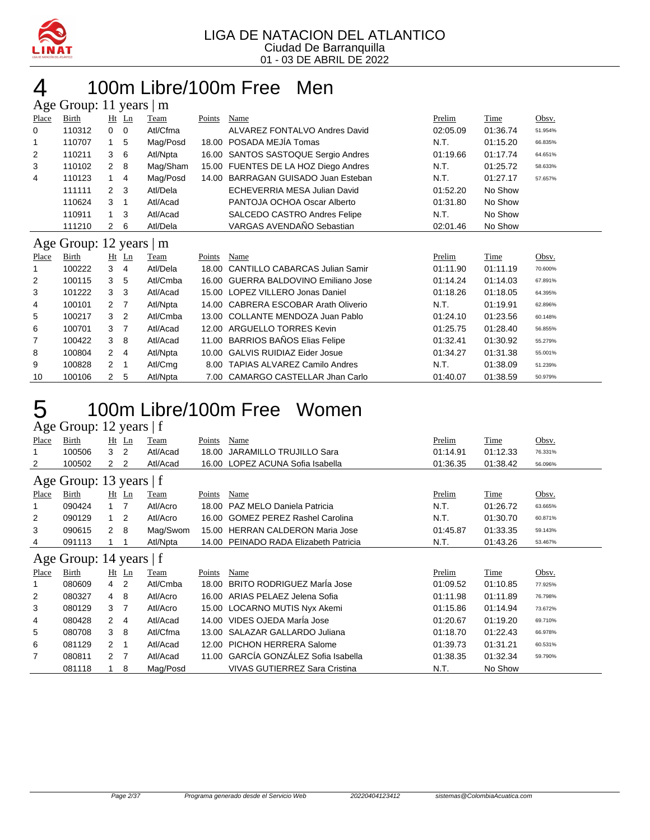

#### 100m Libre/100m Free Men ars  $41$  years  $11$

|                | Age Group. 11 years   III     |                      |                |          |        |                                       |          |          |         |
|----------------|-------------------------------|----------------------|----------------|----------|--------|---------------------------------------|----------|----------|---------|
| Place          | Birth                         |                      | $Ht$ Ln        | Team     | Points | Name                                  | Prelim   | Time     | Obsv.   |
| 0              | 110312                        | 0                    | 0              | Atl/Cfma |        | ALVAREZ FONTALVO Andres David         | 02:05.09 | 01:36.74 | 51.954% |
| 1              | 110707                        |                      | 5              | Mag/Posd | 18.00  | POSADA MEJÍA Tomas                    | N.T.     | 01:15.20 | 66.835% |
| $\overline{2}$ | 110211                        | 3                    | 6              | Atl/Npta |        | 16.00 SANTOS SASTOQUE Sergio Andres   | 01:19.66 | 01:17.74 | 64.651% |
| 3              | 110102                        | $\overline{2}$       | 8              | Mag/Sham |        | 15.00 FUENTES DE LA HOZ Diego Andres  | N.T.     | 01:25.72 | 58.633% |
| 4              | 110123                        |                      | 4              | Mag/Posd | 14.00  | BARRAGAN GUISADO Juan Esteban         | N.T.     | 01:27.17 | 57.657% |
|                | 111111                        | 2                    | 3              | Atl/Dela |        | ECHEVERRIA MESA Julian David          | 01:52.20 | No Show  |         |
|                | 110624                        | 3                    | $\mathbf 1$    | Atl/Acad |        | PANTOJA OCHOA Oscar Alberto           | 01:31.80 | No Show  |         |
|                | 110911                        | 1                    | 3              | Atl/Acad |        | <b>SALCEDO CASTRO Andres Felipe</b>   | N.T.     | No Show  |         |
|                | 111210                        | $\mathbf{2}^{\circ}$ | 6              | Atl/Dela |        | VARGAS AVENDAÑO Sebastian             | 02:01.46 | No Show  |         |
|                | Age Group: 12 years $\vert$ m |                      |                |          |        |                                       |          |          |         |
| Place          | Birth                         |                      | $Ht$ Ln        | Team     | Points | Name                                  | Prelim   | Time     | Obsv.   |
| 1              | 100222                        | 3                    | $\overline{4}$ | Atl/Dela | 18.00  | <b>CANTILLO CABARCAS Julian Samir</b> | 01:11.90 | 01:11.19 | 70.600% |
| 2              | 100115                        | 3                    | 5              | Atl/Cmba | 16.00  | <b>GUERRA BALDOVINO Emiliano Jose</b> | 01:14.24 | 01:14.03 | 67.891% |
| 3              | 101222                        | 3                    | 3              | Atl/Acad | 15.00  | LOPEZ VILLERO Jonas Daniel            | 01:18.26 | 01:18.05 | 64.395% |
| 4              | 100101                        | 2                    | 7              | Atl/Npta | 14.00  | <b>CABRERA ESCOBAR Arath Oliverio</b> | N.T.     | 01:19.91 | 62.896% |
| 5              | 100217                        | 3                    | $\overline{2}$ | Atl/Cmba | 13.00  | <b>COLLANTE MENDOZA Juan Pablo</b>    | 01:24.10 | 01:23.56 | 60.148% |
| 6              | 100701                        | 3                    | -7             | Atl/Acad | 12.00  | ARGUELLO TORRES Kevin                 | 01:25.75 | 01:28.40 | 56.855% |
| 7              | 100422                        | 3                    | 8              | Atl/Acad | 11.00  | <b>BARRIOS BAÑOS Elias Felipe</b>     | 01:32.41 | 01:30.92 | 55.279% |
| 8              | 100804                        | 2                    | $\overline{4}$ | Atl/Npta | 10.00  | <b>GALVIS RUIDIAZ Eider Josue</b>     | 01:34.27 | 01:31.38 | 55.001% |
| 9              | 100828                        | 2                    | $\mathbf 1$    | Atl/Cmg  | 8.00   | <b>TAPIAS ALVAREZ Camilo Andres</b>   | N.T.     | 01:38.09 | 51.239% |
| 10             | 100106                        | 2                    | 5              | Atl/Npta | 7.00   | CAMARGO CASTELLAR Jhan Carlo          | 01:40.07 | 01:38.59 | 50.979% |

### 100m Libre/100m Free Women

#### Age Group: 12 years | f

| <b>Place</b> | <b>Birth</b>            |                  | $Ht$ Ln        | <b>Team</b> | <b>Points</b> | Name                                 | Prelim   | <b>Time</b> | Obsv.   |
|--------------|-------------------------|------------------|----------------|-------------|---------------|--------------------------------------|----------|-------------|---------|
| 1            | 100506                  | 3                | 2              | Atl/Acad    | 18.00         | JARAMILLO TRUJILLO Sara              | 01:14.91 | 01:12.33    | 76.331% |
| 2            | 100502                  | $\overline{2}$   | 2              | Atl/Acad    |               | 16.00 LOPEZ ACUNA Sofia Isabella     | 01:36.35 | 01:38.42    | 56.096% |
|              | Age Group: 13 years   f |                  |                |             |               |                                      |          |             |         |
| Place        | Birth                   |                  | $Ht$ Ln        | Team        | Points        | Name                                 | Prelim   | Time        | Obsv.   |
| 1            | 090424                  | $1 \quad 7$      |                | Atl/Acro    | 18.00         | PAZ MELO Daniela Patricia            | N.T.     | 01:26.72    | 63.665% |
| 2            | 090129                  | $\mathbf{1}$     | 2              | Atl/Acro    | 16.00         | <b>GOMEZ PEREZ Rashel Carolina</b>   | N.T.     | 01:30.70    | 60.871% |
| 3            | 090615                  | $\overline{2}$   | 8              | Mag/Swom    | 15.00         | <b>HERRAN CALDERON Maria Jose</b>    | 01:45.87 | 01:33.35    | 59.143% |
| 4            | 091113                  |                  |                | Atl/Npta    | 14.00         | PEINADO RADA Elizabeth Patricia      | N.T.     | 01:43.26    | 53.467% |
|              | Age Group: 14 years   f |                  |                |             |               |                                      |          |             |         |
| Place        | Birth                   |                  | $Ht$ Ln        | Team        | Points        | Name                                 | Prelim   | Time        | Obsv.   |
|              | 080609                  | $4\quad 2$       |                | Atl/Cmba    | 18.00         | <b>BRITO RODRIGUEZ MarÍa Jose</b>    | 01:09.52 | 01:10.85    | 77.925% |
| 2            | 080327                  | 4                | 8              | Atl/Acro    |               | 16.00 ARIAS PELAEZ Jelena Sofia      | 01:11.98 | 01:11.89    | 76.798% |
| 3            | 080129                  | 3 <sub>7</sub>   |                | Atl/Acro    |               | 15.00 LOCARNO MUTIS Nyx Akemi        | 01:15.86 | 01:14.94    | 73.672% |
| 4            | 080428                  | 2                | -4             | Atl/Acad    |               | 14.00 VIDES OJEDA Maria Jose         | 01:20.67 | 01:19.20    | 69.710% |
| 5            | 080708                  | 3                | -8             | Atl/Cfma    |               | 13.00 SALAZAR GALLARDO Juliana       | 01:18.70 | 01:22.43    | 66.978% |
| 6            | 081129                  | 2                | $\overline{1}$ | Atl/Acad    | 12.00         | <b>PICHON HERRERA Salome</b>         | 01:39.73 | 01:31.21    | 60.531% |
| 7            | 080811                  | $2 \overline{7}$ |                | Atl/Acad    | 11.00         | GARCÍA GONZÁLEZ Sofia Isabella       | 01:38.35 | 01:32.34    | 59.790% |
|              | 081118                  |                  | 8              | Mag/Posd    |               | <b>VIVAS GUTIERREZ Sara Cristina</b> | N.T.     | No Show     |         |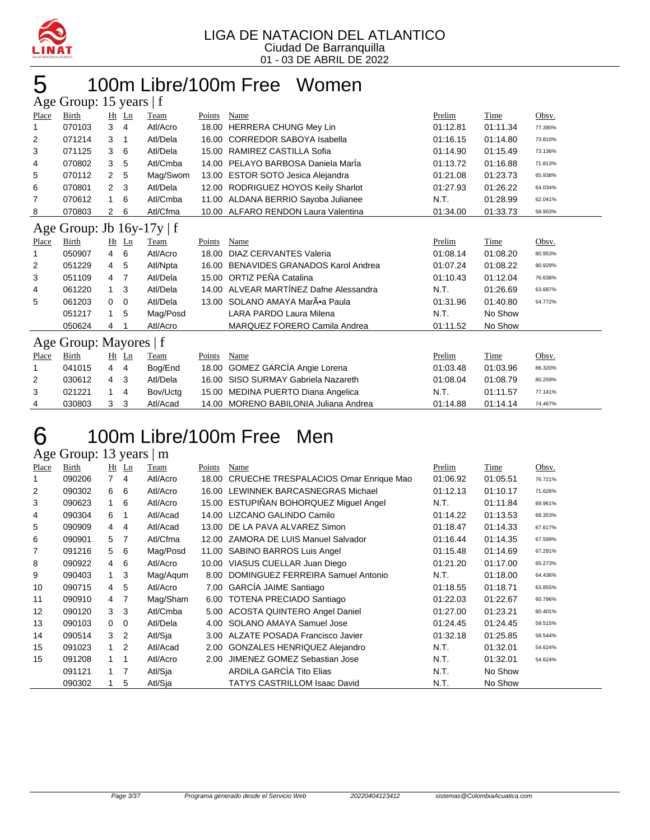

### 100m Libre/100m Free Women

|       | Age Group: 15 years   f        |                |         |          |        |                                        |          |          |         |  |  |
|-------|--------------------------------|----------------|---------|----------|--------|----------------------------------------|----------|----------|---------|--|--|
| Place | Birth                          |                | $Ht$ Ln | Team     | Points | Name                                   | Prelim   | Time     | Obsv.   |  |  |
|       | 070103                         | 3              | 4       | Atl/Acro | 18.00  | <b>HERRERA CHUNG Mey Lin</b>           | 01:12.81 | 01:11.34 | 77.390% |  |  |
| 2     | 071214                         | 3              | 1       | Atl/Dela | 16.00  | <b>CORREDOR SABOYA Isabella</b>        | 01:16.15 | 01:14.80 | 73.810% |  |  |
| 3     | 071125                         | 3              | 6       | Atl/Dela | 15.00  | RAMIREZ CASTILLA Sofia                 | 01:14.90 | 01:15.49 | 73.136% |  |  |
| 4     | 070802                         | 3              | 5       | Atl/Cmba | 14.00  | PELAYO BARBOSA Daniela Marla           | 01:13.72 | 01:16.88 | 71.813% |  |  |
| 5     | 070112                         | 2              | 5       | Mag/Swom | 13.00  | <b>ESTOR SOTO Jesica Alejandra</b>     | 01:21.08 | 01:23.73 | 65.938% |  |  |
| 6     | 070801                         | $\overline{2}$ | 3       | Atl/Dela | 12.00  | RODRIGUEZ HOYOS Keily Sharlot          | 01:27.93 | 01:26.22 | 64.034% |  |  |
| 7     | 070612                         | 1              | 6       | Atl/Cmba | 11.00  | ALDANA BERRIO Sayoba Julianee          | N.T.     | 01:28.99 | 62.041% |  |  |
| 8     | 070803                         | 2              | 6       | Atl/Cfma |        | 10.00 ALFARO RENDON Laura Valentina    | 01:34.00 | 01:33.73 | 58.903% |  |  |
|       | Age Group: Jb $16y-17y \mid f$ |                |         |          |        |                                        |          |          |         |  |  |
| Place | Birth                          |                | Ht Ln   | Team     | Points | Name                                   | Prelim   | Time     | Obsv.   |  |  |
|       | 050907                         | 4              | 6       | Atl/Acro | 18.00  | DIAZ CERVANTES Valeria                 | 01:08.14 | 01:08.20 | 80.953% |  |  |
| 2     | 051229                         | 4              | 5       | Atl/Npta | 16.00  | <b>BENAVIDES GRANADOS Karol Andrea</b> | 01:07.24 | 01:08.22 | 80.929% |  |  |
| 3     | 051109                         | 4              | 7       | Atl/Dela |        | 15.00 ORTIZ PEÑA Catalina              | 01:10.43 | 01:12.04 | 76.638% |  |  |
| 4     | 061220                         | $\mathbf{1}$   | 3       | Atl/Dela |        | 14.00 ALVEAR MARTÍNEZ Dafne Alessandra | N.T.     | 01:26.69 | 63.687% |  |  |
| 5     | 061203                         | 0              | 0       | Atl/Dela |        | 13.00 SOLANO AMAYA Mar•a Paula         | 01:31.96 | 01:40.80 | 54.772% |  |  |
|       | 051217                         | 1              | 5       | Mag/Posd |        | LARA PARDO Laura Milena                | N.T.     | No Show  |         |  |  |
|       | 050624                         | 4              |         | Atl/Acro |        | MARQUEZ FORERO Camila Andrea           | 01:11.52 | No Show  |         |  |  |
|       | Age Group: Mayores   f         |                |         |          |        |                                        |          |          |         |  |  |
| Place | Birth                          |                | $Ht$ Ln | Team     | Points | Name                                   | Prelim   | Time     | Obsv.   |  |  |
|       | 041015                         | 4              | 4       | Bog/End  | 18.00  | GOMEZ GARCÍA Angie Lorena              | 01:03.48 | 01:03.96 | 86.320% |  |  |
| 2     | 030612                         | 4              | 3       | Atl/Dela | 16.00  | SISO SURMAY Gabriela Nazareth          | 01:08.04 | 01:08.79 | 80.259% |  |  |
| 3     | 021221                         | 1              | 4       | Bov/Uctg | 15.00  | MEDINA PUERTO Diana Angelica           | N.T.     | 01:11.57 | 77.141% |  |  |

### 100m Libre/100m Free Men

Age Group: 13 years | m

| Place | Birth  |                | $Ht$ Ln        | Team     | Points | Name                                   | Prelim   | Time     | Obsv.   |
|-------|--------|----------------|----------------|----------|--------|----------------------------------------|----------|----------|---------|
|       | 090206 | $\overline{7}$ | $\overline{4}$ | Atl/Acro | 18.00  | CRUECHE TRESPALACIOS Omar Enrique Mao  | 01:06.92 | 01:05.51 | 76.721% |
| 2     | 090302 | 6              | 6              | Atl/Acro |        | 16.00 LEWINNEK BARCASNEGRAS Michael    | 01:12.13 | 01:10.17 | 71.626% |
| 3     | 090623 | 1              | 6              | Atl/Acro |        | 15.00 ESTUPIÑAN BOHORQUEZ Miquel Angel | N.T.     | 01:11.84 | 69.961% |
| 4     | 090304 | 6              | $\mathbf 1$    | Atl/Acad |        | 14.00 LIZCANO GALINDO Camilo           | 01:14.22 | 01:13.53 | 68.353% |
| 5     | 090909 | 4              | $\overline{4}$ | Atl/Acad |        | 13.00 DE LA PAVA ALVAREZ Simon         | 01:18.47 | 01:14.33 | 67.617% |
| 6     | 090901 | 5              | -7             | Atl/Cfma |        | 12.00 ZAMORA DE LUIS Manuel Salvador   | 01:16.44 | 01:14.35 | 67.599% |
| 7     | 091216 | 5              | 6              | Mag/Posd |        | 11.00 SABINO BARROS Luis Angel         | 01:15.48 | 01:14.69 | 67.291% |
| 8     | 090922 | 4              | 6              | Atl/Acro |        | 10.00 VIASUS CUELLAR Juan Diego        | 01:21.20 | 01:17.00 | 65.273% |
| 9     | 090403 | $1 \quad$      | 3              | Mag/Agum | 8.00   | DOMINGUEZ FERREIRA Samuel Antonio      | N.T.     | 01:18.00 | 64.436% |
| 10    | 090715 | 4              | 5              | Atl/Acro |        | 7.00 GARCIA JAIME Santiago             | 01:18.55 | 01:18.71 | 63.855% |
| 11    | 090910 | 4              | -7             | Mag/Sham |        | 6.00 TOTENA PRECIADO Santiago          | 01:22.03 | 01:22.67 | 60.796% |
| 12    | 090120 | 3              | 3              | Atl/Cmba |        | 5.00 ACOSTA QUINTERO Angel Daniel      | 01:27.00 | 01:23.21 | 60.401% |
| 13    | 090103 | $\Omega$       | 0              | Atl/Dela |        | 4.00 SOLANO AMAYA Samuel Jose          | 01:24.45 | 01:24.45 | 59.515% |
| 14    | 090514 | 3              | $\overline{2}$ | Atl/Sja  |        | 3.00 ALZATE POSADA Francisco Javier    | 01:32.18 | 01:25.85 | 58.544% |
| 15    | 091023 | $1\quad 2$     |                | Atl/Acad | 2.00   | <b>GONZALES HENRIQUEZ Alejandro</b>    | N.T.     | 01:32.01 | 54.624% |
| 15    | 091208 | 1              | $\mathbf 1$    | Atl/Acro | 2.00   | JIMENEZ GOMEZ Sebastian Jose           | N.T.     | 01:32.01 | 54.624% |
|       | 091121 | $1 \quad 7$    |                | Atl/Sja  |        | ARDILA GARCÍA Tito Elias               | N.T.     | No Show  |         |
|       | 090302 |                | 5              | Atl/Sia  |        | <b>TATYS CASTRILLOM Isaac David</b>    | N.T.     | No Show  |         |

030803 3 3 Atl/Acad 14.00 MORENO BABILONIA Juliana Andrea 01:14.88 01:14.14 74.467%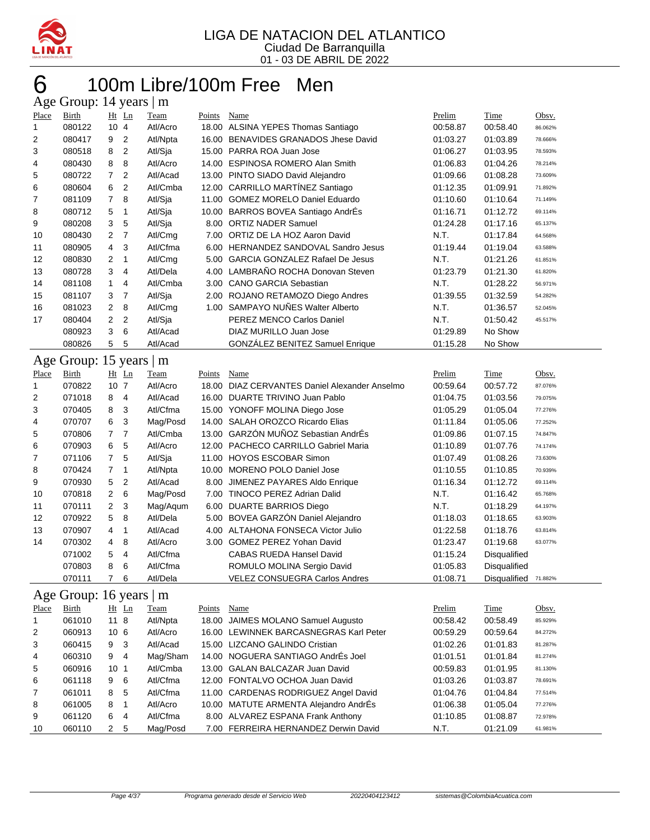

### 100m Libre/100m Free Men Age Group: 14 years | m

| - 20  | $\sim$ $\sim$ $\sim$ $\sim$ $\sim$ $\sim$ |                 | $, \, \ldots$ |          |        |                                         |          |          |         |
|-------|-------------------------------------------|-----------------|---------------|----------|--------|-----------------------------------------|----------|----------|---------|
| Place | Birth                                     |                 | $Ht$ Ln       | Team     | Points | Name                                    | Prelim   | Time     | Obsv.   |
| 1     | 080122                                    | 104             |               | Atl/Acro | 18.00  | ALSINA YEPES Thomas Santiago            | 00:58.87 | 00:58.40 | 86.062% |
| 2     | 080417                                    | 9               | 2             | Atl/Npta |        | 16.00 BENAVIDES GRANADOS Jhese David    | 01:03.27 | 01:03.89 | 78.666% |
| 3     | 080518                                    | 8               | 2             | Atl/Sja  |        | 15.00 PARRA ROA Juan Jose               | 01:06.27 | 01:03.95 | 78.593% |
| 4     | 080430                                    | 8               | 8             | Atl/Acro |        | 14.00 ESPINOSA ROMERO Alan Smith        | 01:06.83 | 01:04.26 | 78.214% |
| 5     | 080722                                    | 7               | 2             | Atl/Acad | 13.00  | PINTO SIADO David Alejandro             | 01:09.66 | 01:08.28 | 73.609% |
| 6     | 080604                                    | 6               | 2             | Atl/Cmba |        | 12.00 CARRILLO MARTÍNEZ Santiago        | 01:12.35 | 01:09.91 | 71.892% |
| 7     | 081109                                    | 7               | 8             | Atl/Sja  | 11.00  | <b>GOMEZ MORELO Daniel Eduardo</b>      | 01:10.60 | 01:10.64 | 71.149% |
| 8     | 080712                                    | 5               | -1            | Atl/Sja  |        | 10.00 BARROS BOVEA Santiago AndrÉs      | 01:16.71 | 01:12.72 | 69.114% |
| 9     | 080208                                    | 3               | 5             | Atl/Sja  |        | 8.00 ORTIZ NADER Samuel                 | 01:24.28 | 01:17.16 | 65.137% |
| 10    | 080430                                    | 2               | 7             | Atl/Cmg  | 7.00   | ORTIZ DE LA HOZ Aaron David             | N.T.     | 01:17.84 | 64.568% |
| 11    | 080905                                    | 4               | 3             | Atl/Cfma | 6.00   | HERNANDEZ SANDOVAL Sandro Jesus         | 01:19.44 | 01:19.04 | 63.588% |
| 12    | 080830                                    | $\overline{2}$  | 1             | Atl/Cmg  | 5.00   | <b>GARCIA GONZALEZ Rafael De Jesus</b>  | N.T.     | 01:21.26 | 61.851% |
| 13    | 080728                                    | 3               | 4             | Atl/Dela | 4.00   | LAMBRAÑO ROCHA Donovan Steven           | 01:23.79 | 01:21.30 | 61.820% |
| 14    | 081108                                    | 1               | 4             | Atl/Cmba | 3.00   | <b>CANO GARCIA Sebastian</b>            | N.T.     | 01:28.22 | 56.971% |
| 15    | 081107                                    | 3               | 7             | Atl/Sja  | 2.00   | ROJANO RETAMOZO Diego Andres            | 01:39.55 | 01:32.59 | 54.282% |
| 16    | 081023                                    | 2               | 8             | Atl/Cmg  | 1.00   | SAMPAYO NUÑES Walter Alberto            | N.T.     | 01:36.57 | 52.045% |
| 17    | 080404                                    | $\overline{2}$  | 2             | Atl/Sja  |        | PEREZ MENCO Carlos Daniel               | N.T.     | 01:50.42 | 45.517% |
|       | 080923                                    | 3               | 6             | Atl/Acad |        | DIAZ MURILLO Juan Jose                  | 01:29.89 | No Show  |         |
|       | 080826                                    | 5               | 5             | Atl/Acad |        | GONZÁLEZ BENITEZ Samuel Enrique         | 01:15.28 | No Show  |         |
|       | Age Group: 15 years   m                   |                 |               |          |        |                                         |          |          |         |
| Place | Birth                                     |                 | $Ht$ Ln       | Team     | Points | Name                                    | Prelim   | Time     | Obsv.   |
|       | 070822                                    | 10 <sup>1</sup> | -7            | Atl/Acro | 18.00  | DIAZ CERVANTES Daniel Alexander Anselmo | 00:59.64 | 00:57.72 | 87.076% |

| 1              | 070822 | 10 <sub>7</sub> |                | Atl/Acro | 18.00 | DIAZ CERVANTES Daniel Alexander Anselmo | 00:59.64 | 00:57.72            | 87.076% |
|----------------|--------|-----------------|----------------|----------|-------|-----------------------------------------|----------|---------------------|---------|
| 2              | 071018 | 8               | $\overline{4}$ | Atl/Acad | 16.00 | DUARTE TRIVINO Juan Pablo               | 01:04.75 | 01:03.56            | 79.075% |
| 3              | 070405 | 8               | -3             | Atl/Cfma |       | 15.00 YONOFF MOLINA Diego Jose          | 01:05.29 | 01:05.04            | 77.276% |
| 4              | 070707 | 6               | -3             | Mag/Posd |       | 14.00 SALAH OROZCO Ricardo Elias        | 01:11.84 | 01:05.06            | 77.252% |
| 5              | 070806 | 77              |                | Atl/Cmba |       | 13.00 GARZÓN MUÑOZ Sebastian AndrÉs     | 01:09.86 | 01:07.15            | 74.847% |
| 6              | 070903 | 6               | -5             | Atl/Acro | 12.00 | <b>PACHECO CARRILLO Gabriel Maria</b>   | 01:10.89 | 01:07.76            | 74.174% |
| $\overline{7}$ | 071106 | $\overline{7}$  | -5             | Atl/Sia  | 11.00 | <b>HOYOS ESCOBAR Simon</b>              | 01:07.49 | 01:08.26            | 73.630% |
| 8              | 070424 | 7 <sub>1</sub>  |                | Atl/Npta |       | 10.00 MORENO POLO Daniel Jose           | 01:10.55 | 01:10.85            | 70.939% |
| 9              | 070930 | 5               | $\overline{2}$ | Atl/Acad |       | 8.00 JIMENEZ PAYARES Aldo Enrique       | 01:16.34 | 01:12.72            | 69.114% |
| 10             | 070818 | 2 6             |                | Mag/Posd |       | 7.00 TINOCO PEREZ Adrian Dalid          | N.T.     | 01:16.42            | 65.768% |
| 11             | 070111 | 2 <sub>3</sub>  |                | Mag/Agum | 6.00  | DUARTE BARRIOS Diego                    | N.T.     | 01:18.29            | 64.197% |
| 12             | 070922 | 5               | - 8            | Atl/Dela |       | 5.00 BOVEA GARZÓN Daniel Alejandro      | 01:18.03 | 01:18.65            | 63.903% |
| 13             | 070907 | $\overline{4}$  | -1             | Atl/Acad |       | 4.00 ALTAHONA FONSECA Victor Julio      | 01:22.58 | 01:18.76            | 63.814% |
| 14             | 070302 | 4 8             |                | Atl/Acro | 3.00  | <b>GOMEZ PEREZ Yohan David</b>          | 01:23.47 | 01:19.68            | 63.077% |
|                | 071002 | 5               | $\overline{4}$ | Atl/Cfma |       | <b>CABAS RUEDA Hansel David</b>         | 01:15.24 | <b>Disqualified</b> |         |
|                | 070803 | 8               | 6              | Atl/Cfma |       | ROMULO MOLINA Sergio David              | 01:05.83 | Disqualified        |         |
|                | 070111 |                 | -6             | Atl/Dela |       | <b>VELEZ CONSUEGRA Carlos Andres</b>    | 01:08.71 | Disqualified        | 71.882% |

### Age Group: 16 years | m

| Place          | Birth  | $Ht$ Ln         |                | <b>Team</b> | Points | Name                                   | Prelim   | Time     | Obsv.   |
|----------------|--------|-----------------|----------------|-------------|--------|----------------------------------------|----------|----------|---------|
| 1              | 061010 | 118             |                | Atl/Npta    |        | 18.00 JAIMES MOLANO Samuel Augusto     | 00:58.42 | 00:58.49 | 85.929% |
| $\overline{2}$ | 060913 | 10 <sub>6</sub> |                | Atl/Acro    |        | 16.00 LEWINNEK BARCASNEGRAS Karl Peter | 00:59.29 | 00:59.64 | 84.272% |
| 3              | 060415 | 9               | -3             | Atl/Acad    |        | 15.00 LIZCANO GALINDO Cristian         | 01:02.26 | 01:01.83 | 81.287% |
| 4              | 060310 | 9               | $\overline{4}$ | Mag/Sham    |        | 14.00 NOGUERA SANTIAGO AndrÉs Joel     | 01:01.51 | 01:01.84 | 81.274% |
| 5              | 060916 | 10 <sub>1</sub> |                | Atl/Cmba    |        | 13.00 GALAN BALCAZAR Juan David        | 00:59.83 | 01:01.95 | 81.130% |
| 6              | 061118 | 9               | - 6            | Atl/Cfma    |        | 12.00 FONTALVO OCHOA Juan David        | 01:03.26 | 01:03.87 | 78.691% |
| $\overline{7}$ | 061011 | 8               | -5             | Atl/Cfma    |        | 11.00 CARDENAS RODRIGUEZ Angel David   | 01:04.76 | 01:04.84 | 77.514% |
| 8              | 061005 | 8               | -1             | Atl/Acro    |        | 10.00 MATUTE ARMENTA Alejandro AndrÉs  | 01:06.38 | 01:05.04 | 77.276% |
| 9              | 061120 | 6               | 4              | Atl/Cfma    |        | 8.00 ALVAREZ ESPANA Frank Anthony      | 01:10.85 | 01:08.87 | 72.978% |
| 10             | 060110 | $\mathcal{P}$   | -5             | Mag/Posd    |        | 7.00 FERREIRA HERNANDEZ Derwin David   | N.T.     | 01:21.09 | 61.981% |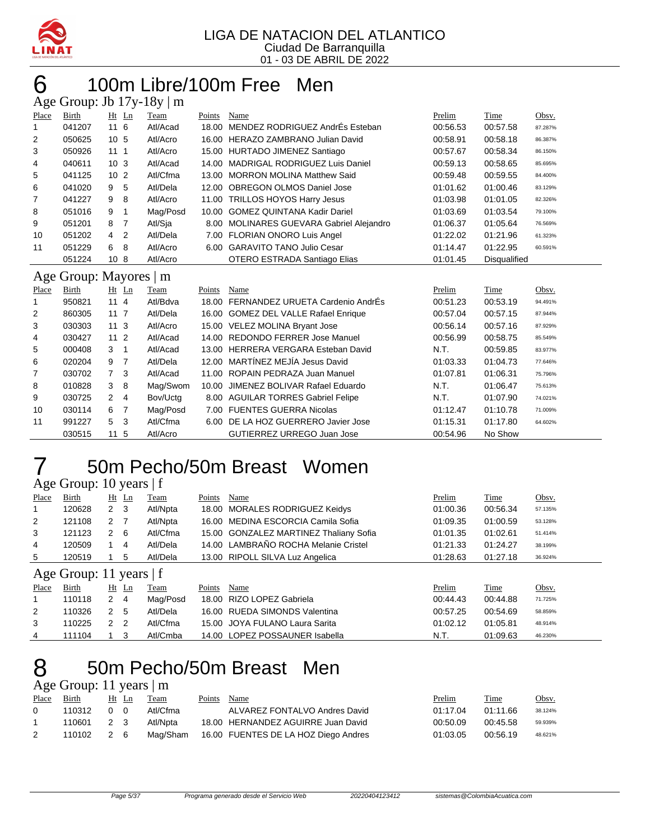

# 6 100m Libre/100m Free Men

|       | Age Group: Jb $17y-18y \mid m$ |                     |          |        |                                        |          |              |         |  |  |  |
|-------|--------------------------------|---------------------|----------|--------|----------------------------------------|----------|--------------|---------|--|--|--|
| Place | Birth                          | Ht Ln               | Team     | Points | Name                                   | Prelim   | Time         | Obsv.   |  |  |  |
| 1     | 041207                         | 116                 | Atl/Acad | 18.00  | MENDEZ RODRIGUEZ AndrÉs Esteban        | 00:56.53 | 00:57.58     | 87.287% |  |  |  |
| 2     | 050625                         | 10 <sub>5</sub>     | Atl/Acro | 16.00  | HERAZO ZAMBRANO Julian David           | 00:58.91 | 00:58.18     | 86.387% |  |  |  |
| 3     | 050926                         | 1111                | Atl/Acro |        | 15.00 HURTADO JIMENEZ Santiago         | 00:57.67 | 00:58.34     | 86.150% |  |  |  |
| 4     | 040611                         | 10 <sub>3</sub>     | Atl/Acad | 14.00  | <b>MADRIGAL RODRIGUEZ Luis Daniel</b>  | 00:59.13 | 00:58.65     | 85.695% |  |  |  |
| 5     | 041125                         | 10 <sub>2</sub>     | Atl/Cfma | 13.00  | <b>MORRON MOLINA Matthew Said</b>      | 00:59.48 | 00:59.55     | 84.400% |  |  |  |
| 6     | 041020                         | 5<br>9              | Atl/Dela | 12.00  | <b>OBREGON OLMOS Daniel Jose</b>       | 01:01.62 | 01:00.46     | 83.129% |  |  |  |
| 7     | 041227                         | 9<br>8              | Atl/Acro | 11.00  | <b>TRILLOS HOYOS Harry Jesus</b>       | 01:03.98 | 01:01.05     | 82.326% |  |  |  |
| 8     | 051016                         | 9<br>1              | Mag/Posd | 10.00  | <b>GOMEZ QUINTANA Kadir Dariel</b>     | 01:03.69 | 01:03.54     | 79.100% |  |  |  |
| 9     | 051201                         | 8<br>7              | Atl/Sja  | 8.00   | MOLINARES GUEVARA Gabriel Alejandro    | 01:06.37 | 01:05.64     | 76.569% |  |  |  |
| 10    | 051202                         | 4<br>2              | Atl/Dela | 7.00   | <b>FLORIAN ONORO Luis Angel</b>        | 01:22.02 | 01:21.96     | 61.323% |  |  |  |
| 11    | 051229                         | 6<br>8              | Atl/Acro |        | 6.00 GARAVITO TANO Julio Cesar         | 01:14.47 | 01:22.95     | 60.591% |  |  |  |
|       | 051224                         | 10 <sub>8</sub>     | Atl/Acro |        | OTERO ESTRADA Santiago Elias           | 01:01.45 | Disqualified |         |  |  |  |
|       |                                |                     |          |        |                                        |          |              |         |  |  |  |
|       | Age Group: Mayores             |                     | m        |        |                                        |          |              |         |  |  |  |
| Place | Birth                          | $Ht$ Ln             | Team     | Points | Name                                   | Prelim   | Time         | Obsv.   |  |  |  |
| 1     | 950821                         | 114                 | Atl/Bdva |        | 18.00 FERNANDEZ URUETA Cardenio AndrÉs | 00:51.23 | 00:53.19     | 94.491% |  |  |  |
| 2     | 860305                         | $11 \t7$            | Atl/Dela |        | 16.00 GOMEZ DEL VALLE Rafael Enrique   | 00:57.04 | 00:57.15     | 87.944% |  |  |  |
| 3     | 030303                         | 11 <sub>3</sub>     | Atl/Acro |        | 15.00 VELEZ MOLINA Bryant Jose         | 00:56.14 | 00:57.16     | 87.929% |  |  |  |
| 4     | 030427                         | 11 <sub>2</sub>     | Atl/Acad | 14.00  | <b>REDONDO FERRER Jose Manuel</b>      | 00:56.99 | 00:58.75     | 85.549% |  |  |  |
| 5     | 000408                         | 3<br>1              | Atl/Acad |        | 13.00 HERRERA VERGARA Esteban David    | N.T.     | 00:59.85     | 83.977% |  |  |  |
| 6     | 020204                         | 9<br>$\overline{7}$ | Atl/Dela |        | 12.00 MARTÍNEZ MEJÍA Jesus David       | 01:03.33 | 01:04.73     | 77.646% |  |  |  |
| 7     | 030702                         | $\overline{7}$<br>3 | Atl/Acad | 11.00  | ROPAIN PEDRAZA Juan Manuel             | 01:07.81 | 01:06.31     | 75.796% |  |  |  |
| 8     | 010828                         | 3<br>8              | Mag/Swom | 10.00  | JIMENEZ BOLIVAR Rafael Eduardo         | N.T.     | 01:06.47     | 75.613% |  |  |  |
| 9     | 030725                         | 2<br>4              | Bov/Uctg |        | 8.00 AGUILAR TORRES Gabriel Felipe     | N.T.     | 01:07.90     | 74.021% |  |  |  |
| 10    | 030114                         | 6<br>7              | Mag/Posd | 7.00   | <b>FUENTES GUERRA Nicolas</b>          | 01:12.47 | 01:10.78     | 71.009% |  |  |  |
| 11    | 991227                         | 5<br>3              | Atl/Cfma | 6.00   | DE LA HOZ GUERRERO Javier Jose         | 01:15.31 | 01:17.80     | 64.602% |  |  |  |

### 50m Pecho/50m Breast Women

Age Group: 10 years | f

| Place | Birth                     |                      | $Ht$ Ln | <b>Team</b> | Points | Name                                   | Prelim   | Time     | Obsv.   |
|-------|---------------------------|----------------------|---------|-------------|--------|----------------------------------------|----------|----------|---------|
|       | 120628                    | $\mathbf{2}^{\circ}$ | - 3     | Atl/Npta    |        | 18.00 MORALES RODRIGUEZ Keidys         | 01:00.36 | 00:56.34 | 57.135% |
| 2     | 121108                    | 2                    |         | Atl/Npta    |        | 16.00 MEDINA ESCORCIA Camila Sofia     | 01:09.35 | 01:00.59 | 53.128% |
| 3     | 121123                    | 2                    | -6      | Atl/Cfma    |        | 15.00 GONZALEZ MARTINEZ Thaliany Sofia | 01:01.35 | 01:02.61 | 51.414% |
| 4     | 120509                    |                      | 4       | Atl/Dela    |        | 14.00 LAMBRAÑO ROCHA Melanie Cristel   | 01:21.33 | 01:24.27 | 38.199% |
| 5     | 120519                    |                      | 5       | Atl/Dela    |        | 13.00 RIPOLL SILVA Luz Angelica        | 01:28.63 | 01:27.18 | 36.924% |
|       | Age Group: 11 years $ f $ |                      |         |             |        |                                        |          |          |         |
| Place | Birth                     | Ht                   | Ln      | Team        | Points | Name                                   | Prelim   | Time     | Obsv.   |
|       | 110118                    | 2                    | 4       | Mag/Posd    |        | 18.00 RIZO LOPEZ Gabriela              | 00:44.43 | 00:44.88 | 71.725% |
| 2     | 110326                    | $\mathcal{P}$        | -5      | Atl/Dela    |        | 16.00 RUEDA SIMONDS Valentina          | 00:57.25 | 00:54.69 | 58.859% |

#### 50m Pecho/50m Breast Men Age Group: 11 years | m

|       | $1.48$ $0.004$ $0.11$ $0.001$ $0.01$ |     |       |             |        |                                               |          |             |         |
|-------|--------------------------------------|-----|-------|-------------|--------|-----------------------------------------------|----------|-------------|---------|
| Place | <b>Birth</b>                         |     | Ht Ln | <b>Team</b> | Points | Name                                          | Prelim   | <b>Time</b> | Obsv.   |
|       | 110312                               | 0 O |       | Atl/Cfma    |        | ALVAREZ FONTALVO Andres David                 | 01:17.04 | 01:11.66    | 38.124% |
|       | 110601 2 3                           |     |       | Atl/Nota    |        | 18.00 HERNANDEZ AGUIRRE Juan David            | 00:50.09 | 00:45.58    | 59.939% |
| 2     | 110102                               | 2 6 |       |             |        | Mag/Sham 16.00 FUENTES DE LA HOZ Diego Andres | 01:03.05 | 00:56.19    | 48.621% |

 110225 2 2 Atl/Cfma 15.00 JOYA FULANO Laura Sarita 01:02.12 01:05.81 48.914% 111104 1 3 Atl/Cmba 14.00 LOPEZ POSSAUNER Isabella N.T. 01:09.63 46.230%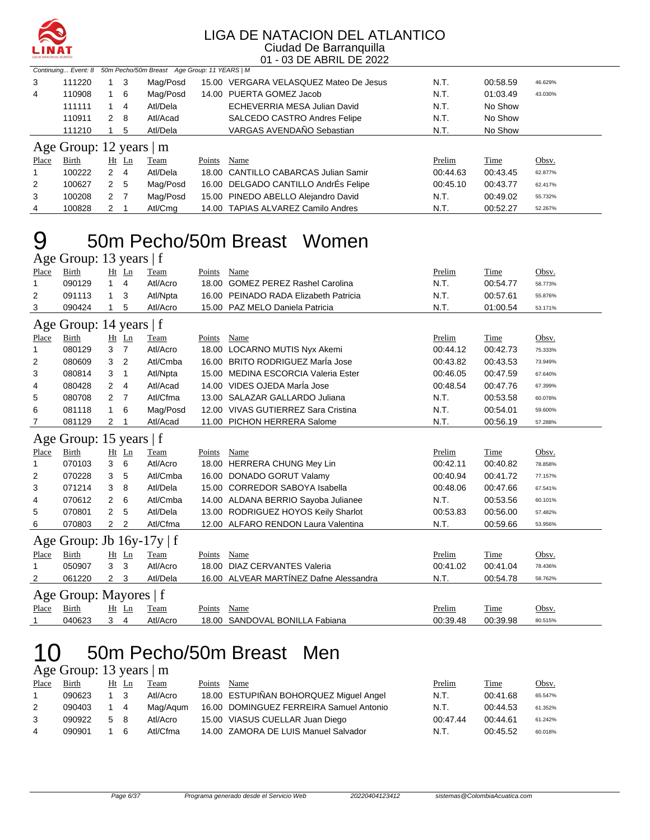

|       |                               |                  |             | Continuing Event: 8 50m Pecho/50m Breast Age Group: 11 YEARS   M |        |                                        |          |             |         |
|-------|-------------------------------|------------------|-------------|------------------------------------------------------------------|--------|----------------------------------------|----------|-------------|---------|
| 3     | 111220                        |                  | 3           | Mag/Posd                                                         |        | 15.00 VERGARA VELASQUEZ Mateo De Jesus | N.T.     | 00:58.59    | 46.629% |
| 4     | 110908                        |                  | -6          | Mag/Posd                                                         |        | 14.00 PUERTA GOMEZ Jacob               | N.T.     | 01:03.49    | 43.030% |
|       | 111111                        |                  | 4           | Atl/Dela                                                         |        | ECHEVERRIA MESA Julian David           | N.T.     | No Show     |         |
|       | 110911                        |                  | 2 8         | Atl/Acad                                                         |        | SALCEDO CASTRO Andres Felipe           | N.T.     | No Show     |         |
|       | 111210                        |                  | 5           | Atl/Dela                                                         |        | VARGAS AVENDAÑO Sebastian              | N.T.     | No Show     |         |
|       | Age Group: 12 years $\vert$ m |                  |             |                                                                  |        |                                        |          |             |         |
| Place | Birth                         |                  | $Ht$ Ln     | Team                                                             | Points | Name                                   | Prelim   | <b>Time</b> | Obsv.   |
|       | 100222                        |                  | $2 \quad 4$ | Atl/Dela                                                         |        | 18.00 CANTILLO CABARCAS Julian Samir   | 00:44.63 | 00:43.45    | 62.877% |
| 2     | 100627                        |                  | 2 5         | Mag/Posd                                                         |        | 16.00 DELGADO CANTILLO AndrÉs Felipe   | 00:45.10 | 00:43.77    | 62.417% |
| 3     | 100208                        | $2 \overline{7}$ |             | Mag/Posd                                                         |        | 15.00 PINEDO ABELLO Alejandro David    | N.T.     | 00:49.02    | 55.732% |
| 4     | 100828                        | $2 \quad 1$      |             | Atl/Cmg                                                          |        | 14.00 TAPIAS ALVAREZ Camilo Andres     | N.T.     | 00:52.27    | 52.267% |

### 50m Pecho/50m Breast Women

|       | Age Group: 13 years   f        |                |                |          |        |                                        |          |          |         |
|-------|--------------------------------|----------------|----------------|----------|--------|----------------------------------------|----------|----------|---------|
| Place | Birth                          |                | Ht Ln          | Team     | Points | Name                                   | Prelim   | Time     | Obsv.   |
| 1     | 090129                         | 1              | $\overline{4}$ | Atl/Acro | 18.00  | <b>GOMEZ PEREZ Rashel Carolina</b>     | N.T.     | 00:54.77 | 58.773% |
| 2     | 091113                         | 1              | 3              | Atl/Npta | 16.00  | PEINADO RADA Elizabeth Patricia        | N.T.     | 00:57.61 | 55.876% |
| 3     | 090424                         | 1              | 5              | Atl/Acro |        | 15.00 PAZ MELO Daniela Patricia        | N.T.     | 01:00.54 | 53.171% |
|       | Age Group: 14 years $ f $      |                |                |          |        |                                        |          |          |         |
| Place | Birth                          |                | Ht Ln          | Team     | Points | Name                                   | Prelim   | Time     | Obsv.   |
| 1     | 080129                         | 3              | $\overline{7}$ | Atl/Acro | 18.00  | <b>LOCARNO MUTIS Nyx Akemi</b>         | 00:44.12 | 00:42.73 | 75.333% |
| 2     | 080609                         | 3              | 2              | Atl/Cmba | 16.00  | BRITO RODRIGUEZ MarÍa Jose             | 00:43.82 | 00:43.53 | 73.949% |
| 3     | 080814                         | 3              | $\mathbf 1$    | Atl/Npta | 15.00  | MEDINA ESCORCIA Valeria Ester          | 00:46.05 | 00:47.59 | 67.640% |
| 4     | 080428                         | $\overline{2}$ | $\overline{4}$ | Atl/Acad |        | 14.00 VIDES OJEDA MarÍa Jose           | 00:48.54 | 00:47.76 | 67.399% |
| 5     | 080708                         | $\overline{2}$ | $\overline{7}$ | Atl/Cfma | 13.00  | SALAZAR GALLARDO Juliana               | N.T.     | 00:53.58 | 60.078% |
| 6     | 081118                         | 1              | 6              | Mag/Posd | 12.00  | <b>VIVAS GUTIERREZ Sara Cristina</b>   | N.T.     | 00:54.01 | 59.600% |
| 7     | 081129                         | 2              |                | Atl/Acad |        | 11.00 PICHON HERRERA Salome            | N.T.     | 00:56.19 | 57.288% |
|       | Age Group: 15 years   f        |                |                |          |        |                                        |          |          |         |
| Place | Birth                          | Ht             | Ln             | Team     | Points | Name                                   | Prelim   | Time     | Obsv.   |
| 1     | 070103                         | 3              | 6              | Atl/Acro |        | 18.00 HERRERA CHUNG Mey Lin            | 00:42.11 | 00:40.82 | 78.858% |
| 2     | 070228                         | 3              | 5              | Atl/Cmba | 16.00  | <b>DONADO GORUT Valamy</b>             | 00:40.94 | 00:41.72 | 77.157% |
| 3     | 071214                         | 3              | 8              | Atl/Dela | 15.00  | <b>CORREDOR SABOYA Isabella</b>        | 00:48.06 | 00:47.66 | 67.541% |
| 4     | 070612                         | 2              | 6              | Atl/Cmba |        | 14.00 ALDANA BERRIO Sayoba Julianee    | N.T.     | 00:53.56 | 60.101% |
| 5     | 070801                         | 2              | 5              | Atl/Dela |        | 13.00 RODRIGUEZ HOYOS Keily Sharlot    | 00:53.83 | 00:56.00 | 57.482% |
| 6     | 070803                         | $\overline{2}$ | $\overline{2}$ | Atl/Cfma |        | 12.00 ALFARO RENDON Laura Valentina    | N.T.     | 00:59.66 | 53.956% |
|       | Age Group: Jb $16y-17y \mid f$ |                |                |          |        |                                        |          |          |         |
| Place | Birth                          | Ht             | Ln             | Team     | Points | Name                                   | Prelim   | Time     | Obsv.   |
| 1     | 050907                         | 3              | 3              | Atl/Acro | 18.00  | <b>DIAZ CERVANTES Valeria</b>          | 00:41.02 | 00:41.04 | 78.436% |
| 2     | 061220                         | $\overline{2}$ | 3              | Atl/Dela |        | 16.00 ALVEAR MARTÍNEZ Dafne Alessandra | N.T.     | 00:54.78 | 58.762% |
|       | Age Group: Mayores   f         |                |                |          |        |                                        |          |          |         |
| Place | Birth                          | Ht             | Ln             | Team     | Points | Name                                   | Prelim   | Time     | Obsv.   |
| 1     | 040623                         | 3              | $\overline{4}$ | Atl/Acro | 18.00  | SANDOVAL BONILLA Fabiana               | 00:39.48 | 00:39.98 | 80.515% |

### 50m Pecho/50m Breast Men 10 50m Pech<br>Age Group: 13 years | m

| Place | Birth  | Ht Ln |          | Team     | Points | Name                                    | Prelim   | Time     | <u>Obsv.</u> |
|-------|--------|-------|----------|----------|--------|-----------------------------------------|----------|----------|--------------|
|       | 090623 |       |          | Atl/Acro |        | 18.00 ESTUPIÑAN BOHORQUEZ Miguel Angel  | N.T.     | 00:41.68 | 65.547%      |
|       | 090403 |       | 4        | Mag/Agum |        | 16.00 DOMINGUEZ FERREIRA Samuel Antonio | N.T.     | 00:44.53 | 61.352%      |
|       | 090922 | 5 8   |          | Atl/Acro |        | 15.00 VIASUS CUELLAR Juan Diego         | 00:47.44 | 00:44.61 | 61.242%      |
| 4     | 090901 |       | <b>6</b> | Atl/Cfma |        | 14.00 ZAMORA DE LUIS Manuel Salvador    | N.T.     | 00:45.52 | 60.018%      |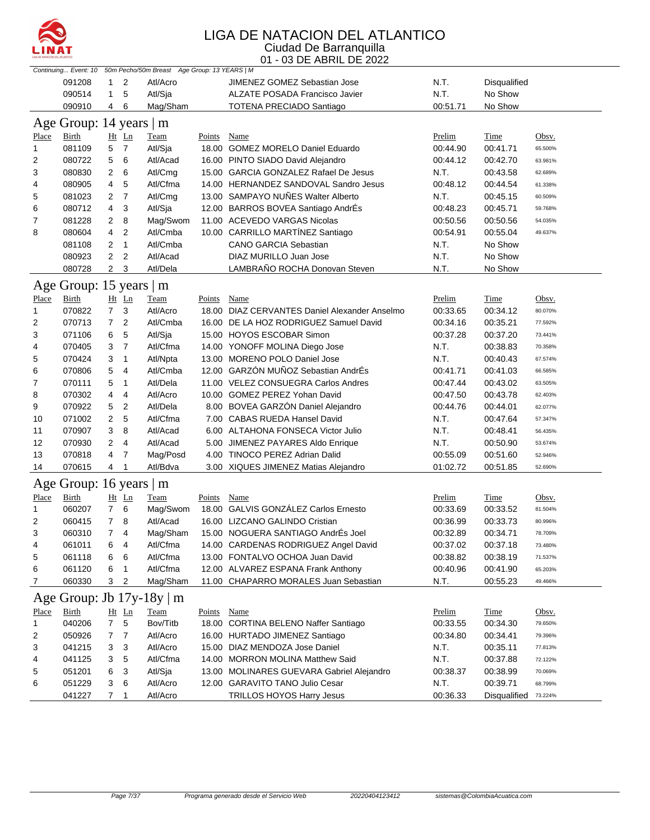

| 091208<br>2<br>JIMENEZ GOMEZ Sebastian Jose<br>N.T.<br>1<br>Atl/Acro<br>Disqualified<br>5<br>N.T.<br>No Show<br>090514<br>$\mathbf{1}$<br>Atl/Sja<br>ALZATE POSADA Francisco Javier<br>090910<br>Mag/Sham<br><b>TOTENA PRECIADO Santiago</b><br>00:51.71<br>No Show<br>4<br>6<br>Age Group: 14 years   m<br>Time<br>Place<br><b>Birth</b><br>Ht Ln<br><b>Team</b><br><b>Points</b><br><b>Name</b><br>Prelim<br>Obsv.<br>5<br>081109<br>$\overline{7}$<br>Atl/Sja<br>18.00 GOMEZ MORELO Daniel Eduardo<br>00:44.90<br>00:41.71<br>65.500%<br>1<br>5<br>080722<br>6<br>Atl/Acad<br>16.00 PINTO SIADO David Alejandro<br>00:44.12<br>2<br>00:42.70<br>63.981%<br>2<br>6<br>N.T.<br>3<br>080830<br>Atl/Cmg<br>15.00 GARCIA GONZALEZ Rafael De Jesus<br>00:43.58<br>62.689%<br>5<br>080905<br>4<br>Atl/Cfma<br>14.00 HERNANDEZ SANDOVAL Sandro Jesus<br>00:48.12<br>4<br>00:44.54<br>61.338%<br>13.00 SAMPAYO NUÑES Walter Alberto<br>$\overline{7}$<br>081023<br>2<br>Atl/Cmg<br>N.T.<br>5<br>00:45.15<br>60.509%<br>080712<br>4<br>3<br>Atl/Sja<br>12.00 BARROS BOVEA Santiago AndrÉs<br>00:48.23<br>00:45.71<br>6<br>59.768%<br>081228<br>8<br>11.00 ACEVEDO VARGAS Nicolas<br>7<br>$\overline{2}$<br>Mag/Swom<br>00:50.56<br>00:50.56<br>54.035%<br>4<br>Atl/Cmba<br>10.00 CARRILLO MARTÍNEZ Santiago<br>8<br>080604<br>$\overline{2}$<br>00:54.91<br>00:55.04<br>49.637%<br>081108<br>2<br>$\overline{1}$<br>Atl/Cmba<br><b>CANO GARCIA Sebastian</b><br>N.T.<br>No Show<br>$\overline{2}$<br>$\overline{2}$<br>N.T.<br>No Show<br>080923<br>Atl/Acad<br>DIAZ MURILLO Juan Jose<br>080728<br>$\overline{2}$<br>3<br>LAMBRAÑO ROCHA Donovan Steven<br>N.T.<br>Atl/Dela<br>No Show<br>Age Group: 15 years   m<br><b>Birth</b><br>Ht Ln<br>Team<br>Name<br>Prelim<br>Time<br><b>Place</b><br><b>Points</b><br>Obsv.<br>070822<br>$7^{\circ}$<br>3<br>18.00 DIAZ CERVANTES Daniel Alexander Anselmo<br>Atl/Acro<br>00:33.65<br>00:34.12<br>$\mathbf{1}$<br>80.070%<br>070713<br>2<br>7<br>2<br>Atl/Cmba<br>16.00 DE LA HOZ RODRIGUEZ Samuel David<br>00:34.16<br>00:35.21<br>77.592%<br>6<br>5<br>3<br>071106<br>Atl/Sja<br>15.00 HOYOS ESCOBAR Simon<br>00:37.28<br>00:37.20<br>73.441%<br>$\overline{7}$<br>070405<br>3<br>Atl/Cfma<br>14.00 YONOFF MOLINA Diego Jose<br>N.T.<br>00:38.83<br>4<br>70.358%<br>13.00 MORENO POLO Daniel Jose<br>070424<br>3<br>1<br>N.T.<br>5<br>Atl/Npta<br>00:40.43<br>67.574%<br>12.00 GARZÓN MUÑOZ Sebastian AndrÉs<br>070806<br>5<br>4<br>6<br>Atl/Cmba<br>00:41.71<br>00:41.03<br>66.585%<br>5<br>7<br>070111<br>$\overline{1}$<br>Atl/Dela<br>11.00 VELEZ CONSUEGRA Carlos Andres<br>00:47.44<br>00:43.02<br>63.505%<br>8<br>070302<br>4<br>4<br>Atl/Acro<br>10.00 GOMEZ PEREZ Yohan David<br>00:47.50<br>00:43.78<br>62.403%<br>$\overline{2}$<br>8.00 BOVEA GARZÓN Daniel Alejandro<br>9<br>070922<br>5<br>Atl/Dela<br>00:44.76<br>00:44.01<br>62.077%<br>2<br>5<br>Atl/Cfma<br>7.00 CABAS RUEDA Hansel David<br>071002<br>N.T.<br>10<br>00:47.64<br>57.347%<br>11<br>070907<br>3<br>8<br>Atl/Acad<br>6.00 ALTAHONA FONSECA Victor Julio<br>N.T.<br>00:48.41<br>56.435%<br>2<br>12<br>070930<br>$\overline{4}$<br>Atl/Acad<br>5.00 JIMENEZ PAYARES Aldo Enrique<br>N.T.<br>00:50.90<br>53.674%<br>13<br>070818<br>4<br>7<br>Mag/Posd<br>4.00 TINOCO PEREZ Adrian Dalid<br>00:55.09<br>00:51.60<br>52.946%<br>070615<br>4<br>Atl/Bdva<br>14<br>1<br>3.00 XIQUES JIMENEZ Matias Alejandro<br>01:02.72<br>00:51.85<br>52.690%<br>Age Group: 16 years   m<br>Ht Ln<br>Prelim<br>Place<br>Birth<br><b>Team</b><br>Points<br>Name<br><b>Time</b><br>Obsv.<br>18.00 GALVIS GONZÁLEZ Carlos Ernesto<br>6<br>060207<br>$7^{\circ}$<br>Mag/Swom<br>00:33.69<br>1<br>00:33.52<br>81.504%<br>16.00 LIZCANO GALINDO Cristian<br>$\overline{7}$<br>8<br>Atl/Acad<br>2<br>060415<br>00:36.99<br>00:33.73<br>80.996%<br>15.00 NOGUERA SANTIAGO AndrÉs Joel<br>3<br>060310<br>$\overline{4}$<br>Mag/Sham<br>00:32.89<br>$7^{\circ}$<br>00:34.71<br>78.709%<br>061011<br>14.00 CARDENAS RODRIGUEZ Angel David<br>00:37.02<br>00:37.18<br>4<br>6<br>4<br>Atl/Cfma<br>73.480%<br>061118<br>6<br>6<br>Atl/Cfma<br>13.00 FONTALVO OCHOA Juan David<br>00:38.82<br>5<br>00:38.19<br>71.537%<br>061120<br>Atl/Cfma<br>12.00 ALVAREZ ESPANA Frank Anthony<br>6<br>6<br>$\mathbf{1}$<br>00:40.96<br>00:41.90<br>65.203%<br>060330<br>3<br>2<br>Mag/Sham<br>11.00 CHAPARRO MORALES Juan Sebastian<br>N.T.<br>00:55.23<br>7<br>49.466%<br>Age Group: Jb $17y-18y \mid m$<br>Ht Ln<br>Name<br>Prelim<br>Place<br><b>Birth</b><br><b>Team</b><br><b>Points</b><br><b>Time</b><br>Obsv.<br>$\overline{7}$<br>5<br>040206<br>Bov/Titb<br>18.00 CORTINA BELENO Naffer Santiago<br>$\mathbf{1}$<br>00:33.55<br>00:34.30<br>79.650%<br>2<br>050926<br>7<br>$\overline{7}$<br>Atl/Acro<br>16.00 HURTADO JIMENEZ Santiago<br>00:34.80<br>00:34.41<br>79.396%<br>041215<br>3<br>Atl/Acro<br>15.00 DIAZ MENDOZA Jose Daniel<br>3<br>3<br>N.T.<br>00:35.11<br>77.813%<br>5<br>041125<br>Atl/Cfma<br>14.00 MORRON MOLINA Matthew Said<br>N.T.<br>3<br>00:37.88<br>4<br>72.122%<br>051201<br>3<br>Atl/Sja<br>5<br>6<br>13.00 MOLINARES GUEVARA Gabriel Alejandro<br>00:38.37<br>00:38.99<br>70.069%<br>051229<br>3<br>6<br>Atl/Acro<br>12.00 GARAVITO TANO Julio Cesar<br>N.T.<br>00:39.71<br>6<br>68.799%<br>041227<br>Atl/Acro<br>TRILLOS HOYOS Harry Jesus<br>00:36.33<br>7<br>$\overline{1}$<br>Disqualified<br>73.224% | Continuing Event: 10 |  | 50m Pecho/50m Breast Age Group: 13 YEARS   M |  |  |  |
|------------------------------------------------------------------------------------------------------------------------------------------------------------------------------------------------------------------------------------------------------------------------------------------------------------------------------------------------------------------------------------------------------------------------------------------------------------------------------------------------------------------------------------------------------------------------------------------------------------------------------------------------------------------------------------------------------------------------------------------------------------------------------------------------------------------------------------------------------------------------------------------------------------------------------------------------------------------------------------------------------------------------------------------------------------------------------------------------------------------------------------------------------------------------------------------------------------------------------------------------------------------------------------------------------------------------------------------------------------------------------------------------------------------------------------------------------------------------------------------------------------------------------------------------------------------------------------------------------------------------------------------------------------------------------------------------------------------------------------------------------------------------------------------------------------------------------------------------------------------------------------------------------------------------------------------------------------------------------------------------------------------------------------------------------------------------------------------------------------------------------------------------------------------------------------------------------------------------------------------------------------------------------------------------------------------------------------------------------------------------------------------------------------------------------------------------------------------------------------------------------------------------------------------------------------------------------------------------------------------------------------------------------------------------------------------------------------------------------------------------------------------------------------------------------------------------------------------------------------------------------------------------------------------------------------------------------------------------------------------------------------------------------------------------------------------------------------------------------------------------------------------------------------------------------------------------------------------------------------------------------------------------------------------------------------------------------------------------------------------------------------------------------------------------------------------------------------------------------------------------------------------------------------------------------------------------------------------------------------------------------------------------------------------------------------------------------------------------------------------------------------------------------------------------------------------------------------------------------------------------------------------------------------------------------------------------------------------------------------------------------------------------------------------------------------------------------------------------------------------------------------------------------------------------------------------------------------------------------------------------------------------------------------------------------------------------------------------------------------------------------------------------------------------------------------------------------------------------------------------------------------------------------------------------------------------------------------------------------------------------------------------------------------------------------------------------------------------------------------------------------------------------------------------------------------------------------------------------------------------------------------------------------------------------------------------------------------------------------------------------------------------------------------------------------------------------------------------------------------------------------------------------------------------------------------------------------------------------------------------------------------------------------------------------------------------------------------------------------------------------------------------------------------------------|----------------------|--|----------------------------------------------|--|--|--|
|                                                                                                                                                                                                                                                                                                                                                                                                                                                                                                                                                                                                                                                                                                                                                                                                                                                                                                                                                                                                                                                                                                                                                                                                                                                                                                                                                                                                                                                                                                                                                                                                                                                                                                                                                                                                                                                                                                                                                                                                                                                                                                                                                                                                                                                                                                                                                                                                                                                                                                                                                                                                                                                                                                                                                                                                                                                                                                                                                                                                                                                                                                                                                                                                                                                                                                                                                                                                                                                                                                                                                                                                                                                                                                                                                                                                                                                                                                                                                                                                                                                                                                                                                                                                                                                                                                                                                                                                                                                                                                                                                                                                                                                                                                                                                                                                                                                                                                                                                                                                                                                                                                                                                                                                                                                                                                                                                                                                                        |                      |  |                                              |  |  |  |
|                                                                                                                                                                                                                                                                                                                                                                                                                                                                                                                                                                                                                                                                                                                                                                                                                                                                                                                                                                                                                                                                                                                                                                                                                                                                                                                                                                                                                                                                                                                                                                                                                                                                                                                                                                                                                                                                                                                                                                                                                                                                                                                                                                                                                                                                                                                                                                                                                                                                                                                                                                                                                                                                                                                                                                                                                                                                                                                                                                                                                                                                                                                                                                                                                                                                                                                                                                                                                                                                                                                                                                                                                                                                                                                                                                                                                                                                                                                                                                                                                                                                                                                                                                                                                                                                                                                                                                                                                                                                                                                                                                                                                                                                                                                                                                                                                                                                                                                                                                                                                                                                                                                                                                                                                                                                                                                                                                                                                        |                      |  |                                              |  |  |  |
|                                                                                                                                                                                                                                                                                                                                                                                                                                                                                                                                                                                                                                                                                                                                                                                                                                                                                                                                                                                                                                                                                                                                                                                                                                                                                                                                                                                                                                                                                                                                                                                                                                                                                                                                                                                                                                                                                                                                                                                                                                                                                                                                                                                                                                                                                                                                                                                                                                                                                                                                                                                                                                                                                                                                                                                                                                                                                                                                                                                                                                                                                                                                                                                                                                                                                                                                                                                                                                                                                                                                                                                                                                                                                                                                                                                                                                                                                                                                                                                                                                                                                                                                                                                                                                                                                                                                                                                                                                                                                                                                                                                                                                                                                                                                                                                                                                                                                                                                                                                                                                                                                                                                                                                                                                                                                                                                                                                                                        |                      |  |                                              |  |  |  |
|                                                                                                                                                                                                                                                                                                                                                                                                                                                                                                                                                                                                                                                                                                                                                                                                                                                                                                                                                                                                                                                                                                                                                                                                                                                                                                                                                                                                                                                                                                                                                                                                                                                                                                                                                                                                                                                                                                                                                                                                                                                                                                                                                                                                                                                                                                                                                                                                                                                                                                                                                                                                                                                                                                                                                                                                                                                                                                                                                                                                                                                                                                                                                                                                                                                                                                                                                                                                                                                                                                                                                                                                                                                                                                                                                                                                                                                                                                                                                                                                                                                                                                                                                                                                                                                                                                                                                                                                                                                                                                                                                                                                                                                                                                                                                                                                                                                                                                                                                                                                                                                                                                                                                                                                                                                                                                                                                                                                                        |                      |  |                                              |  |  |  |
|                                                                                                                                                                                                                                                                                                                                                                                                                                                                                                                                                                                                                                                                                                                                                                                                                                                                                                                                                                                                                                                                                                                                                                                                                                                                                                                                                                                                                                                                                                                                                                                                                                                                                                                                                                                                                                                                                                                                                                                                                                                                                                                                                                                                                                                                                                                                                                                                                                                                                                                                                                                                                                                                                                                                                                                                                                                                                                                                                                                                                                                                                                                                                                                                                                                                                                                                                                                                                                                                                                                                                                                                                                                                                                                                                                                                                                                                                                                                                                                                                                                                                                                                                                                                                                                                                                                                                                                                                                                                                                                                                                                                                                                                                                                                                                                                                                                                                                                                                                                                                                                                                                                                                                                                                                                                                                                                                                                                                        |                      |  |                                              |  |  |  |
|                                                                                                                                                                                                                                                                                                                                                                                                                                                                                                                                                                                                                                                                                                                                                                                                                                                                                                                                                                                                                                                                                                                                                                                                                                                                                                                                                                                                                                                                                                                                                                                                                                                                                                                                                                                                                                                                                                                                                                                                                                                                                                                                                                                                                                                                                                                                                                                                                                                                                                                                                                                                                                                                                                                                                                                                                                                                                                                                                                                                                                                                                                                                                                                                                                                                                                                                                                                                                                                                                                                                                                                                                                                                                                                                                                                                                                                                                                                                                                                                                                                                                                                                                                                                                                                                                                                                                                                                                                                                                                                                                                                                                                                                                                                                                                                                                                                                                                                                                                                                                                                                                                                                                                                                                                                                                                                                                                                                                        |                      |  |                                              |  |  |  |
|                                                                                                                                                                                                                                                                                                                                                                                                                                                                                                                                                                                                                                                                                                                                                                                                                                                                                                                                                                                                                                                                                                                                                                                                                                                                                                                                                                                                                                                                                                                                                                                                                                                                                                                                                                                                                                                                                                                                                                                                                                                                                                                                                                                                                                                                                                                                                                                                                                                                                                                                                                                                                                                                                                                                                                                                                                                                                                                                                                                                                                                                                                                                                                                                                                                                                                                                                                                                                                                                                                                                                                                                                                                                                                                                                                                                                                                                                                                                                                                                                                                                                                                                                                                                                                                                                                                                                                                                                                                                                                                                                                                                                                                                                                                                                                                                                                                                                                                                                                                                                                                                                                                                                                                                                                                                                                                                                                                                                        |                      |  |                                              |  |  |  |
|                                                                                                                                                                                                                                                                                                                                                                                                                                                                                                                                                                                                                                                                                                                                                                                                                                                                                                                                                                                                                                                                                                                                                                                                                                                                                                                                                                                                                                                                                                                                                                                                                                                                                                                                                                                                                                                                                                                                                                                                                                                                                                                                                                                                                                                                                                                                                                                                                                                                                                                                                                                                                                                                                                                                                                                                                                                                                                                                                                                                                                                                                                                                                                                                                                                                                                                                                                                                                                                                                                                                                                                                                                                                                                                                                                                                                                                                                                                                                                                                                                                                                                                                                                                                                                                                                                                                                                                                                                                                                                                                                                                                                                                                                                                                                                                                                                                                                                                                                                                                                                                                                                                                                                                                                                                                                                                                                                                                                        |                      |  |                                              |  |  |  |
|                                                                                                                                                                                                                                                                                                                                                                                                                                                                                                                                                                                                                                                                                                                                                                                                                                                                                                                                                                                                                                                                                                                                                                                                                                                                                                                                                                                                                                                                                                                                                                                                                                                                                                                                                                                                                                                                                                                                                                                                                                                                                                                                                                                                                                                                                                                                                                                                                                                                                                                                                                                                                                                                                                                                                                                                                                                                                                                                                                                                                                                                                                                                                                                                                                                                                                                                                                                                                                                                                                                                                                                                                                                                                                                                                                                                                                                                                                                                                                                                                                                                                                                                                                                                                                                                                                                                                                                                                                                                                                                                                                                                                                                                                                                                                                                                                                                                                                                                                                                                                                                                                                                                                                                                                                                                                                                                                                                                                        |                      |  |                                              |  |  |  |
|                                                                                                                                                                                                                                                                                                                                                                                                                                                                                                                                                                                                                                                                                                                                                                                                                                                                                                                                                                                                                                                                                                                                                                                                                                                                                                                                                                                                                                                                                                                                                                                                                                                                                                                                                                                                                                                                                                                                                                                                                                                                                                                                                                                                                                                                                                                                                                                                                                                                                                                                                                                                                                                                                                                                                                                                                                                                                                                                                                                                                                                                                                                                                                                                                                                                                                                                                                                                                                                                                                                                                                                                                                                                                                                                                                                                                                                                                                                                                                                                                                                                                                                                                                                                                                                                                                                                                                                                                                                                                                                                                                                                                                                                                                                                                                                                                                                                                                                                                                                                                                                                                                                                                                                                                                                                                                                                                                                                                        |                      |  |                                              |  |  |  |
|                                                                                                                                                                                                                                                                                                                                                                                                                                                                                                                                                                                                                                                                                                                                                                                                                                                                                                                                                                                                                                                                                                                                                                                                                                                                                                                                                                                                                                                                                                                                                                                                                                                                                                                                                                                                                                                                                                                                                                                                                                                                                                                                                                                                                                                                                                                                                                                                                                                                                                                                                                                                                                                                                                                                                                                                                                                                                                                                                                                                                                                                                                                                                                                                                                                                                                                                                                                                                                                                                                                                                                                                                                                                                                                                                                                                                                                                                                                                                                                                                                                                                                                                                                                                                                                                                                                                                                                                                                                                                                                                                                                                                                                                                                                                                                                                                                                                                                                                                                                                                                                                                                                                                                                                                                                                                                                                                                                                                        |                      |  |                                              |  |  |  |
|                                                                                                                                                                                                                                                                                                                                                                                                                                                                                                                                                                                                                                                                                                                                                                                                                                                                                                                                                                                                                                                                                                                                                                                                                                                                                                                                                                                                                                                                                                                                                                                                                                                                                                                                                                                                                                                                                                                                                                                                                                                                                                                                                                                                                                                                                                                                                                                                                                                                                                                                                                                                                                                                                                                                                                                                                                                                                                                                                                                                                                                                                                                                                                                                                                                                                                                                                                                                                                                                                                                                                                                                                                                                                                                                                                                                                                                                                                                                                                                                                                                                                                                                                                                                                                                                                                                                                                                                                                                                                                                                                                                                                                                                                                                                                                                                                                                                                                                                                                                                                                                                                                                                                                                                                                                                                                                                                                                                                        |                      |  |                                              |  |  |  |
|                                                                                                                                                                                                                                                                                                                                                                                                                                                                                                                                                                                                                                                                                                                                                                                                                                                                                                                                                                                                                                                                                                                                                                                                                                                                                                                                                                                                                                                                                                                                                                                                                                                                                                                                                                                                                                                                                                                                                                                                                                                                                                                                                                                                                                                                                                                                                                                                                                                                                                                                                                                                                                                                                                                                                                                                                                                                                                                                                                                                                                                                                                                                                                                                                                                                                                                                                                                                                                                                                                                                                                                                                                                                                                                                                                                                                                                                                                                                                                                                                                                                                                                                                                                                                                                                                                                                                                                                                                                                                                                                                                                                                                                                                                                                                                                                                                                                                                                                                                                                                                                                                                                                                                                                                                                                                                                                                                                                                        |                      |  |                                              |  |  |  |
|                                                                                                                                                                                                                                                                                                                                                                                                                                                                                                                                                                                                                                                                                                                                                                                                                                                                                                                                                                                                                                                                                                                                                                                                                                                                                                                                                                                                                                                                                                                                                                                                                                                                                                                                                                                                                                                                                                                                                                                                                                                                                                                                                                                                                                                                                                                                                                                                                                                                                                                                                                                                                                                                                                                                                                                                                                                                                                                                                                                                                                                                                                                                                                                                                                                                                                                                                                                                                                                                                                                                                                                                                                                                                                                                                                                                                                                                                                                                                                                                                                                                                                                                                                                                                                                                                                                                                                                                                                                                                                                                                                                                                                                                                                                                                                                                                                                                                                                                                                                                                                                                                                                                                                                                                                                                                                                                                                                                                        |                      |  |                                              |  |  |  |
|                                                                                                                                                                                                                                                                                                                                                                                                                                                                                                                                                                                                                                                                                                                                                                                                                                                                                                                                                                                                                                                                                                                                                                                                                                                                                                                                                                                                                                                                                                                                                                                                                                                                                                                                                                                                                                                                                                                                                                                                                                                                                                                                                                                                                                                                                                                                                                                                                                                                                                                                                                                                                                                                                                                                                                                                                                                                                                                                                                                                                                                                                                                                                                                                                                                                                                                                                                                                                                                                                                                                                                                                                                                                                                                                                                                                                                                                                                                                                                                                                                                                                                                                                                                                                                                                                                                                                                                                                                                                                                                                                                                                                                                                                                                                                                                                                                                                                                                                                                                                                                                                                                                                                                                                                                                                                                                                                                                                                        |                      |  |                                              |  |  |  |
|                                                                                                                                                                                                                                                                                                                                                                                                                                                                                                                                                                                                                                                                                                                                                                                                                                                                                                                                                                                                                                                                                                                                                                                                                                                                                                                                                                                                                                                                                                                                                                                                                                                                                                                                                                                                                                                                                                                                                                                                                                                                                                                                                                                                                                                                                                                                                                                                                                                                                                                                                                                                                                                                                                                                                                                                                                                                                                                                                                                                                                                                                                                                                                                                                                                                                                                                                                                                                                                                                                                                                                                                                                                                                                                                                                                                                                                                                                                                                                                                                                                                                                                                                                                                                                                                                                                                                                                                                                                                                                                                                                                                                                                                                                                                                                                                                                                                                                                                                                                                                                                                                                                                                                                                                                                                                                                                                                                                                        |                      |  |                                              |  |  |  |
|                                                                                                                                                                                                                                                                                                                                                                                                                                                                                                                                                                                                                                                                                                                                                                                                                                                                                                                                                                                                                                                                                                                                                                                                                                                                                                                                                                                                                                                                                                                                                                                                                                                                                                                                                                                                                                                                                                                                                                                                                                                                                                                                                                                                                                                                                                                                                                                                                                                                                                                                                                                                                                                                                                                                                                                                                                                                                                                                                                                                                                                                                                                                                                                                                                                                                                                                                                                                                                                                                                                                                                                                                                                                                                                                                                                                                                                                                                                                                                                                                                                                                                                                                                                                                                                                                                                                                                                                                                                                                                                                                                                                                                                                                                                                                                                                                                                                                                                                                                                                                                                                                                                                                                                                                                                                                                                                                                                                                        |                      |  |                                              |  |  |  |
|                                                                                                                                                                                                                                                                                                                                                                                                                                                                                                                                                                                                                                                                                                                                                                                                                                                                                                                                                                                                                                                                                                                                                                                                                                                                                                                                                                                                                                                                                                                                                                                                                                                                                                                                                                                                                                                                                                                                                                                                                                                                                                                                                                                                                                                                                                                                                                                                                                                                                                                                                                                                                                                                                                                                                                                                                                                                                                                                                                                                                                                                                                                                                                                                                                                                                                                                                                                                                                                                                                                                                                                                                                                                                                                                                                                                                                                                                                                                                                                                                                                                                                                                                                                                                                                                                                                                                                                                                                                                                                                                                                                                                                                                                                                                                                                                                                                                                                                                                                                                                                                                                                                                                                                                                                                                                                                                                                                                                        |                      |  |                                              |  |  |  |
|                                                                                                                                                                                                                                                                                                                                                                                                                                                                                                                                                                                                                                                                                                                                                                                                                                                                                                                                                                                                                                                                                                                                                                                                                                                                                                                                                                                                                                                                                                                                                                                                                                                                                                                                                                                                                                                                                                                                                                                                                                                                                                                                                                                                                                                                                                                                                                                                                                                                                                                                                                                                                                                                                                                                                                                                                                                                                                                                                                                                                                                                                                                                                                                                                                                                                                                                                                                                                                                                                                                                                                                                                                                                                                                                                                                                                                                                                                                                                                                                                                                                                                                                                                                                                                                                                                                                                                                                                                                                                                                                                                                                                                                                                                                                                                                                                                                                                                                                                                                                                                                                                                                                                                                                                                                                                                                                                                                                                        |                      |  |                                              |  |  |  |
|                                                                                                                                                                                                                                                                                                                                                                                                                                                                                                                                                                                                                                                                                                                                                                                                                                                                                                                                                                                                                                                                                                                                                                                                                                                                                                                                                                                                                                                                                                                                                                                                                                                                                                                                                                                                                                                                                                                                                                                                                                                                                                                                                                                                                                                                                                                                                                                                                                                                                                                                                                                                                                                                                                                                                                                                                                                                                                                                                                                                                                                                                                                                                                                                                                                                                                                                                                                                                                                                                                                                                                                                                                                                                                                                                                                                                                                                                                                                                                                                                                                                                                                                                                                                                                                                                                                                                                                                                                                                                                                                                                                                                                                                                                                                                                                                                                                                                                                                                                                                                                                                                                                                                                                                                                                                                                                                                                                                                        |                      |  |                                              |  |  |  |
|                                                                                                                                                                                                                                                                                                                                                                                                                                                                                                                                                                                                                                                                                                                                                                                                                                                                                                                                                                                                                                                                                                                                                                                                                                                                                                                                                                                                                                                                                                                                                                                                                                                                                                                                                                                                                                                                                                                                                                                                                                                                                                                                                                                                                                                                                                                                                                                                                                                                                                                                                                                                                                                                                                                                                                                                                                                                                                                                                                                                                                                                                                                                                                                                                                                                                                                                                                                                                                                                                                                                                                                                                                                                                                                                                                                                                                                                                                                                                                                                                                                                                                                                                                                                                                                                                                                                                                                                                                                                                                                                                                                                                                                                                                                                                                                                                                                                                                                                                                                                                                                                                                                                                                                                                                                                                                                                                                                                                        |                      |  |                                              |  |  |  |
|                                                                                                                                                                                                                                                                                                                                                                                                                                                                                                                                                                                                                                                                                                                                                                                                                                                                                                                                                                                                                                                                                                                                                                                                                                                                                                                                                                                                                                                                                                                                                                                                                                                                                                                                                                                                                                                                                                                                                                                                                                                                                                                                                                                                                                                                                                                                                                                                                                                                                                                                                                                                                                                                                                                                                                                                                                                                                                                                                                                                                                                                                                                                                                                                                                                                                                                                                                                                                                                                                                                                                                                                                                                                                                                                                                                                                                                                                                                                                                                                                                                                                                                                                                                                                                                                                                                                                                                                                                                                                                                                                                                                                                                                                                                                                                                                                                                                                                                                                                                                                                                                                                                                                                                                                                                                                                                                                                                                                        |                      |  |                                              |  |  |  |
|                                                                                                                                                                                                                                                                                                                                                                                                                                                                                                                                                                                                                                                                                                                                                                                                                                                                                                                                                                                                                                                                                                                                                                                                                                                                                                                                                                                                                                                                                                                                                                                                                                                                                                                                                                                                                                                                                                                                                                                                                                                                                                                                                                                                                                                                                                                                                                                                                                                                                                                                                                                                                                                                                                                                                                                                                                                                                                                                                                                                                                                                                                                                                                                                                                                                                                                                                                                                                                                                                                                                                                                                                                                                                                                                                                                                                                                                                                                                                                                                                                                                                                                                                                                                                                                                                                                                                                                                                                                                                                                                                                                                                                                                                                                                                                                                                                                                                                                                                                                                                                                                                                                                                                                                                                                                                                                                                                                                                        |                      |  |                                              |  |  |  |
|                                                                                                                                                                                                                                                                                                                                                                                                                                                                                                                                                                                                                                                                                                                                                                                                                                                                                                                                                                                                                                                                                                                                                                                                                                                                                                                                                                                                                                                                                                                                                                                                                                                                                                                                                                                                                                                                                                                                                                                                                                                                                                                                                                                                                                                                                                                                                                                                                                                                                                                                                                                                                                                                                                                                                                                                                                                                                                                                                                                                                                                                                                                                                                                                                                                                                                                                                                                                                                                                                                                                                                                                                                                                                                                                                                                                                                                                                                                                                                                                                                                                                                                                                                                                                                                                                                                                                                                                                                                                                                                                                                                                                                                                                                                                                                                                                                                                                                                                                                                                                                                                                                                                                                                                                                                                                                                                                                                                                        |                      |  |                                              |  |  |  |
|                                                                                                                                                                                                                                                                                                                                                                                                                                                                                                                                                                                                                                                                                                                                                                                                                                                                                                                                                                                                                                                                                                                                                                                                                                                                                                                                                                                                                                                                                                                                                                                                                                                                                                                                                                                                                                                                                                                                                                                                                                                                                                                                                                                                                                                                                                                                                                                                                                                                                                                                                                                                                                                                                                                                                                                                                                                                                                                                                                                                                                                                                                                                                                                                                                                                                                                                                                                                                                                                                                                                                                                                                                                                                                                                                                                                                                                                                                                                                                                                                                                                                                                                                                                                                                                                                                                                                                                                                                                                                                                                                                                                                                                                                                                                                                                                                                                                                                                                                                                                                                                                                                                                                                                                                                                                                                                                                                                                                        |                      |  |                                              |  |  |  |
|                                                                                                                                                                                                                                                                                                                                                                                                                                                                                                                                                                                                                                                                                                                                                                                                                                                                                                                                                                                                                                                                                                                                                                                                                                                                                                                                                                                                                                                                                                                                                                                                                                                                                                                                                                                                                                                                                                                                                                                                                                                                                                                                                                                                                                                                                                                                                                                                                                                                                                                                                                                                                                                                                                                                                                                                                                                                                                                                                                                                                                                                                                                                                                                                                                                                                                                                                                                                                                                                                                                                                                                                                                                                                                                                                                                                                                                                                                                                                                                                                                                                                                                                                                                                                                                                                                                                                                                                                                                                                                                                                                                                                                                                                                                                                                                                                                                                                                                                                                                                                                                                                                                                                                                                                                                                                                                                                                                                                        |                      |  |                                              |  |  |  |
|                                                                                                                                                                                                                                                                                                                                                                                                                                                                                                                                                                                                                                                                                                                                                                                                                                                                                                                                                                                                                                                                                                                                                                                                                                                                                                                                                                                                                                                                                                                                                                                                                                                                                                                                                                                                                                                                                                                                                                                                                                                                                                                                                                                                                                                                                                                                                                                                                                                                                                                                                                                                                                                                                                                                                                                                                                                                                                                                                                                                                                                                                                                                                                                                                                                                                                                                                                                                                                                                                                                                                                                                                                                                                                                                                                                                                                                                                                                                                                                                                                                                                                                                                                                                                                                                                                                                                                                                                                                                                                                                                                                                                                                                                                                                                                                                                                                                                                                                                                                                                                                                                                                                                                                                                                                                                                                                                                                                                        |                      |  |                                              |  |  |  |
|                                                                                                                                                                                                                                                                                                                                                                                                                                                                                                                                                                                                                                                                                                                                                                                                                                                                                                                                                                                                                                                                                                                                                                                                                                                                                                                                                                                                                                                                                                                                                                                                                                                                                                                                                                                                                                                                                                                                                                                                                                                                                                                                                                                                                                                                                                                                                                                                                                                                                                                                                                                                                                                                                                                                                                                                                                                                                                                                                                                                                                                                                                                                                                                                                                                                                                                                                                                                                                                                                                                                                                                                                                                                                                                                                                                                                                                                                                                                                                                                                                                                                                                                                                                                                                                                                                                                                                                                                                                                                                                                                                                                                                                                                                                                                                                                                                                                                                                                                                                                                                                                                                                                                                                                                                                                                                                                                                                                                        |                      |  |                                              |  |  |  |
|                                                                                                                                                                                                                                                                                                                                                                                                                                                                                                                                                                                                                                                                                                                                                                                                                                                                                                                                                                                                                                                                                                                                                                                                                                                                                                                                                                                                                                                                                                                                                                                                                                                                                                                                                                                                                                                                                                                                                                                                                                                                                                                                                                                                                                                                                                                                                                                                                                                                                                                                                                                                                                                                                                                                                                                                                                                                                                                                                                                                                                                                                                                                                                                                                                                                                                                                                                                                                                                                                                                                                                                                                                                                                                                                                                                                                                                                                                                                                                                                                                                                                                                                                                                                                                                                                                                                                                                                                                                                                                                                                                                                                                                                                                                                                                                                                                                                                                                                                                                                                                                                                                                                                                                                                                                                                                                                                                                                                        |                      |  |                                              |  |  |  |
|                                                                                                                                                                                                                                                                                                                                                                                                                                                                                                                                                                                                                                                                                                                                                                                                                                                                                                                                                                                                                                                                                                                                                                                                                                                                                                                                                                                                                                                                                                                                                                                                                                                                                                                                                                                                                                                                                                                                                                                                                                                                                                                                                                                                                                                                                                                                                                                                                                                                                                                                                                                                                                                                                                                                                                                                                                                                                                                                                                                                                                                                                                                                                                                                                                                                                                                                                                                                                                                                                                                                                                                                                                                                                                                                                                                                                                                                                                                                                                                                                                                                                                                                                                                                                                                                                                                                                                                                                                                                                                                                                                                                                                                                                                                                                                                                                                                                                                                                                                                                                                                                                                                                                                                                                                                                                                                                                                                                                        |                      |  |                                              |  |  |  |
|                                                                                                                                                                                                                                                                                                                                                                                                                                                                                                                                                                                                                                                                                                                                                                                                                                                                                                                                                                                                                                                                                                                                                                                                                                                                                                                                                                                                                                                                                                                                                                                                                                                                                                                                                                                                                                                                                                                                                                                                                                                                                                                                                                                                                                                                                                                                                                                                                                                                                                                                                                                                                                                                                                                                                                                                                                                                                                                                                                                                                                                                                                                                                                                                                                                                                                                                                                                                                                                                                                                                                                                                                                                                                                                                                                                                                                                                                                                                                                                                                                                                                                                                                                                                                                                                                                                                                                                                                                                                                                                                                                                                                                                                                                                                                                                                                                                                                                                                                                                                                                                                                                                                                                                                                                                                                                                                                                                                                        |                      |  |                                              |  |  |  |
|                                                                                                                                                                                                                                                                                                                                                                                                                                                                                                                                                                                                                                                                                                                                                                                                                                                                                                                                                                                                                                                                                                                                                                                                                                                                                                                                                                                                                                                                                                                                                                                                                                                                                                                                                                                                                                                                                                                                                                                                                                                                                                                                                                                                                                                                                                                                                                                                                                                                                                                                                                                                                                                                                                                                                                                                                                                                                                                                                                                                                                                                                                                                                                                                                                                                                                                                                                                                                                                                                                                                                                                                                                                                                                                                                                                                                                                                                                                                                                                                                                                                                                                                                                                                                                                                                                                                                                                                                                                                                                                                                                                                                                                                                                                                                                                                                                                                                                                                                                                                                                                                                                                                                                                                                                                                                                                                                                                                                        |                      |  |                                              |  |  |  |
|                                                                                                                                                                                                                                                                                                                                                                                                                                                                                                                                                                                                                                                                                                                                                                                                                                                                                                                                                                                                                                                                                                                                                                                                                                                                                                                                                                                                                                                                                                                                                                                                                                                                                                                                                                                                                                                                                                                                                                                                                                                                                                                                                                                                                                                                                                                                                                                                                                                                                                                                                                                                                                                                                                                                                                                                                                                                                                                                                                                                                                                                                                                                                                                                                                                                                                                                                                                                                                                                                                                                                                                                                                                                                                                                                                                                                                                                                                                                                                                                                                                                                                                                                                                                                                                                                                                                                                                                                                                                                                                                                                                                                                                                                                                                                                                                                                                                                                                                                                                                                                                                                                                                                                                                                                                                                                                                                                                                                        |                      |  |                                              |  |  |  |
|                                                                                                                                                                                                                                                                                                                                                                                                                                                                                                                                                                                                                                                                                                                                                                                                                                                                                                                                                                                                                                                                                                                                                                                                                                                                                                                                                                                                                                                                                                                                                                                                                                                                                                                                                                                                                                                                                                                                                                                                                                                                                                                                                                                                                                                                                                                                                                                                                                                                                                                                                                                                                                                                                                                                                                                                                                                                                                                                                                                                                                                                                                                                                                                                                                                                                                                                                                                                                                                                                                                                                                                                                                                                                                                                                                                                                                                                                                                                                                                                                                                                                                                                                                                                                                                                                                                                                                                                                                                                                                                                                                                                                                                                                                                                                                                                                                                                                                                                                                                                                                                                                                                                                                                                                                                                                                                                                                                                                        |                      |  |                                              |  |  |  |
|                                                                                                                                                                                                                                                                                                                                                                                                                                                                                                                                                                                                                                                                                                                                                                                                                                                                                                                                                                                                                                                                                                                                                                                                                                                                                                                                                                                                                                                                                                                                                                                                                                                                                                                                                                                                                                                                                                                                                                                                                                                                                                                                                                                                                                                                                                                                                                                                                                                                                                                                                                                                                                                                                                                                                                                                                                                                                                                                                                                                                                                                                                                                                                                                                                                                                                                                                                                                                                                                                                                                                                                                                                                                                                                                                                                                                                                                                                                                                                                                                                                                                                                                                                                                                                                                                                                                                                                                                                                                                                                                                                                                                                                                                                                                                                                                                                                                                                                                                                                                                                                                                                                                                                                                                                                                                                                                                                                                                        |                      |  |                                              |  |  |  |
|                                                                                                                                                                                                                                                                                                                                                                                                                                                                                                                                                                                                                                                                                                                                                                                                                                                                                                                                                                                                                                                                                                                                                                                                                                                                                                                                                                                                                                                                                                                                                                                                                                                                                                                                                                                                                                                                                                                                                                                                                                                                                                                                                                                                                                                                                                                                                                                                                                                                                                                                                                                                                                                                                                                                                                                                                                                                                                                                                                                                                                                                                                                                                                                                                                                                                                                                                                                                                                                                                                                                                                                                                                                                                                                                                                                                                                                                                                                                                                                                                                                                                                                                                                                                                                                                                                                                                                                                                                                                                                                                                                                                                                                                                                                                                                                                                                                                                                                                                                                                                                                                                                                                                                                                                                                                                                                                                                                                                        |                      |  |                                              |  |  |  |
|                                                                                                                                                                                                                                                                                                                                                                                                                                                                                                                                                                                                                                                                                                                                                                                                                                                                                                                                                                                                                                                                                                                                                                                                                                                                                                                                                                                                                                                                                                                                                                                                                                                                                                                                                                                                                                                                                                                                                                                                                                                                                                                                                                                                                                                                                                                                                                                                                                                                                                                                                                                                                                                                                                                                                                                                                                                                                                                                                                                                                                                                                                                                                                                                                                                                                                                                                                                                                                                                                                                                                                                                                                                                                                                                                                                                                                                                                                                                                                                                                                                                                                                                                                                                                                                                                                                                                                                                                                                                                                                                                                                                                                                                                                                                                                                                                                                                                                                                                                                                                                                                                                                                                                                                                                                                                                                                                                                                                        |                      |  |                                              |  |  |  |
|                                                                                                                                                                                                                                                                                                                                                                                                                                                                                                                                                                                                                                                                                                                                                                                                                                                                                                                                                                                                                                                                                                                                                                                                                                                                                                                                                                                                                                                                                                                                                                                                                                                                                                                                                                                                                                                                                                                                                                                                                                                                                                                                                                                                                                                                                                                                                                                                                                                                                                                                                                                                                                                                                                                                                                                                                                                                                                                                                                                                                                                                                                                                                                                                                                                                                                                                                                                                                                                                                                                                                                                                                                                                                                                                                                                                                                                                                                                                                                                                                                                                                                                                                                                                                                                                                                                                                                                                                                                                                                                                                                                                                                                                                                                                                                                                                                                                                                                                                                                                                                                                                                                                                                                                                                                                                                                                                                                                                        |                      |  |                                              |  |  |  |
|                                                                                                                                                                                                                                                                                                                                                                                                                                                                                                                                                                                                                                                                                                                                                                                                                                                                                                                                                                                                                                                                                                                                                                                                                                                                                                                                                                                                                                                                                                                                                                                                                                                                                                                                                                                                                                                                                                                                                                                                                                                                                                                                                                                                                                                                                                                                                                                                                                                                                                                                                                                                                                                                                                                                                                                                                                                                                                                                                                                                                                                                                                                                                                                                                                                                                                                                                                                                                                                                                                                                                                                                                                                                                                                                                                                                                                                                                                                                                                                                                                                                                                                                                                                                                                                                                                                                                                                                                                                                                                                                                                                                                                                                                                                                                                                                                                                                                                                                                                                                                                                                                                                                                                                                                                                                                                                                                                                                                        |                      |  |                                              |  |  |  |
|                                                                                                                                                                                                                                                                                                                                                                                                                                                                                                                                                                                                                                                                                                                                                                                                                                                                                                                                                                                                                                                                                                                                                                                                                                                                                                                                                                                                                                                                                                                                                                                                                                                                                                                                                                                                                                                                                                                                                                                                                                                                                                                                                                                                                                                                                                                                                                                                                                                                                                                                                                                                                                                                                                                                                                                                                                                                                                                                                                                                                                                                                                                                                                                                                                                                                                                                                                                                                                                                                                                                                                                                                                                                                                                                                                                                                                                                                                                                                                                                                                                                                                                                                                                                                                                                                                                                                                                                                                                                                                                                                                                                                                                                                                                                                                                                                                                                                                                                                                                                                                                                                                                                                                                                                                                                                                                                                                                                                        |                      |  |                                              |  |  |  |
|                                                                                                                                                                                                                                                                                                                                                                                                                                                                                                                                                                                                                                                                                                                                                                                                                                                                                                                                                                                                                                                                                                                                                                                                                                                                                                                                                                                                                                                                                                                                                                                                                                                                                                                                                                                                                                                                                                                                                                                                                                                                                                                                                                                                                                                                                                                                                                                                                                                                                                                                                                                                                                                                                                                                                                                                                                                                                                                                                                                                                                                                                                                                                                                                                                                                                                                                                                                                                                                                                                                                                                                                                                                                                                                                                                                                                                                                                                                                                                                                                                                                                                                                                                                                                                                                                                                                                                                                                                                                                                                                                                                                                                                                                                                                                                                                                                                                                                                                                                                                                                                                                                                                                                                                                                                                                                                                                                                                                        |                      |  |                                              |  |  |  |
|                                                                                                                                                                                                                                                                                                                                                                                                                                                                                                                                                                                                                                                                                                                                                                                                                                                                                                                                                                                                                                                                                                                                                                                                                                                                                                                                                                                                                                                                                                                                                                                                                                                                                                                                                                                                                                                                                                                                                                                                                                                                                                                                                                                                                                                                                                                                                                                                                                                                                                                                                                                                                                                                                                                                                                                                                                                                                                                                                                                                                                                                                                                                                                                                                                                                                                                                                                                                                                                                                                                                                                                                                                                                                                                                                                                                                                                                                                                                                                                                                                                                                                                                                                                                                                                                                                                                                                                                                                                                                                                                                                                                                                                                                                                                                                                                                                                                                                                                                                                                                                                                                                                                                                                                                                                                                                                                                                                                                        |                      |  |                                              |  |  |  |
|                                                                                                                                                                                                                                                                                                                                                                                                                                                                                                                                                                                                                                                                                                                                                                                                                                                                                                                                                                                                                                                                                                                                                                                                                                                                                                                                                                                                                                                                                                                                                                                                                                                                                                                                                                                                                                                                                                                                                                                                                                                                                                                                                                                                                                                                                                                                                                                                                                                                                                                                                                                                                                                                                                                                                                                                                                                                                                                                                                                                                                                                                                                                                                                                                                                                                                                                                                                                                                                                                                                                                                                                                                                                                                                                                                                                                                                                                                                                                                                                                                                                                                                                                                                                                                                                                                                                                                                                                                                                                                                                                                                                                                                                                                                                                                                                                                                                                                                                                                                                                                                                                                                                                                                                                                                                                                                                                                                                                        |                      |  |                                              |  |  |  |
|                                                                                                                                                                                                                                                                                                                                                                                                                                                                                                                                                                                                                                                                                                                                                                                                                                                                                                                                                                                                                                                                                                                                                                                                                                                                                                                                                                                                                                                                                                                                                                                                                                                                                                                                                                                                                                                                                                                                                                                                                                                                                                                                                                                                                                                                                                                                                                                                                                                                                                                                                                                                                                                                                                                                                                                                                                                                                                                                                                                                                                                                                                                                                                                                                                                                                                                                                                                                                                                                                                                                                                                                                                                                                                                                                                                                                                                                                                                                                                                                                                                                                                                                                                                                                                                                                                                                                                                                                                                                                                                                                                                                                                                                                                                                                                                                                                                                                                                                                                                                                                                                                                                                                                                                                                                                                                                                                                                                                        |                      |  |                                              |  |  |  |
|                                                                                                                                                                                                                                                                                                                                                                                                                                                                                                                                                                                                                                                                                                                                                                                                                                                                                                                                                                                                                                                                                                                                                                                                                                                                                                                                                                                                                                                                                                                                                                                                                                                                                                                                                                                                                                                                                                                                                                                                                                                                                                                                                                                                                                                                                                                                                                                                                                                                                                                                                                                                                                                                                                                                                                                                                                                                                                                                                                                                                                                                                                                                                                                                                                                                                                                                                                                                                                                                                                                                                                                                                                                                                                                                                                                                                                                                                                                                                                                                                                                                                                                                                                                                                                                                                                                                                                                                                                                                                                                                                                                                                                                                                                                                                                                                                                                                                                                                                                                                                                                                                                                                                                                                                                                                                                                                                                                                                        |                      |  |                                              |  |  |  |
|                                                                                                                                                                                                                                                                                                                                                                                                                                                                                                                                                                                                                                                                                                                                                                                                                                                                                                                                                                                                                                                                                                                                                                                                                                                                                                                                                                                                                                                                                                                                                                                                                                                                                                                                                                                                                                                                                                                                                                                                                                                                                                                                                                                                                                                                                                                                                                                                                                                                                                                                                                                                                                                                                                                                                                                                                                                                                                                                                                                                                                                                                                                                                                                                                                                                                                                                                                                                                                                                                                                                                                                                                                                                                                                                                                                                                                                                                                                                                                                                                                                                                                                                                                                                                                                                                                                                                                                                                                                                                                                                                                                                                                                                                                                                                                                                                                                                                                                                                                                                                                                                                                                                                                                                                                                                                                                                                                                                                        |                      |  |                                              |  |  |  |
|                                                                                                                                                                                                                                                                                                                                                                                                                                                                                                                                                                                                                                                                                                                                                                                                                                                                                                                                                                                                                                                                                                                                                                                                                                                                                                                                                                                                                                                                                                                                                                                                                                                                                                                                                                                                                                                                                                                                                                                                                                                                                                                                                                                                                                                                                                                                                                                                                                                                                                                                                                                                                                                                                                                                                                                                                                                                                                                                                                                                                                                                                                                                                                                                                                                                                                                                                                                                                                                                                                                                                                                                                                                                                                                                                                                                                                                                                                                                                                                                                                                                                                                                                                                                                                                                                                                                                                                                                                                                                                                                                                                                                                                                                                                                                                                                                                                                                                                                                                                                                                                                                                                                                                                                                                                                                                                                                                                                                        |                      |  |                                              |  |  |  |
|                                                                                                                                                                                                                                                                                                                                                                                                                                                                                                                                                                                                                                                                                                                                                                                                                                                                                                                                                                                                                                                                                                                                                                                                                                                                                                                                                                                                                                                                                                                                                                                                                                                                                                                                                                                                                                                                                                                                                                                                                                                                                                                                                                                                                                                                                                                                                                                                                                                                                                                                                                                                                                                                                                                                                                                                                                                                                                                                                                                                                                                                                                                                                                                                                                                                                                                                                                                                                                                                                                                                                                                                                                                                                                                                                                                                                                                                                                                                                                                                                                                                                                                                                                                                                                                                                                                                                                                                                                                                                                                                                                                                                                                                                                                                                                                                                                                                                                                                                                                                                                                                                                                                                                                                                                                                                                                                                                                                                        |                      |  |                                              |  |  |  |
|                                                                                                                                                                                                                                                                                                                                                                                                                                                                                                                                                                                                                                                                                                                                                                                                                                                                                                                                                                                                                                                                                                                                                                                                                                                                                                                                                                                                                                                                                                                                                                                                                                                                                                                                                                                                                                                                                                                                                                                                                                                                                                                                                                                                                                                                                                                                                                                                                                                                                                                                                                                                                                                                                                                                                                                                                                                                                                                                                                                                                                                                                                                                                                                                                                                                                                                                                                                                                                                                                                                                                                                                                                                                                                                                                                                                                                                                                                                                                                                                                                                                                                                                                                                                                                                                                                                                                                                                                                                                                                                                                                                                                                                                                                                                                                                                                                                                                                                                                                                                                                                                                                                                                                                                                                                                                                                                                                                                                        |                      |  |                                              |  |  |  |
|                                                                                                                                                                                                                                                                                                                                                                                                                                                                                                                                                                                                                                                                                                                                                                                                                                                                                                                                                                                                                                                                                                                                                                                                                                                                                                                                                                                                                                                                                                                                                                                                                                                                                                                                                                                                                                                                                                                                                                                                                                                                                                                                                                                                                                                                                                                                                                                                                                                                                                                                                                                                                                                                                                                                                                                                                                                                                                                                                                                                                                                                                                                                                                                                                                                                                                                                                                                                                                                                                                                                                                                                                                                                                                                                                                                                                                                                                                                                                                                                                                                                                                                                                                                                                                                                                                                                                                                                                                                                                                                                                                                                                                                                                                                                                                                                                                                                                                                                                                                                                                                                                                                                                                                                                                                                                                                                                                                                                        |                      |  |                                              |  |  |  |
|                                                                                                                                                                                                                                                                                                                                                                                                                                                                                                                                                                                                                                                                                                                                                                                                                                                                                                                                                                                                                                                                                                                                                                                                                                                                                                                                                                                                                                                                                                                                                                                                                                                                                                                                                                                                                                                                                                                                                                                                                                                                                                                                                                                                                                                                                                                                                                                                                                                                                                                                                                                                                                                                                                                                                                                                                                                                                                                                                                                                                                                                                                                                                                                                                                                                                                                                                                                                                                                                                                                                                                                                                                                                                                                                                                                                                                                                                                                                                                                                                                                                                                                                                                                                                                                                                                                                                                                                                                                                                                                                                                                                                                                                                                                                                                                                                                                                                                                                                                                                                                                                                                                                                                                                                                                                                                                                                                                                                        |                      |  |                                              |  |  |  |
|                                                                                                                                                                                                                                                                                                                                                                                                                                                                                                                                                                                                                                                                                                                                                                                                                                                                                                                                                                                                                                                                                                                                                                                                                                                                                                                                                                                                                                                                                                                                                                                                                                                                                                                                                                                                                                                                                                                                                                                                                                                                                                                                                                                                                                                                                                                                                                                                                                                                                                                                                                                                                                                                                                                                                                                                                                                                                                                                                                                                                                                                                                                                                                                                                                                                                                                                                                                                                                                                                                                                                                                                                                                                                                                                                                                                                                                                                                                                                                                                                                                                                                                                                                                                                                                                                                                                                                                                                                                                                                                                                                                                                                                                                                                                                                                                                                                                                                                                                                                                                                                                                                                                                                                                                                                                                                                                                                                                                        |                      |  |                                              |  |  |  |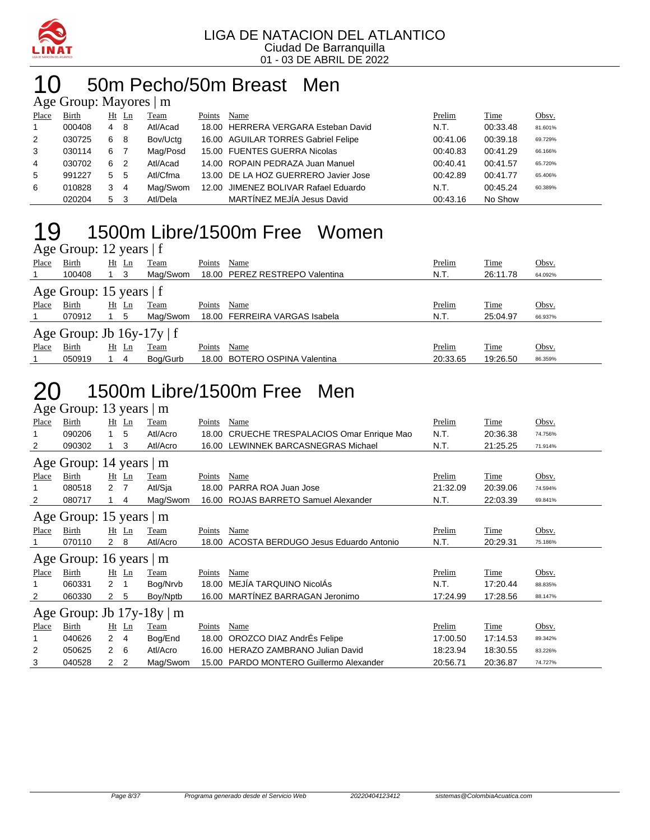

#### 10 50m Pecho/50m Breast Men  $M_{\alpha}$

|              | $\Delta \gtrsim$ Oroup. Mayores $\Box$ III |         |     |          |        |                                      |          |          |         |
|--------------|--------------------------------------------|---------|-----|----------|--------|--------------------------------------|----------|----------|---------|
| Place        | Birth                                      | $Ht$ Ln |     | Team     | Points | Name                                 | Prelim   | Time     | Obsv.   |
| $\mathbf{1}$ | 000408                                     | 4       | -8  | Atl/Acad |        | 18.00 HERRERA VERGARA Esteban David  | N.T.     | 00:33.48 | 81.601% |
| 2            | 030725                                     | 6       | - 8 | Bov/Uctg |        | 16.00 AGUILAR TORRES Gabriel Felipe  | 00:41.06 | 00:39.18 | 69.729% |
| 3            | 030114                                     | 6       | 7   | Mag/Posd |        | 15.00 FUENTES GUERRA Nicolas         | 00:40.83 | 00:41.29 | 66.166% |
| 4            | 030702                                     | 6       | -2  | Atl/Acad |        | 14.00 ROPAIN PEDRAZA Juan Manuel     | 00:40.41 | 00:41.57 | 65.720% |
| 5            | 991227                                     | 5       | - 5 | Atl/Cfma |        | 13.00 DE LA HOZ GUERRERO Javier Jose | 00:42.89 | 00:41.77 | 65.406% |
| 6            | 010828                                     | 3       | 4   | Mag/Swom |        | 12.00 JIMENEZ BOLIVAR Rafael Eduardo | N.T.     | 00:45.24 | 60.389% |
|              | 020204                                     | 5       | 3   | Atl/Dela |        | MARTÍNEZ MEJÍA Jesus David           | 00:43.16 | No Show  |         |

#### 19 1500m Libre/1500m Free Women  $\Delta$ ge Group: 12 years | f

|              | $\Delta \ge 0$ Oroup. 12 years   1 |             |    |             |        |                                |          |             |         |
|--------------|------------------------------------|-------------|----|-------------|--------|--------------------------------|----------|-------------|---------|
| Place        | <b>Birth</b>                       | Ht          | Ln | <b>Team</b> | Points | Name                           | Prelim   | <u>Time</u> | Obsv.   |
|              | 100408                             | $1 \quad 3$ |    | Mag/Swom    |        | 18.00 PEREZ RESTREPO Valentina | N.T.     | 26:11.78    | 64.092% |
|              | Age Group: 15 years $ f $          |             |    |             |        |                                |          |             |         |
| <b>Place</b> | Birth                              | Ht          | Ln | Team        | Points | Name                           | Prelim   | Time        | Obsv.   |
|              | 070912                             | -5          |    | Mag/Swom    |        | 18.00 FERREIRA VARGAS Isabela  | N.T.     | 25:04.97    | 66.937% |
|              | Age Group: Jb $16y-17y \mid f$     |             |    |             |        |                                |          |             |         |
| Place        | Birth                              | Ht Ln       |    | Team        | Points | Name                           | Prelim   | Time        | Obsv.   |
|              | 050919                             |             | 4  | Bog/Gurb    |        | 18.00 BOTERO OSPINA Valentina  | 20:33.65 | 19:26.50    | 86.359% |

### 20 1500m Libre/1500m Free Men

|       | Age Group: 13 years            |              |                | m            |        |                                       |          |          |         |
|-------|--------------------------------|--------------|----------------|--------------|--------|---------------------------------------|----------|----------|---------|
| Place | Birth                          |              | Ht Ln          | Team         | Points | Name                                  | Prelim   | Time     | Obsv.   |
|       | 090206                         |              | 5              | Atl/Acro     | 18.00  | CRUECHE TRESPALACIOS Omar Enrique Mao | N.T.     | 20:36.38 | 74.756% |
| 2     | 090302                         |              | 3              | Atl/Acro     | 16.00  | LEWINNEK BARCASNEGRAS Michael         | N.T.     | 21:25.25 | 71.914% |
|       | Age Group: 14 years            |              |                | m            |        |                                       |          |          |         |
| Place | Birth                          | Ht           | Ln             | Team         | Points | Name                                  | Prelim   | Time     | Obsv.   |
|       | 080518                         | 2            | 7              | Atl/Sja      | 18.00  | PARRA ROA Juan Jose                   | 21:32.09 | 20:39.06 | 74.594% |
| 2     | 080717                         |              | 4              | Mag/Swom     | 16.00  | <b>ROJAS BARRETO Samuel Alexander</b> | N.T.     | 22:03.39 | 69.841% |
|       | Age Group: 15 years   m        |              |                |              |        |                                       |          |          |         |
| Place | Birth                          |              | Ht Ln          | Team         | Points | Name                                  | Prelim   | Time     | Obsv.   |
|       | 070110                         | 2 8          |                | Atl/Acro     | 18.00  | ACOSTA BERDUGO Jesus Eduardo Antonio  | N.T.     | 20:29.31 | 75.186% |
|       | Age Group: 16 years            |              |                | $\mathbf{m}$ |        |                                       |          |          |         |
| Place | Birth                          |              | $Ht$ Ln        | Team         | Points | Name                                  | Prelim   | Time     | Obsv.   |
|       | 060331                         | 2            |                | Bog/Nrvb     | 18.00  | MEJÍA TARQUINO NicolAs                | N.T.     | 17:20.44 | 88.835% |
| 2     | 060330                         | $\mathbf{2}$ | 5              | Boy/Nptb     | 16.00  | MARTÍNEZ BARRAGAN Jeronimo            | 17:24.99 | 17:28.56 | 88.147% |
|       | Age Group: Jb $17y-18y \mid m$ |              |                |              |        |                                       |          |          |         |
| Place | Birth                          | Ht           | $\mathbf{L}$ n | Team         | Points | Name                                  | Prelim   | Time     | Obsv.   |
|       | 040626                         | 2            | 4              | Bog/End      | 18.00  | OROZCO DIAZ AndrÉs Felipe             | 17:00.50 | 17:14.53 | 89.342% |
| 2     | 050625                         | $\mathbf{2}$ | 6              | Atl/Acro     | 16.00  | <b>HERAZO ZAMBRANO Julian David</b>   | 18:23.94 | 18:30.55 | 83.226% |
| 3     | 040528                         | 2            | $\overline{2}$ | Mag/Swom     | 15.00  | PARDO MONTERO Guillermo Alexander     | 20:56.71 | 20:36.87 | 74.727% |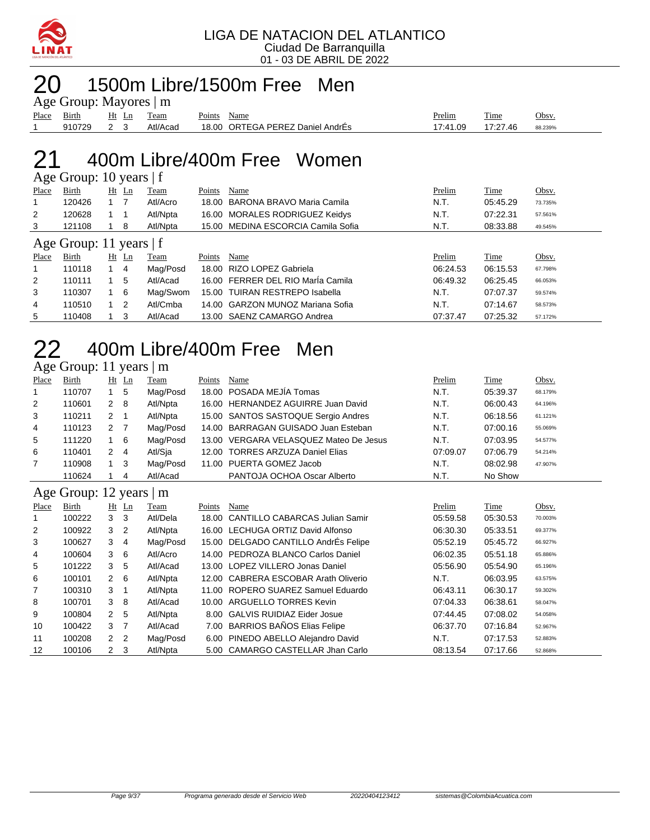

# 1500m Libre/1500m Free Men

|             | Age Group: Mayores   m |     |                   |             |                                  |          |             |         |
|-------------|------------------------|-----|-------------------|-------------|----------------------------------|----------|-------------|---------|
| Place Birth |                        |     | <u>Ht Ln Team</u> | Points Name |                                  | Prelim   | <b>Time</b> | Obsv.   |
|             | 910729                 | 2 3 | Atl/Acad          |             | 18.00 ORTEGA PEREZ Daniel AndrÉs | 17:41.09 | 17:27.46    | 88.239% |

#### 400m Libre/400m Free Women  $\overline{\mathsf{A}}$ ge Group: 10 years | f

|       | $T_{\rm K}$ Oroup. To years $T_{\rm L}$ |            |       |          |        |                                    |          |          |         |
|-------|-----------------------------------------|------------|-------|----------|--------|------------------------------------|----------|----------|---------|
| Place | Birth                                   |            | Ht Ln | Team     | Points | Name                               | Prelim   | Time     | Obsv.   |
|       | 120426                                  |            |       | Atl/Acro |        | 18.00 BARONA BRAVO Maria Camila    | N.T.     | 05:45.29 | 73.735% |
| 2     | 120628                                  |            |       | Atl/Npta |        | 16.00 MORALES RODRIGUEZ Keidys     | N.T.     | 07:22.31 | 57.561% |
| 3     | 121108                                  |            | 8     | Atl/Npta |        | 15.00 MEDINA ESCORCIA Camila Sofia | N.T.     | 08:33.88 | 49.545% |
|       | Age Group: 11 years $ f $               |            |       |          |        |                                    |          |          |         |
| Place | Birth                                   | Ht         | Ln    | Team     | Points | Name                               | Prelim   | Time     | Obsv.   |
|       | 110118                                  |            | 4     | Mag/Posd |        | 18.00 RIZO LOPEZ Gabriela          | 06:24.53 | 06:15.53 | 67.798% |
| 2     | 110111                                  |            | 5     | Atl/Acad |        | 16.00 FERRER DEL RIO María Camila  | 06:49.32 | 06:25.45 | 66.053% |
| 3     | 110307                                  | $1\quad 6$ |       | Mag/Swom |        | 15.00 TUIRAN RESTREPO Isabella     | N.T.     | 07:07.37 | 59.574% |
|       |                                         |            |       |          |        |                                    |          |          |         |
| 4     | 110510                                  | $1\quad 2$ |       | Atl/Cmba |        | 14.00 GARZON MUNOZ Mariana Sofia   | N.T.     | 07:14.67 | 58.573% |

### 400m Libre/400m Free Men Age Group: 11 years | m

| Place | <b>Birth</b> | Ht          | $\mathbf{L}$ n | <u>Team</u> | Points | Name                                   | Prelim   | <b>Time</b> | Obsv.   |
|-------|--------------|-------------|----------------|-------------|--------|----------------------------------------|----------|-------------|---------|
|       | 110707       |             | -5             | Mag/Posd    |        | 18.00 POSADA MEJÍA Tomas               | N.T.     | 05:39.37    | 68.179% |
| 2     | 110601       | 2           | -8             | Atl/Npta    |        | 16.00 HERNANDEZ AGUIRRE Juan David     | N.T.     | 06:00.43    | 64.196% |
| 3     | 110211       | 2           | -1             | Atl/Npta    |        | 15.00 SANTOS SASTOQUE Sergio Andres    | N.T.     | 06:18.56    | 61.121% |
| 4     | 110123       | 2           |                | Mag/Posd    |        | 14.00 BARRAGAN GUISADO Juan Esteban    | N.T.     | 07:00.16    | 55.069% |
| 5     | 111220       |             | -6             | Mag/Posd    |        | 13.00 VERGARA VELASQUEZ Mateo De Jesus | N.T.     | 07:03.95    | 54.577% |
| 6     | 110401       | 2           | 4              | Atl/Sja     |        | 12.00 TORRES ARZUZA Daniel Elias       | 07:09.07 | 07:06.79    | 54.214% |
|       | 110908       | $1 \quad 3$ |                | Mag/Posd    |        | 11.00 PUERTA GOMEZ Jacob               | N.T.     | 08:02.98    | 47.907% |
|       | 110624       |             | 4              | Atl/Acad    |        | PANTOJA OCHOA Oscar Alberto            | N.T.     | No Show     |         |

#### Age Group: 12 years | m

| Place | Birth  |                | $Ht$ Ln        | Team     | Points | Name                                 | Prelim   | Time     | Obsv.   |
|-------|--------|----------------|----------------|----------|--------|--------------------------------------|----------|----------|---------|
|       | 100222 | 3              | -3             | Atl/Dela |        | 18.00 CANTILLO CABARCAS Julian Samir | 05:59.58 | 05:30.53 | 70.003% |
| 2     | 100922 | 3              | $\overline{2}$ | Atl/Npta |        | 16.00 LECHUGA ORTIZ David Alfonso    | 06:30.30 | 05:33.51 | 69.377% |
| 3     | 100627 | 3              | 4              | Mag/Posd |        | 15.00 DELGADO CANTILLO AndrÉs Felipe | 05:52.19 | 05:45.72 | 66.927% |
| 4     | 100604 | 3              | 6              | Atl/Acro |        | 14.00 PEDROZA BLANCO Carlos Daniel   | 06:02.35 | 05:51.18 | 65.886% |
| 5     | 101222 | 3              | 5              | Atl/Acad |        | 13.00 LOPEZ VILLERO Jonas Daniel     | 05:56.90 | 05:54.90 | 65.196% |
| 6     | 100101 | $2\quad 6$     |                | Atl/Npta |        | 12.00 CABRERA ESCOBAR Arath Oliverio | N.T.     | 06:03.95 | 63.575% |
| 7     | 100310 | 3              |                | Atl/Npta |        | 11.00 ROPERO SUAREZ Samuel Eduardo   | 06:43.11 | 06:30.17 | 59.302% |
| 8     | 100701 | 3              | -8             | Atl/Acad |        | 10.00 ARGUELLO TORRES Kevin          | 07:04.33 | 06:38.61 | 58.047% |
| 9     | 100804 | 2 <sub>5</sub> |                | Atl/Npta |        | 8.00 GALVIS RUIDIAZ Eider Josue      | 07:44.45 | 07:08.02 | 54.058% |
| 10    | 100422 | 3              | 7              | Atl/Acad |        | 7.00 BARRIOS BAÑOS Elias Felipe      | 06:37.70 | 07:16.84 | 52.967% |
| 11    | 100208 | 2              | $\overline{2}$ | Mag/Posd |        | 6.00 PINEDO ABELLO Alejandro David   | N.T.     | 07:17.53 | 52.883% |
| 12    | 100106 | $2 \quad 3$    |                | Atl/Npta |        | 5.00 CAMARGO CASTELLAR Jhan Carlo    | 08:13.54 | 07:17.66 | 52.868% |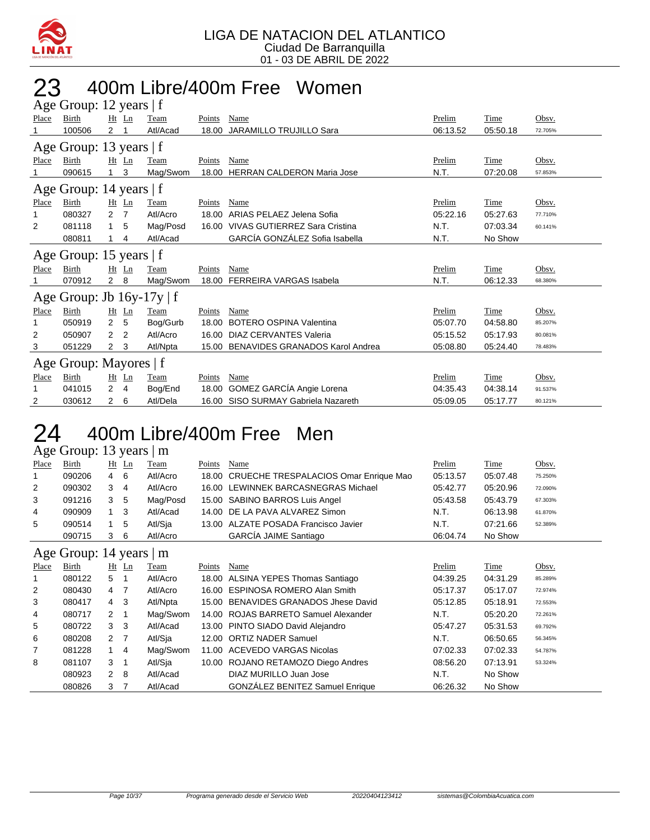

#### 23 400m Libre/400m Free Women Froup:  $12$  years | f

|       | $\Delta$ gu Oroup. 12 yuars   1 |                |                |             |        |                                       |               |             |         |
|-------|---------------------------------|----------------|----------------|-------------|--------|---------------------------------------|---------------|-------------|---------|
| Place | <b>Birth</b>                    |                | $Ht$ Ln        | Team        | Points | Name                                  | Prelim        | Time        | Obsv.   |
|       | 100506                          | 2              |                | Atl/Acad    | 18.00  | <b>JARAMILLO TRUJILLO Sara</b>        | 06:13.52      | 05:50.18    | 72.705% |
|       | Age Group: 13 years   f         |                |                |             |        |                                       |               |             |         |
| Place | Birth                           | $Ht$ Ln        |                | Team        | Points | <b>Name</b>                           | <b>Prelim</b> | <u>Time</u> | Obsv.   |
|       | 090615                          | 1              | 3              | Mag/Swom    | 18.00  | <b>HERRAN CALDERON Maria Jose</b>     | N.T.          | 07:20.08    | 57.853% |
|       | Age Group: 14 years   f         |                |                |             |        |                                       |               |             |         |
| Place | Birth                           |                | $Ht$ Ln        | Team        | Points | Name                                  | Prelim        | <b>Time</b> | Obsv.   |
| 1     | 080327                          | $\overline{2}$ | $\overline{7}$ | Atl/Acro    | 18.00  | ARIAS PELAEZ Jelena Sofia             | 05:22.16      | 05:27.63    | 77.710% |
| 2     | 081118                          | 1              | 5              | Mag/Posd    | 16.00  | VIVAS GUTIERREZ Sara Cristina         | N.T.          | 07:03.34    | 60.141% |
|       | 080811                          |                | 4              | Atl/Acad    |        | GARCÍA GONZÁLEZ Sofia Isabella        | N.T.          | No Show     |         |
|       |                                 |                |                |             |        |                                       |               |             |         |
|       | Age Group: 15 years   f         |                |                |             |        |                                       |               |             |         |
| Place | Birth                           |                | Ht Ln          | Team        | Points | Name                                  | Prelim        | Time        | Obsv.   |
|       | 070912                          | $2 \quad 8$    |                | Mag/Swom    |        | 18.00 FERREIRA VARGAS Isabela         | N.T.          | 06:12.33    | 68.380% |
|       | Age Group: Jb $16y-17y \mid f$  |                |                |             |        |                                       |               |             |         |
| Place | Birth                           |                | $Ht$ Ln        | <b>Team</b> | Points | Name                                  | Prelim        | <b>Time</b> | Obsv.   |
| 1     | 050919                          | $\overline{2}$ | 5              | Bog/Gurb    | 18.00  | <b>BOTERO OSPINA Valentina</b>        | 05:07.70      | 04:58.80    | 85.207% |
| 2     | 050907                          | $\overline{2}$ | $\overline{2}$ | Atl/Acro    | 16.00  | DIAZ CERVANTES Valeria                | 05:15.52      | 05:17.93    | 80.081% |
| 3     | 051229                          | 2              | 3              | Atl/Npta    |        | 15.00 BENAVIDES GRANADOS Karol Andrea | 05:08.80      | 05:24.40    | 78.483% |
|       | Age Group: Mayores   f          |                |                |             |        |                                       |               |             |         |
| Place | <b>Birth</b>                    |                | $Ht$ Ln        | Team        | Points | Name                                  | Prelim        | Time        | Obsv.   |
| 1     | 041015                          | $\overline{2}$ | 4              | Bog/End     |        | 18.00 GOMEZ GARCÍA Angie Lorena       | 04:35.43      | 04:38.14    | 91.537% |

### 24 400m Libre/400m Free Men

Age Group: 13 years | m

| Place | Birth  | $Ht$ Ln    |    | Team     | Points | Name                                        | Prelim   | Time     | Obsv.   |
|-------|--------|------------|----|----------|--------|---------------------------------------------|----------|----------|---------|
|       | 090206 | $4\quad 6$ |    | Atl/Acro |        | 18.00 CRUECHE TRESPALACIOS Omar Enrique Mao | 05:13.57 | 05:07.48 | 75.250% |
| 2     | 090302 | 3          | 4  | Atl/Acro |        | 16.00 LEWINNEK BARCASNEGRAS Michael         | 05:42.77 | 05:20.96 | 72.090% |
| 3     | 091216 | 3          | -5 | Mag/Posd |        | 15.00 SABINO BARROS Luis Angel              | 05:43.58 | 05:43.79 | 67.303% |
| 4     | 090909 |            | 3  | Atl/Acad |        | 14.00 DE LA PAVA ALVAREZ Simon              | N.T.     | 06:13.98 | 61.870% |
| 5     | 090514 |            | 5  | Atl/Sja  |        | 13.00 ALZATE POSADA Francisco Javier        | N.T.     | 07:21.66 | 52.389% |
|       | 090715 | 3          | 6  | Atl/Acro |        | <b>GARCÍA JAIME Santiago</b>                | 06:04.74 | No Show  |         |
|       |        |            |    |          |        |                                             |          |          |         |

#### Age Group: 14 years | m

|                | $1.45$ $0.04$ $0.1$ $1.7$ $0.04$ $0.01$ |             |         |             |        |                                        |          |          |         |  |  |  |
|----------------|-----------------------------------------|-------------|---------|-------------|--------|----------------------------------------|----------|----------|---------|--|--|--|
| Place          | <b>Birth</b>                            |             | $Ht$ Ln | <b>Team</b> | Points | Name                                   | Prelim   | Time     | Obsv.   |  |  |  |
|                | 080122                                  | 5           |         | Atl/Acro    |        | 18.00 ALSINA YEPES Thomas Santiago     | 04:39.25 | 04:31.29 | 85.289% |  |  |  |
| 2              | 080430                                  | 4           | -7      | Atl/Acro    |        | 16.00 ESPINOSA ROMERO Alan Smith       | 05:17.37 | 05:17.07 | 72.974% |  |  |  |
| 3              | 080417                                  | 4 3         |         | Atl/Npta    |        | 15.00 BENAVIDES GRANADOS Jhese David   | 05:12.85 | 05:18.91 | 72.553% |  |  |  |
| 4              | 080717                                  | $2 \quad 1$ |         | Mag/Swom    |        | 14.00 ROJAS BARRETO Samuel Alexander   | N.T.     | 05:20.20 | 72.261% |  |  |  |
| 5              | 080722                                  | 3           | -3      | Atl/Acad    |        | 13.00 PINTO SIADO David Alejandro      | 05:47.27 | 05:31.53 | 69.792% |  |  |  |
| 6              | 080208                                  | 2 7         |         | Atl/Sja     |        | 12.00 ORTIZ NADER Samuel               | N.T.     | 06:50.65 | 56.345% |  |  |  |
| $\overline{7}$ | 081228                                  |             | -4      | Mag/Swom    |        | 11.00 ACEVEDO VARGAS Nicolas           | 07:02.33 | 07:02.33 | 54.787% |  |  |  |
| 8              | 081107                                  | 3           |         | Atl/Sja     |        | 10.00 ROJANO RETAMOZO Diego Andres     | 08:56.20 | 07:13.91 | 53.324% |  |  |  |
|                | 080923                                  | 2 8         |         | Atl/Acad    |        | DIAZ MURILLO Juan Jose                 | N.T.     | No Show  |         |  |  |  |
|                | 080826                                  | 3           |         | Atl/Acad    |        | <b>GONZÁLEZ BENITEZ Samuel Enrique</b> | 06:26.32 | No Show  |         |  |  |  |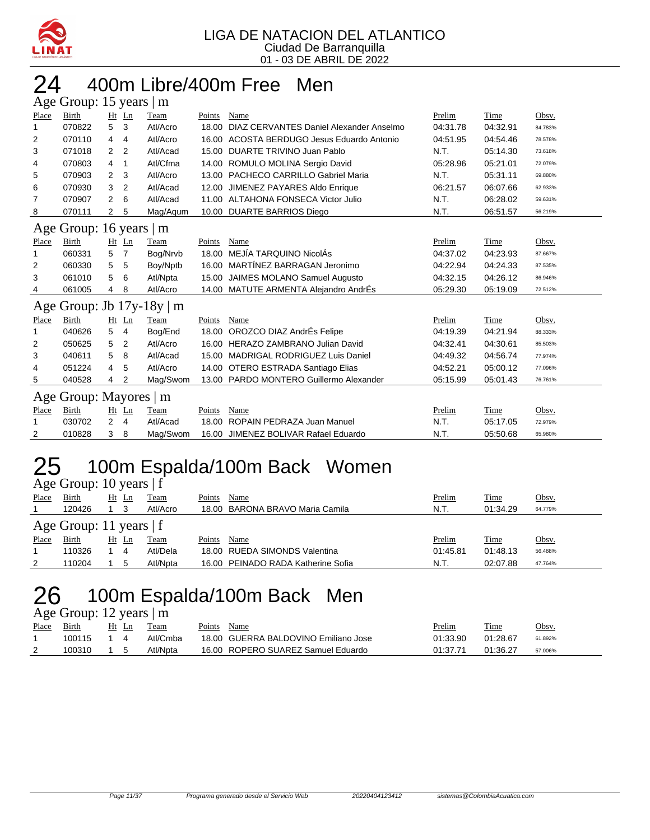

# 24 400m Libre/400m Free Men

| Age Group: 15 years  <br>m |                                |                |                |          |        |                                            |          |          |         |  |  |  |
|----------------------------|--------------------------------|----------------|----------------|----------|--------|--------------------------------------------|----------|----------|---------|--|--|--|
| Place                      | Birth                          |                | Ht Ln          | Team     | Points | Name                                       | Prelim   | Time     | Obsv.   |  |  |  |
| $\mathbf 1$                | 070822                         | 5              | 3              | Atl/Acro | 18.00  | DIAZ CERVANTES Daniel Alexander Anselmo    | 04:31.78 | 04:32.91 | 84.783% |  |  |  |
| 2                          | 070110                         | 4              | 4              | Atl/Acro |        | 16.00 ACOSTA BERDUGO Jesus Eduardo Antonio | 04:51.95 | 04:54.46 | 78.578% |  |  |  |
| 3                          | 071018                         | 2              | 2              | Atl/Acad | 15.00  | DUARTE TRIVINO Juan Pablo                  | N.T.     | 05:14.30 | 73.618% |  |  |  |
| 4                          | 070803                         | 4              | 1              | Atl/Cfma |        | 14.00 ROMULO MOLINA Sergio David           | 05:28.96 | 05:21.01 | 72.079% |  |  |  |
| 5                          | 070903                         | $\overline{2}$ | 3              | Atl/Acro |        | 13.00 PACHECO CARRILLO Gabriel Maria       | N.T.     | 05:31.11 | 69.880% |  |  |  |
| 6                          | 070930                         | 3              | 2              | Atl/Acad | 12.00  | JIMENEZ PAYARES Aldo Enrique               | 06:21.57 | 06:07.66 | 62.933% |  |  |  |
| 7                          | 070907                         | 2              | 6              | Atl/Acad |        | 11.00 ALTAHONA FONSECA Victor Julio        | N.T.     | 06:28.02 | 59.631% |  |  |  |
| 8                          | 070111                         | 2              | 5              | Mag/Agum |        | 10.00 DUARTE BARRIOS Diego                 | N.T.     | 06:51.57 | 56.219% |  |  |  |
|                            | Age Group: 16 years            |                |                | m        |        |                                            |          |          |         |  |  |  |
| Place                      | Birth                          |                | Ht Ln          | Team     | Points | Name                                       | Prelim   | Time     | Obsv.   |  |  |  |
| 1                          | 060331                         | 5              | $\overline{7}$ | Bog/Nrvb | 18.00  | MEJÍA TAROUINO NicolÁs                     | 04:37.02 | 04:23.93 | 87.667% |  |  |  |
| 2                          | 060330                         | 5              | 5              | Boy/Nptb | 16.00  | MARTÍNEZ BARRAGAN Jeronimo                 | 04:22.94 | 04:24.33 | 87.535% |  |  |  |
| 3                          | 061010                         | 5              | 6              | Atl/Npta | 15.00  | JAIMES MOLANO Samuel Augusto               | 04:32.15 | 04:26.12 | 86.946% |  |  |  |
| 4                          | 061005                         | 4              | 8              | Atl/Acro |        | 14.00 MATUTE ARMENTA Alejandro AndrÉs      | 05:29.30 | 05:19.09 | 72.512% |  |  |  |
|                            | Age Group: Jb $17y-18y \mid m$ |                |                |          |        |                                            |          |          |         |  |  |  |
| Place                      | Birth                          |                | Ht Ln          | Team     | Points | Name                                       | Prelim   | Time     | Obsv.   |  |  |  |
| 1                          | 040626                         | 5              | 4              | Bog/End  | 18.00  | OROZCO DIAZ AndrÉs Felipe                  | 04:19.39 | 04:21.94 | 88.333% |  |  |  |
| 2                          | 050625                         | 5              | 2              | Atl/Acro |        | 16.00 HERAZO ZAMBRANO Julian David         | 04:32.41 | 04:30.61 | 85.503% |  |  |  |
| 3                          | 040611                         | 5              | 8              | Atl/Acad |        | 15.00 MADRIGAL RODRIGUEZ Luis Daniel       | 04:49.32 | 04:56.74 | 77.974% |  |  |  |
| 4                          | 051224                         | 4              | 5              | Atl/Acro |        | 14.00 OTERO ESTRADA Santiago Elias         | 04:52.21 | 05:00.12 | 77.096% |  |  |  |
| 5                          | 040528                         | 4              | 2              | Mag/Swom | 13.00  | PARDO MONTERO Guillermo Alexander          | 05:15.99 | 05:01.43 | 76.761% |  |  |  |
|                            | Age Group: Mayores             |                |                | m        |        |                                            |          |          |         |  |  |  |
| Place                      | Birth                          | Ht             | Ln             | Team     | Points | Name                                       | Prelim   | Time     | Obsv.   |  |  |  |
| 1                          | 030702                         | $\overline{2}$ | 4              | Atl/Acad | 18.00  | ROPAIN PEDRAZA Juan Manuel                 | N.T.     | 05:17.05 | 72.979% |  |  |  |
| 2                          | 010828                         | 3              | 8              | Mag/Swom | 16.00  | JIMENEZ BOLIVAR Rafael Eduardo             | N.T.     | 05:50.68 | 65.980% |  |  |  |

## 25 100m Espalda/100m Back Women

Age Group: 10 years | f

| Place | Birth                     | Ht | Ln | Team     | Points | Name                               | Prelim   | Time     | Obsv.   |  |  |  |  |
|-------|---------------------------|----|----|----------|--------|------------------------------------|----------|----------|---------|--|--|--|--|
|       | 120426                    |    |    | Atl/Acro |        | 18.00 BARONA BRAVO Maria Camila    | N.T.     | 01:34.29 | 64.779% |  |  |  |  |
|       | Age Group: 11 years $ f $ |    |    |          |        |                                    |          |          |         |  |  |  |  |
| Place | Birth                     | Ht | Ln | Team     | Points | Name                               | Prelim   | Time     | Obsv.   |  |  |  |  |
|       | 110326                    |    | 4  | Atl/Dela |        | 18.00 RUEDA SIMONDS Valentina      | 01:45.81 | 01:48.13 | 56.488% |  |  |  |  |
| 2     | 110204                    |    |    | Atl/Npta |        | 16.00 PEINADO RADA Katherine Sofia | N.T.     | 02:07.88 | 47.764% |  |  |  |  |

#### 26 100m Espalda/100m Back Men  $\Delta$ ge Group: 12 years  $\overline{\phantom{a}}$  m

| $T_{\rm esc}$ Oroup. 12 years $\mu$ m |        |  |       |          |             |                                      |          |          |         |  |  |  |
|---------------------------------------|--------|--|-------|----------|-------------|--------------------------------------|----------|----------|---------|--|--|--|
| <b>Place</b>                          | Birth  |  | Ht Ln | Team     | Points Name |                                      | Prelim   | Time     | Obsv.   |  |  |  |
|                                       | 100115 |  |       | Atl/Cmba |             | 18.00 GUERRA BALDOVINO Emiliano Jose | 01:33.90 | 01:28.67 | 61.892% |  |  |  |
|                                       | 100310 |  |       | Atl/Npta |             | 16.00 ROPERO SUAREZ Samuel Eduardo   | 01:37.71 | 01:36.27 | 57.006% |  |  |  |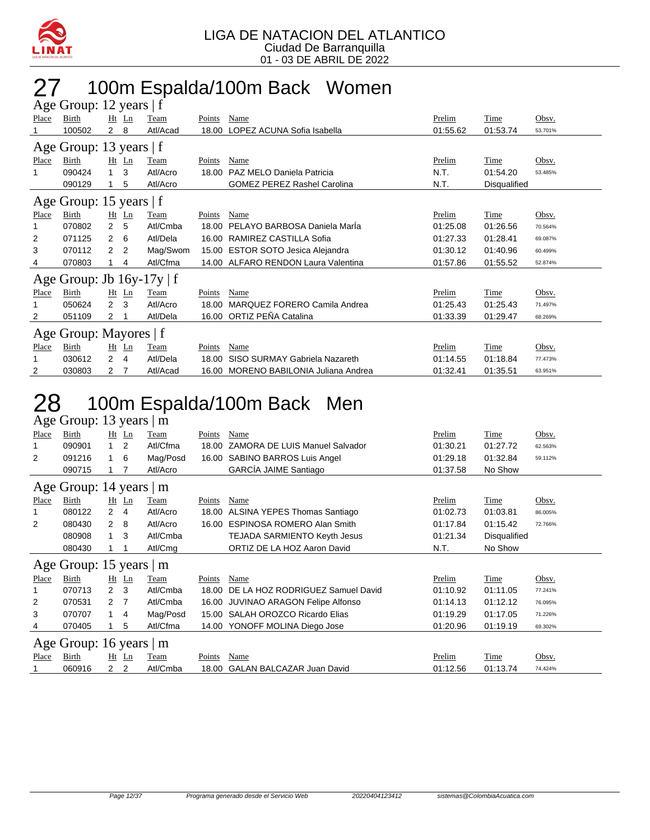

### 27 100m Espalda/100m Back Women

| Age Group: 12 years   f |                                |                |         |          |        |                                       |          |              |         |  |  |  |
|-------------------------|--------------------------------|----------------|---------|----------|--------|---------------------------------------|----------|--------------|---------|--|--|--|
| Place                   | Birth                          |                | $Ht$ Ln | Team     | Points | Name                                  | Prelim   | Time         | Obsv.   |  |  |  |
|                         | 100502                         | $\mathbf{2}$   | 8       | Atl/Acad | 18.00  | LOPEZ ACUNA Sofia Isabella            | 01:55.62 | 01:53.74     | 53.701% |  |  |  |
| Age Group: 13 years   f |                                |                |         |          |        |                                       |          |              |         |  |  |  |
| Place                   | Birth                          |                | Ht Ln   | Team     | Points | Name                                  | Prelim   | Time         | Obsv.   |  |  |  |
| 1                       | 090424                         | 1              | 3       | Atl/Acro | 18.00  | PAZ MELO Daniela Patricia             | N.T.     | 01:54.20     | 53.485% |  |  |  |
|                         | 090129                         |                | 5       | Atl/Acro |        | <b>GOMEZ PEREZ Rashel Carolina</b>    | N.T.     | Disqualified |         |  |  |  |
|                         | Age Group: 15 years $ f $      |                |         |          |        |                                       |          |              |         |  |  |  |
| Place                   | Birth                          |                | $Ht$ Ln | Team     | Points | Name                                  | Prelim   | Time         | Obsv.   |  |  |  |
| 1                       | 070802                         | $\overline{2}$ | 5       | Atl/Cmba | 18.00  | PELAYO BARBOSA Daniela Marla          | 01:25.08 | 01:26.56     | 70.564% |  |  |  |
| 2                       | 071125                         | $2\quad 6$     |         | Atl/Dela | 16.00  | RAMIREZ CASTILLA Sofia                | 01:27.33 | 01:28.41     | 69.087% |  |  |  |
| 3                       | 070112                         | 2              | 2       | Mag/Swom |        | 15.00 ESTOR SOTO Jesica Alejandra     | 01:30.12 | 01:40.96     | 60.499% |  |  |  |
| 4                       | 070803                         |                | 4       | Atl/Cfma |        | 14.00 ALFARO RENDON Laura Valentina   | 01:57.86 | 01:55.52     | 52.874% |  |  |  |
|                         | Age Group: Jb $16y-17y \mid f$ |                |         |          |        |                                       |          |              |         |  |  |  |
| Place                   | Birth                          |                | $Ht$ Ln | Team     | Points | Name                                  | Prelim   | Time         | Obsv.   |  |  |  |
| 1                       | 050624                         | $\overline{2}$ | 3       | Atl/Acro | 18.00  | MARQUEZ FORERO Camila Andrea          | 01:25.43 | 01:25.43     | 71.497% |  |  |  |
| 2                       | 051109                         | 2              |         | Atl/Dela | 16.00  | ORTIZ PEÑA Catalina                   | 01:33.39 | 01:29.47     | 68.269% |  |  |  |
|                         | Age Group: Mayores   f         |                |         |          |        |                                       |          |              |         |  |  |  |
| Place                   | Birth                          |                | $Ht$ Ln | Team     | Points | Name                                  | Prelim   | Time         | Obsv.   |  |  |  |
|                         | 030612                         | $\overline{2}$ | 4       | Atl/Dela | 18.00  | SISO SURMAY Gabriela Nazareth         | 01:14.55 | 01:18.84     | 77.473% |  |  |  |
| 2                       | 030803                         | 2              |         | Atl/Acad |        | 16.00 MORENO BABILONIA Juliana Andrea | 01:32.41 | 01:35.51     | 63.951% |  |  |  |

### 28 100m Espalda/100m Back Men

| Age Group: 13 years   m  |                               |                |         |          |        |                                       |               |              |         |  |  |  |  |
|--------------------------|-------------------------------|----------------|---------|----------|--------|---------------------------------------|---------------|--------------|---------|--|--|--|--|
| <b>Place</b>             | Birth                         |                | $Ht$ Ln | Team     | Points | Name                                  | <b>Prelim</b> | Time         | Obsv.   |  |  |  |  |
| 1                        | 090901                        | 1              | 2       | Atl/Cfma | 18.00  | <b>ZAMORA DE LUIS Manuel Salvador</b> | 01:30.21      | 01:27.72     | 62.563% |  |  |  |  |
| 2                        | 091216                        |                | 6       | Mag/Posd | 16.00  | SABINO BARROS Luis Angel              | 01:29.18      | 01:32.84     | 59.112% |  |  |  |  |
|                          | 090715                        |                |         | Atl/Acro |        | GARCÍA JAIME Santiago                 | 01:37.58      | No Show      |         |  |  |  |  |
|                          | Age Group: 14 years $\vert$ m |                |         |          |        |                                       |               |              |         |  |  |  |  |
| Place                    | Birth                         |                | $Ht$ Ln | Team     | Points | Name                                  | Prelim        | Time         | Obsv.   |  |  |  |  |
|                          | 080122                        | $\overline{2}$ | 4       | Atl/Acro | 18.00  | ALSINA YEPES Thomas Santiago          | 01:02.73      | 01:03.81     | 86.005% |  |  |  |  |
| 2                        | 080430                        | $\mathbf{2}$   | - 8     | Atl/Acro | 16.00  | <b>ESPINOSA ROMERO Alan Smith</b>     | 01:17.84      | 01:15.42     | 72.766% |  |  |  |  |
|                          | 080908                        | 1              | 3       | Atl/Cmba |        | TEJADA SARMIENTO Keyth Jesus          | 01:21.34      | Disqualified |         |  |  |  |  |
|                          | 080430                        | 1              |         | Atl/Cmg  |        | ORTIZ DE LA HOZ Aaron David           | N.T.          | No Show      |         |  |  |  |  |
| Age Group: 15 years $ m$ |                               |                |         |          |        |                                       |               |              |         |  |  |  |  |
|                          |                               |                |         |          |        |                                       |               |              |         |  |  |  |  |
| Place                    | Birth                         |                | $Ht$ Ln | Team     | Points | Name                                  | Prelim        | Time         | Obsv.   |  |  |  |  |
| 1                        | 070713                        | $\overline{2}$ | 3       | Atl/Cmba | 18.00  | DE LA HOZ RODRIGUEZ Samuel David      | 01:10.92      | 01:11.05     | 77.241% |  |  |  |  |
| 2                        | 070531                        | 2              | -7      | Atl/Cmba | 16.00  | JUVINAO ARAGON Felipe Alfonso         | 01:14.13      | 01:12.12     | 76.095% |  |  |  |  |
| 3                        | 070707                        | 1.             | 4       | Mag/Posd | 15.00  | SALAH OROZCO Ricardo Elias            | 01:19.29      | 01:17.05     | 71.226% |  |  |  |  |
| 4                        | 070405                        |                | 5       | Atl/Cfma |        | 14.00 YONOFF MOLINA Diego Jose        | 01:20.96      | 01:19.19     | 69.302% |  |  |  |  |
|                          | Age Group: 16 years   m       |                |         |          |        |                                       |               |              |         |  |  |  |  |
| Place                    | Birth                         |                | $Ht$ Ln | Team     | Points | Name                                  | Prelim        | Time         | Obsv.   |  |  |  |  |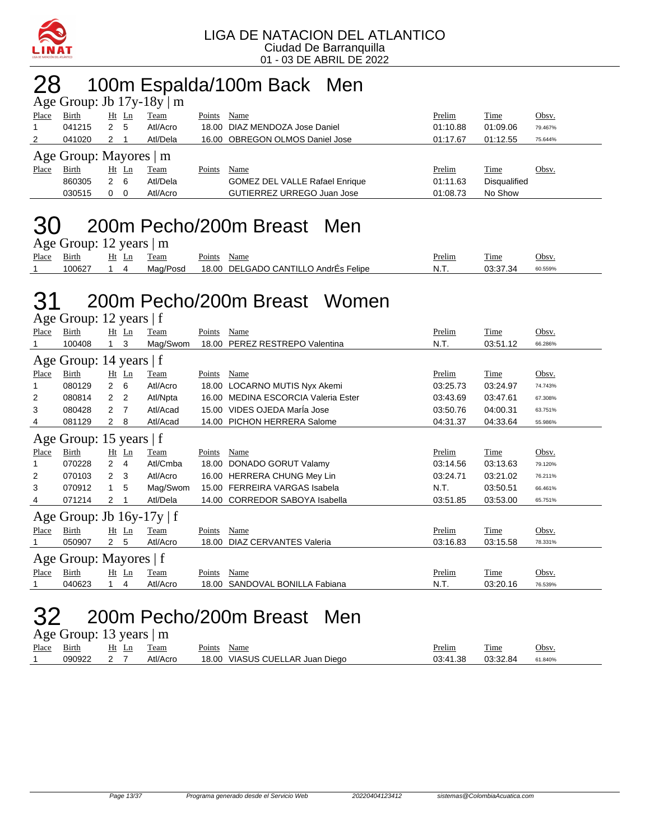

### 28 100m Espalda/100m Back Men

| Age Group: Jb $17y-18y \mid m$ |                        |    |       |          |        |                                       |          |                     |         |  |  |  |
|--------------------------------|------------------------|----|-------|----------|--------|---------------------------------------|----------|---------------------|---------|--|--|--|
| Place                          | Birth                  | Ht | Ln    | Team     | Points | Name                                  | Prelim   | Time                | Obsv.   |  |  |  |
|                                | 041215                 |    | -5    | Atl/Acro |        | 18.00 DIAZ MENDOZA Jose Daniel        | 01:10.88 | 01:09.06            | 79.467% |  |  |  |
| $\overline{2}$                 | 041020                 | 2  |       | Atl/Dela |        | 16.00 OBREGON OLMOS Daniel Jose       | 01:17.67 | 01:12.55            | 75.644% |  |  |  |
|                                | Age Group: Mayores   m |    |       |          |        |                                       |          |                     |         |  |  |  |
| Place                          | <b>Birth</b>           |    | Ht Ln | Team     | Points | Name                                  | Prelim   | Time                | Obsv.   |  |  |  |
|                                | 860305                 | 2  | - 6   | Atl/Dela |        | <b>GOMEZ DEL VALLE Rafael Enrique</b> | 01:11.63 | <b>Disqualified</b> |         |  |  |  |
|                                | 030515                 | 0  | - 0   | Atl/Acro |        | GUTIERREZ URREGO Juan Jose            | 01:08.73 | No Show             |         |  |  |  |
|                                |                        |    |       |          |        |                                       |          |                     |         |  |  |  |

#### 30 200m Pecho/200m Breast Men  $A$ ge Group: 12 years  $|m$

| $1.5$ Oroup. $12$ years $1.01$ |            |       |          |                                      |        |          |         |  |  |  |  |  |
|--------------------------------|------------|-------|----------|--------------------------------------|--------|----------|---------|--|--|--|--|--|
| Place                          | Birth      | Ht Ln | Team     | Points Name                          | Prelim | Time     | Obsv.   |  |  |  |  |  |
|                                | 100627 1 4 |       | Maɑ/Posd | 18.00 DELGADO CANTILLO AndrEs Felipe | N.T    | 03:37.34 | 60.559% |  |  |  |  |  |

#### 31 200m Pecho/200m Breast Women Age Group: 12 years | f

| $T_{25}$ C OTOUP. 12 years   1 |                                |                |                |          |        |                                     |          |             |         |  |  |  |
|--------------------------------|--------------------------------|----------------|----------------|----------|--------|-------------------------------------|----------|-------------|---------|--|--|--|
| Place                          | Birth                          |                | $Ht$ Ln        | Team     | Points | Name                                | Prelim   | <b>Time</b> | Obsv.   |  |  |  |
|                                | 100408                         |                | 3              | Mag/Swom | 18.00  | PEREZ RESTREPO Valentina            | N.T.     | 03:51.12    | 66.286% |  |  |  |
|                                | Age Group: 14 years   f        |                |                |          |        |                                     |          |             |         |  |  |  |
| Place                          | Birth                          |                | $Ht$ Ln        | Team     | Points | Name                                | Prelim   | Time        | Obsv.   |  |  |  |
|                                | 080129                         | $\overline{2}$ | 6              | Atl/Acro | 18.00  | LOCARNO MUTIS Nyx Akemi             | 03:25.73 | 03:24.97    | 74.743% |  |  |  |
| 2                              | 080814                         | 2              | $\overline{2}$ | Atl/Npta |        | 16.00 MEDINA ESCORCIA Valeria Ester | 03:43.69 | 03:47.61    | 67.308% |  |  |  |
| 3                              | 080428                         | 2              | - 7            | Atl/Acad |        | 15.00 VIDES OJEDA MarÍa Jose        | 03:50.76 | 04:00.31    | 63.751% |  |  |  |
| 4                              | 081129                         | 2              | 8              | Atl/Acad |        | 14.00 PICHON HERRERA Salome         | 04:31.37 | 04:33.64    | 55.986% |  |  |  |
|                                | Age Group: 15 years   f        |                |                |          |        |                                     |          |             |         |  |  |  |
| Place                          | Birth                          |                | $Ht$ Ln        | Team     | Points | Name                                | Prelim   | Time        | Obsv.   |  |  |  |
|                                | 070228                         | $\overline{2}$ | $\overline{4}$ | Atl/Cmba | 18.00  | DONADO GORUT Valamy                 | 03:14.56 | 03:13.63    | 79.120% |  |  |  |
| 2                              | 070103                         | 2              | 3 <sup>5</sup> | Atl/Acro |        | 16.00 HERRERA CHUNG Mey Lin         | 03:24.71 | 03:21.02    | 76.211% |  |  |  |
| 3                              | 070912                         | $\overline{1}$ | 5              | Mag/Swom |        | 15.00 FERREIRA VARGAS Isabela       | N.T.     | 03:50.51    | 66.461% |  |  |  |
| 4                              | 071214                         | 2              |                | Atl/Dela |        | 14.00 CORREDOR SABOYA Isabella      | 03:51.85 | 03:53.00    | 65.751% |  |  |  |
|                                | Age Group: Jb $16y-17y \mid f$ |                |                |          |        |                                     |          |             |         |  |  |  |
| Place                          | Birth                          |                | $Ht$ Ln        | Team     | Points | Name                                | Prelim   | <b>Time</b> | Obsv.   |  |  |  |
|                                | 050907                         | $2^{\circ}$    | -5             | Atl/Acro | 18.00  | <b>DIAZ CERVANTES Valeria</b>       | 03:16.83 | 03:15.58    | 78.331% |  |  |  |
|                                | Age Group: Mayores   f         |                |                |          |        |                                     |          |             |         |  |  |  |
| Place                          | Birth                          |                | $Ht$ Ln        | Team     | Points | Name                                | Prelim   | Time        | Obsv.   |  |  |  |
|                                | 040623                         |                | 4              | Atl/Acro | 18.00  | SANDOVAL BONILLA Fabiana            | N.T.     | 03:20.16    | 76.539% |  |  |  |

### 32 200m Pecho/200m Breast Men

Age Group: 13 years | m

| Place | Bırth  | Ht<br>⊷ | eam      | Points<br>Name                                      | Prelim               | m.<br>i ime | Obsv.   |
|-------|--------|---------|----------|-----------------------------------------------------|----------------------|-------------|---------|
|       | 090922 |         | Atl/Acro | <b>VIASUS CUEL</b><br>Diego<br>18.00<br>_AR<br>Juan | 03.41.38<br>.<br>∪∪. | 03:32.84    | 61.840% |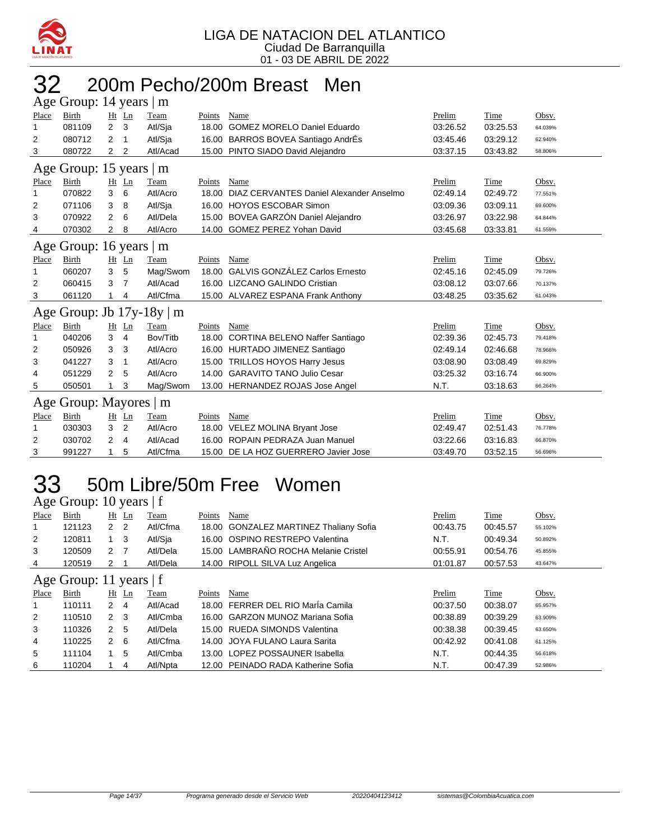

# 200m Pecho/200m Breast Men

| Age Group: 14 years  <br>$\mathbf{m}$ |                         |                |                |              |        |                                         |          |          |         |  |  |  |
|---------------------------------------|-------------------------|----------------|----------------|--------------|--------|-----------------------------------------|----------|----------|---------|--|--|--|
| Place                                 | <b>Birth</b>            |                | Ht Ln          | Team         | Points | Name                                    | Prelim   | Time     | Obsv.   |  |  |  |
| 1                                     | 081109                  | $\overline{2}$ | 3              | Atl/Sja      | 18.00  | <b>GOMEZ MORELO Daniel Eduardo</b>      | 03:26.52 | 03:25.53 | 64.039% |  |  |  |
| 2                                     | 080712                  | 2              | -1             | Atl/Sja      |        | 16.00 BARROS BOVEA Santiago AndrÉs      | 03:45.46 | 03:29.12 | 62.940% |  |  |  |
| 3                                     | 080722                  | 2              | $\overline{2}$ | Atl/Acad     |        | 15.00 PINTO SIADO David Alejandro       | 03:37.15 | 03:43.82 | 58.806% |  |  |  |
| Age Group: 15 years   m               |                         |                |                |              |        |                                         |          |          |         |  |  |  |
| Place                                 | <b>Birth</b>            |                | $Ht$ Ln        | Team         | Points | Name                                    | Prelim   | Time     | Obsv.   |  |  |  |
| 1                                     | 070822                  | 3              | 6              | Atl/Acro     | 18.00  | DIAZ CERVANTES Daniel Alexander Anselmo | 02:49.14 | 02:49.72 | 77.551% |  |  |  |
| 2                                     | 071106                  | 3              | 8              | Atl/Sja      | 16.00  | <b>HOYOS ESCOBAR Simon</b>              | 03:09.36 | 03:09.11 | 69.600% |  |  |  |
| 3                                     | 070922                  | 2              | 6              | Atl/Dela     | 15.00  | BOVEA GARZÓN Daniel Alejandro           | 03:26.97 | 03:22.98 | 64.844% |  |  |  |
| 4                                     | 070302                  | $\overline{2}$ | 8              | Atl/Acro     |        | 14.00 GOMEZ PEREZ Yohan David           | 03:45.68 | 03:33.81 | 61.559% |  |  |  |
|                                       | Age Group: 16 years   m |                |                |              |        |                                         |          |          |         |  |  |  |
| Place                                 | <b>Birth</b>            |                | $Ht$ Ln        | Team         | Points | Name                                    | Prelim   | Time     | Obsv.   |  |  |  |
| 1                                     | 060207                  | 3              | 5              | Mag/Swom     | 18.00  | <b>GALVIS GONZÁLEZ Carlos Ernesto</b>   | 02:45.16 | 02:45.09 | 79.726% |  |  |  |
| 2                                     | 060415                  | 3              | $\overline{7}$ | Atl/Acad     | 16.00  | LIZCANO GALINDO Cristian                | 03:08.12 | 03:07.66 | 70.137% |  |  |  |
| 3                                     | 061120                  | 1              | 4              | Atl/Cfma     |        | 15.00 ALVAREZ ESPANA Frank Anthony      | 03:48.25 | 03:35.62 | 61.043% |  |  |  |
|                                       | Age Group: Jb $17y-18y$ |                |                | $\mathsf{m}$ |        |                                         |          |          |         |  |  |  |
| Place                                 | Birth                   |                | Ht Ln          | Team         | Points | Name                                    | Prelim   | Time     | Obsv.   |  |  |  |
| 1                                     | 040206                  | 3              | 4              | Bov/Titb     | 18.00  | <b>CORTINA BELENO Naffer Santiago</b>   | 02:39.36 | 02:45.73 | 79.418% |  |  |  |
| 2                                     | 050926                  | 3              | 3              | Atl/Acro     |        | 16.00 HURTADO JIMENEZ Santiago          | 02:49.14 | 02:46.68 | 78.966% |  |  |  |
| 3                                     | 041227                  | 3              | $\mathbf{1}$   | Atl/Acro     | 15.00  | <b>TRILLOS HOYOS Harry Jesus</b>        | 03:08.90 | 03:08.49 | 69.829% |  |  |  |
| 4                                     | 051229                  | 2              | 5              | Atl/Acro     |        | 14.00 GARAVITO TANO Julio Cesar         | 03:25.32 | 03:16.74 | 66.900% |  |  |  |
| 5                                     | 050501                  |                | 3              | Mag/Swom     |        | 13.00 HERNANDEZ ROJAS Jose Angel        | N.T.     | 03:18.63 | 66.264% |  |  |  |
| Age                                   | Group: Mayores   m      |                |                |              |        |                                         |          |          |         |  |  |  |
| Place                                 | <b>Birth</b>            | Ht             | Ln             | Team         | Points | Name                                    | Prelim   | Time     | Obsv.   |  |  |  |
| 1                                     | 030303                  | 3              | $\overline{2}$ | Atl/Acro     |        | 18.00 VELEZ MOLINA Bryant Jose          | 02:49.47 | 02:51.43 | 76.778% |  |  |  |
| 2                                     | 030702                  | 2              | 4              | Atl/Acad     | 16.00  | ROPAIN PEDRAZA Juan Manuel              | 03:22.66 | 03:16.83 | 66.870% |  |  |  |
| 3                                     | 991227                  | 1              | 5              | Atl/Cfma     |        | 15.00 DE LA HOZ GUERRERO Javier Jose    | 03:49.70 | 03:52.15 | 56.696% |  |  |  |

### 50m Libre/50m Free Women

Age Group: 10 years | f

| Place | Birth                     |                | Ht Ln          | Team     | Points | Name                                    | Prelim   | <b>Time</b> | Obsv.   |
|-------|---------------------------|----------------|----------------|----------|--------|-----------------------------------------|----------|-------------|---------|
|       | 121123                    | 2 <sub>2</sub> |                | Atl/Cfma | 18.00  | <b>GONZALEZ MARTINEZ Thaliany Sofia</b> | 00:43.75 | 00:45.57    | 55.102% |
| 2     | 120811                    | $1 \quad 3$    |                | Atl/Sia  |        | 16.00 OSPINO RESTREPO Valentina         | N.T.     | 00:49.34    | 50.892% |
| 3     | 120509                    | 2 7            |                | Atl/Dela |        | 15.00 LAMBRAÑO ROCHA Melanie Cristel    | 00:55.91 | 00:54.76    | 45.855% |
| 4     | 120519                    | 2              |                | Atl/Dela |        | 14.00 RIPOLL SILVA Luz Angelica         | 01:01.87 | 00:57.53    | 43.647% |
|       | Age Group: 11 years $ f $ |                |                |          |        |                                         |          |             |         |
| Place | Birth                     |                | $Ht$ Ln        | Team     | Points | Name                                    | Prelim   | Time        | Obsv.   |
| 1     | 110111                    | 2              | $\overline{4}$ | Atl/Acad |        | 18.00 FERRER DEL RIO María Camila       | 00:37.50 | 00:38.07    | 65.957% |
| 2     | 110510                    | $2 \quad 3$    |                | Atl/Cmba |        | 16.00 GARZON MUNOZ Mariana Sofia        | 00:38.89 | 00:39.29    | 63.909% |
|       |                           |                |                |          |        |                                         |          |             |         |
| 3     | 110326                    | 2              | -5             | Atl/Dela |        | 15.00 RUEDA SIMONDS Valentina           | 00:38.38 | 00:39.45    | 63.650% |
| 4     | 110225                    | $2 \quad 6$    |                | Atl/Cfma |        | 14.00 JOYA FULANO Laura Sarita          | 00:42.92 | 00:41.08    | 61.125% |
| 5     | 111104                    |                | 5              | Atl/Cmba |        | 13.00 LOPEZ POSSAUNER Isabella          | N.T.     | 00:44.35    | 56.618% |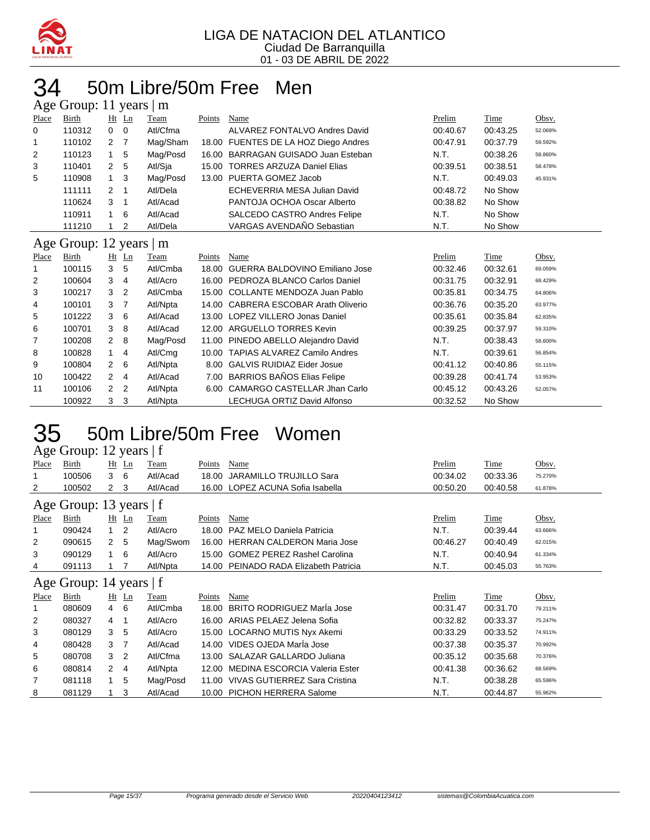

### 50m Libre/50m Free Men  $\epsilon$  Group: 11 years  $\mathsf{Im}$

|                | $\Delta g$ c Oroup. 11 years $\parallel$ m |                |                |          |        |                                      |          |          |         |
|----------------|--------------------------------------------|----------------|----------------|----------|--------|--------------------------------------|----------|----------|---------|
| Place          | Birth                                      | $Ht$ Ln        |                | Team     | Points | Name                                 | Prelim   | Time     | Obsv.   |
| 0              | 110312                                     | 0              | $\mathbf 0$    | Atl/Cfma |        | ALVAREZ FONTALVO Andres David        | 00:40.67 | 00:43.25 | 52.069% |
| 1              | 110102                                     | 2              | 7              | Mag/Sham |        | 18.00 FUENTES DE LA HOZ Diego Andres | 00:47.91 | 00:37.79 | 59.592% |
| $\overline{2}$ | 110123                                     | 1              | 5              | Mag/Posd | 16.00  | BARRAGAN GUISADO Juan Esteban        | N.T.     | 00:38.26 | 58.860% |
| 3              | 110401                                     | 2              | 5              | Atl/Sja  |        | 15.00 TORRES ARZUZA Daniel Elias     | 00:39.51 | 00:38.51 | 58.478% |
| 5              | 110908                                     | 1              | 3              | Mag/Posd |        | 13.00 PUERTA GOMEZ Jacob             | N.T.     | 00:49.03 | 45.931% |
|                | 111111                                     | 2              | 1              | Atl/Dela |        | ECHEVERRIA MESA Julian David         | 00:48.72 | No Show  |         |
|                | 110624                                     | 3              | 1              | Atl/Acad |        | PANTOJA OCHOA Oscar Alberto          | 00:38.82 | No Show  |         |
|                | 110911                                     | 1              | 6              | Atl/Acad |        | SALCEDO CASTRO Andres Felipe         | N.T.     | No Show  |         |
|                | 111210                                     | 1              | 2              | Atl/Dela |        | VARGAS AVENDAÑO Sebastian            | N.T.     | No Show  |         |
|                | Age Group: 12 years   m                    |                |                |          |        |                                      |          |          |         |
| Place          | <b>Birth</b>                               | $Ht$ Ln        |                | Team     | Points | Name                                 | Prelim   | Time     | Obsv.   |
| 1              | 100115                                     | 3              | 5              | Atl/Cmba | 18.00  | GUERRA BALDOVINO Emiliano Jose       | 00:32.46 | 00:32.61 | 69.059% |
| 2              | 100604                                     | 3              | $\overline{4}$ | Atl/Acro |        | 16.00 PEDROZA BLANCO Carlos Daniel   | 00:31.75 | 00:32.91 | 68.429% |
| 3              | 100217                                     | 3              | $\overline{2}$ | Atl/Cmba |        | 15.00 COLLANTE MENDOZA Juan Pablo    | 00:35.81 | 00:34.75 | 64.806% |
| 4              | 100101                                     | 3              | 7              | Atl/Npta |        | 14.00 CABRERA ESCOBAR Arath Oliverio | 00:36.76 | 00:35.20 | 63.977% |
| 5              | 101222                                     | 3              | 6              | Atl/Acad |        | 13.00 LOPEZ VILLERO Jonas Daniel     | 00:35.61 | 00:35.84 | 62.835% |
| 6              | 100701                                     | 3              | 8              | Atl/Acad |        | 12.00 ARGUELLO TORRES Kevin          | 00:39.25 | 00:37.97 | 59.310% |
| 7              | 100208                                     | $\overline{2}$ | 8              | Mag/Posd | 11.00  | PINEDO ABELLO Alejandro David        | N.T.     | 00:38.43 | 58.600% |
| 8              | 100828                                     | 1              | 4              | Atl/Cmg  | 10.00  | <b>TAPIAS ALVAREZ Camilo Andres</b>  | N.T.     | 00:39.61 | 56.854% |
| 9              | 100804                                     | $\overline{2}$ | 6              | Atl/Npta | 8.00   | <b>GALVIS RUIDIAZ Eider Josue</b>    | 00:41.12 | 00:40.86 | 55.115% |
| 10             | 100422                                     | $\overline{2}$ | 4              | Atl/Acad | 7.00   | <b>BARRIOS BAÑOS Elias Felipe</b>    | 00:39.28 | 00:41.74 | 53.953% |
| 11             | 100106                                     | 2              | $\overline{2}$ | Atl/Npta |        | 6.00 CAMARGO CASTELLAR Jhan Carlo    | 00:45.12 | 00:43.26 | 52.057% |
|                | 100922                                     | 3              | 3              | Atl/Npta |        | <b>LECHUGA ORTIZ David Alfonso</b>   | 00:32.52 | No Show  |         |

### 50m Libre/50m Free Women

Age Group: 12 years | f

| Place | <b>Birth</b>            | $Ht$ Ln        |                | Team        | Points | Name                                  | Prelim   | Time     | Obsv.   |
|-------|-------------------------|----------------|----------------|-------------|--------|---------------------------------------|----------|----------|---------|
| 1     | 100506                  | 3              | 6              | Atl/Acad    | 18.00  | JARAMILLO TRUJILLO Sara               | 00:34.02 | 00:33.36 | 75.270% |
| 2     | 100502                  | 2 <sub>3</sub> |                | Atl/Acad    |        | 16.00 LOPEZ ACUNA Sofia Isabella      | 00:50.20 | 00:40.58 | 61.878% |
|       | Age Group: 13 years   f |                |                |             |        |                                       |          |          |         |
| Place | <b>Birth</b>            | $Ht$ Ln        |                | <b>Team</b> | Points | Name                                  | Prelim   | Time     | Obsv.   |
| 1     | 090424                  | 1              | $\overline{2}$ | Atl/Acro    | 18.00  | PAZ MELO Daniela Patricia             | N.T.     | 00:39.44 | 63.666% |
| 2     | 090615                  | 2 <sub>5</sub> |                | Mag/Swom    | 16.00  | <b>HERRAN CALDERON Maria Jose</b>     | 00:46.27 | 00:40.49 | 62.015% |
| 3     | 090129                  | $\mathbf{1}$   | 6              | Atl/Acro    |        | 15.00 GOMEZ PEREZ Rashel Carolina     | N.T.     | 00:40.94 | 61.334% |
| 4     | 091113                  |                |                | Atl/Npta    |        | 14.00 PEINADO RADA Elizabeth Patricia | N.T.     | 00:45.03 | 55.763% |
|       | Age Group: 14 years   f |                |                |             |        |                                       |          |          |         |
| Place | Birth                   | $Ht$ Ln        |                | <b>Team</b> | Points | Name                                  | Prelim   | Time     | Obsv.   |
| 1     | 080609                  | $\overline{4}$ | 6              | Atl/Cmba    | 18.00  | <b>BRITO RODRIGUEZ Maria Jose</b>     | 00:31.47 | 00:31.70 | 79.211% |
| 2     | 080327                  | 4              | -1             | Atl/Acro    |        | 16.00 ARIAS PELAEZ Jelena Sofia       | 00:32.82 | 00:33.37 | 75.247% |
| 3     | 080129                  | 3 <sub>5</sub> |                | Atl/Acro    |        | 15.00 LOCARNO MUTIS Nyx Akemi         | 00:33.29 | 00:33.52 | 74.911% |
| 4     | 080428                  | 3              | - 7            | Atl/Acad    |        | 14.00 VIDES OJEDA Maria Jose          | 00:37.38 | 00:35.37 | 70.992% |
| 5     | 080708                  | 3 <sub>2</sub> |                | Atl/Cfma    |        | 13.00 SALAZAR GALLARDO Juliana        | 00:35.12 | 00:35.68 | 70.376% |
| 6     | 080814                  | $2 \quad 4$    |                | Atl/Npta    | 12.00  | <b>MEDINA ESCORCIA Valeria Ester</b>  | 00:41.38 | 00:36.62 | 68.569% |
| 7     | 081118                  | 1              | 5              | Mag/Posd    | 11.00  | VIVAS GUTIERREZ Sara Cristina         | N.T.     | 00:38.28 | 65.596% |
| 8     | 081129                  | 1              | 3              | Atl/Acad    |        | 10.00 PICHON HERRERA Salome           | N.T.     | 00:44.87 | 55.962% |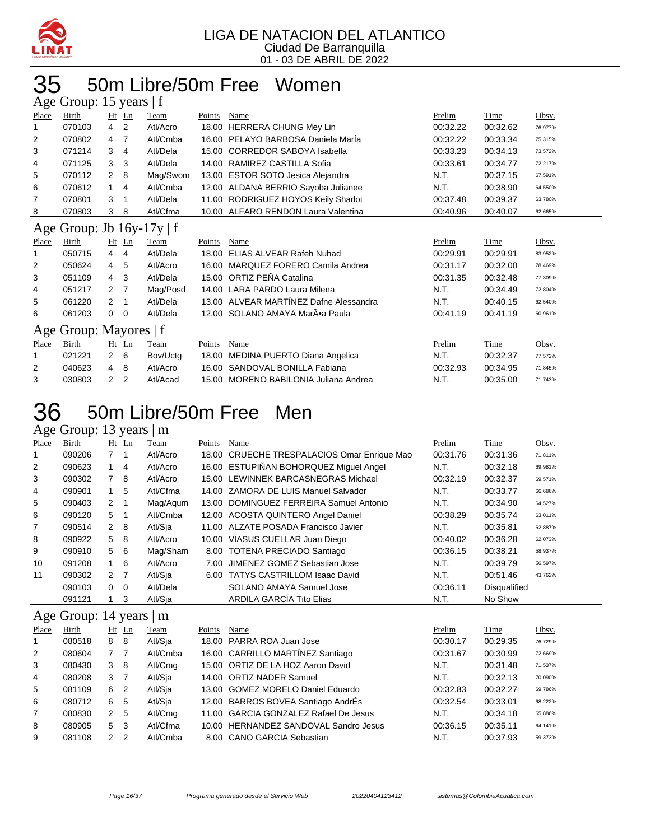

# 50m Libre/50m Free Women

|       | Age Group: 15 years   f        |                |                |          |        |                                        |          |          |         |  |
|-------|--------------------------------|----------------|----------------|----------|--------|----------------------------------------|----------|----------|---------|--|
| Place | Birth                          |                | $Ht$ Ln        | Team     | Points | Name                                   | Prelim   | Time     | Obsv.   |  |
|       | 070103                         | 4              | 2              | Atl/Acro | 18.00  | <b>HERRERA CHUNG Mey Lin</b>           | 00:32.22 | 00:32.62 | 76.977% |  |
| 2     | 070802                         | 4              | 7              | Atl/Cmba |        | 16.00 PELAYO BARBOSA Daniela Marla     | 00:32.22 | 00:33.34 | 75.315% |  |
| 3     | 071214                         | 3              | 4              | Atl/Dela | 15.00  | <b>CORREDOR SABOYA Isabella</b>        | 00:33.23 | 00:34.13 | 73.572% |  |
| 4     | 071125                         | 3              | 3              | Atl/Dela | 14.00  | RAMIREZ CASTILLA Sofia                 | 00:33.61 | 00:34.77 | 72.217% |  |
| 5     | 070112                         | $\overline{2}$ | 8              | Mag/Swom | 13.00  | <b>ESTOR SOTO Jesica Alejandra</b>     | N.T.     | 00:37.15 | 67.591% |  |
| 6     | 070612                         | 1              | $\overline{4}$ | Atl/Cmba | 12.00  | ALDANA BERRIO Sayoba Julianee          | N.T.     | 00:38.90 | 64.550% |  |
| 7     | 070801                         | 3              | -1             | Atl/Dela | 11.00  | RODRIGUEZ HOYOS Keily Sharlot          | 00:37.48 | 00:39.37 | 63.780% |  |
| 8     | 070803                         | 3              | 8              | Atl/Cfma |        | 10.00 ALFARO RENDON Laura Valentina    | 00:40.96 | 00:40.07 | 62.665% |  |
|       | Age Group: Jb $16y-17y \mid f$ |                |                |          |        |                                        |          |          |         |  |
| Place | Birth                          |                | $Ht$ Ln        | Team     | Points | Name                                   | Prelim   | Time     | Obsv.   |  |
|       | 050715                         | 4              | 4              | Atl/Dela | 18.00  | ELIAS ALVEAR Rafeh Nuhad               | 00:29.91 | 00:29.91 | 83.952% |  |
| 2     | 050624                         | 4              | 5              | Atl/Acro | 16.00  | MARQUEZ FORERO Camila Andrea           | 00:31.17 | 00:32.00 | 78.469% |  |
| 3     | 051109                         | 4              | 3              | Atl/Dela | 15.00  | ORTIZ PEÑA Catalina                    | 00:31.35 | 00:32.48 | 77.309% |  |
| 4     | 051217                         | 2              | 7              | Mag/Posd | 14.00  | <b>LARA PARDO Laura Milena</b>         | N.T.     | 00:34.49 | 72.804% |  |
| 5     | 061220                         | 2              | $\mathbf 1$    | Atl/Dela | 13.00  | ALVEAR MARTÍNEZ Dafne Alessandra       | N.T.     | 00:40.15 | 62.540% |  |
| 6     | 061203                         | 0              | 0              | Atl/Dela | 12.00  | SOLANO AMAYA Mar•a Paula               | 00:41.19 | 00:41.19 | 60.961% |  |
|       | Age Group: Mayores   f         |                |                |          |        |                                        |          |          |         |  |
| Place | <b>Birth</b>                   |                | $Ht$ Ln        | Team     | Points | Name                                   | Prelim   | Time     | Obsv.   |  |
|       | 021221                         | $\mathbf{2}$   | 6              | Bov/Uctg | 18.00  | MEDINA PUERTO Diana Angelica           | N.T.     | 00:32.37 | 77.572% |  |
| 2     | 040623                         | 4              | 8              | Atl/Acro | 16.00  | SANDOVAL BONILLA Fabiana               | 00:32.93 | 00:34.95 | 71.845% |  |
| 3     | 030803                         | 2              | $\overline{2}$ | Atl/Acad | 15.00  | <b>MORENO BABILONIA Juliana Andrea</b> | N.T.     | 00:35.00 | 71.743% |  |

### 36 50m Libre/50m Free Men

#### Age Group: 13 years | m

| Place | Birth                         |                  | $Ht$ Ln        | Team             | Points                                                                  | Name                                        | Prelim              | Time                | Obsv.     |
|-------|-------------------------------|------------------|----------------|------------------|-------------------------------------------------------------------------|---------------------------------------------|---------------------|---------------------|-----------|
|       | 090206                        | 7 1              |                | Atl/Acro         |                                                                         | 18.00 CRUECHE TRESPALACIOS Omar Enrique Mao | 00:31.76            | 00:31.36            | 71.811%   |
| 2     | 090623                        |                  | $\overline{4}$ | Atl/Acro         |                                                                         | 16.00 ESTUPIÑAN BOHORQUEZ Miquel Angel      | N.T.                | 00:32.18            | 69.981%   |
| 3     | 090302                        | $\overline{7}$   | - 8            | Atl/Acro         |                                                                         | 15.00 LEWINNEK BARCASNEGRAS Michael         | 00:32.19            | 00:32.37            | 69.571%   |
| 4     | 090901                        |                  | 5              | Atl/Cfma         |                                                                         | 14.00 ZAMORA DE LUIS Manuel Salvador        | N.T.                | 00:33.77            | 66.686%   |
| 5     | 090403                        | 2 <sub>1</sub>   |                | Mag/Agum         |                                                                         | 13.00 DOMINGUEZ FERREIRA Samuel Antonio     | N.T.                | 00:34.90            | 64.527%   |
| 6     | 090120                        | 5                | - 1            | Atl/Cmba         |                                                                         | 12.00 ACOSTA QUINTERO Angel Daniel          | 00:38.29            | 00:35.74            | 63.011%   |
| 7     | 090514                        | 2 8              |                | Atl/Sia          |                                                                         | 11.00 ALZATE POSADA Francisco Javier        | N.T.                | 00:35.81            | 62.887%   |
| 8     | 090922                        | 5                | -8             | Atl/Acro         |                                                                         | 10.00 VIASUS CUELLAR Juan Diego             | 00:40.02            | 00:36.28            | 62.073%   |
| 9     | 090910                        | 5                | - 6            | Mag/Sham         |                                                                         | 8.00 TOTENA PRECIADO Santiago               | 00:36.15            | 00:38.21            | 58.937%   |
| 10    | 091208                        | $1\quad 6$       |                | Atl/Acro         |                                                                         | 7.00 JIMENEZ GOMEZ Sebastian Jose           | N.T.                | 00:39.79            | 56.597%   |
| 11    | 090302                        | $2 \overline{7}$ |                | Atl/Sia          |                                                                         | 6.00 TATYS CASTRILLOM Isaac David           | N.T.                | 00:51.46            | 43.762%   |
|       | 090103                        | $\Omega$         | $\overline{0}$ | Atl/Dela         |                                                                         | SOLANO AMAYA Samuel Jose                    | 00:36.11            | <b>Disqualified</b> |           |
|       | 091121                        |                  | 3              | Atl/Sja          |                                                                         | ARDILA GARCÍA Tito Elias                    | N.T.                | No Show             |           |
|       | Age Group: 14 years $\vert$ m |                  |                |                  |                                                                         |                                             |                     |                     |           |
|       |                               |                  |                | <b>TRANSPORT</b> | $\mathbf{D}_{n}$ $\mathbf{L}_{n+1}$ $\mathbf{M}_{n}$ $\mathbf{L}_{n+1}$ |                                             | $D_{\text{max}}(1)$ |                     | $\bigcap$ |

| Place          | Birth  |                | $Ht$ Ln | Team     | Points | Name                                  | Prelim   | Time     | Obsv.   |
|----------------|--------|----------------|---------|----------|--------|---------------------------------------|----------|----------|---------|
| $\overline{1}$ | 080518 | 8 8            |         | Atl/Sia  |        | 18.00 PARRA ROA Juan Jose             | 00:30.17 | 00:29.35 | 76.729% |
| 2              | 080604 |                |         | Atl/Cmba |        | 16.00 CARRILLO MARTÍNEZ Santiago      | 00:31.67 | 00:30.99 | 72.669% |
| 3              | 080430 | 3 <sub>8</sub> |         | Atl/Cmg  |        | 15.00 ORTIZ DE LA HOZ Aaron David     | N.T.     | 00:31.48 | 71.537% |
| $\overline{4}$ | 080208 | 3 <sub>7</sub> |         | Atl/Sia  |        | 14.00 ORTIZ NADER Samuel              | N.T.     | 00:32.13 | 70.090% |
| 5              | 081109 | 6 2            |         | Atl/Sia  |        | 13.00 GOMEZ MORELO Daniel Eduardo     | 00:32.83 | 00:32.27 | 69.786% |
| 6              | 080712 | 6              | - 5     | Atl/Sja  |        | 12.00 BARROS BOVEA Santiago AndrÉs    | 00:32.54 | 00:33.01 | 68.222% |
| 7              | 080830 | 2 5            |         | Atl/Cmg  |        | 11.00 GARCIA GONZALEZ Rafael De Jesus | N.T.     | 00:34.18 | 65.886% |
| 8              | 080905 | 5 <sub>3</sub> |         | Atl/Cfma |        | 10.00 HERNANDEZ SANDOVAL Sandro Jesus | 00:36.15 | 00:35.11 | 64.141% |
| 9              | 081108 | 2 <sub>2</sub> |         | Atl/Cmba |        | 8.00 CANO GARCIA Sebastian            | N.T.     | 00:37.93 | 59.373% |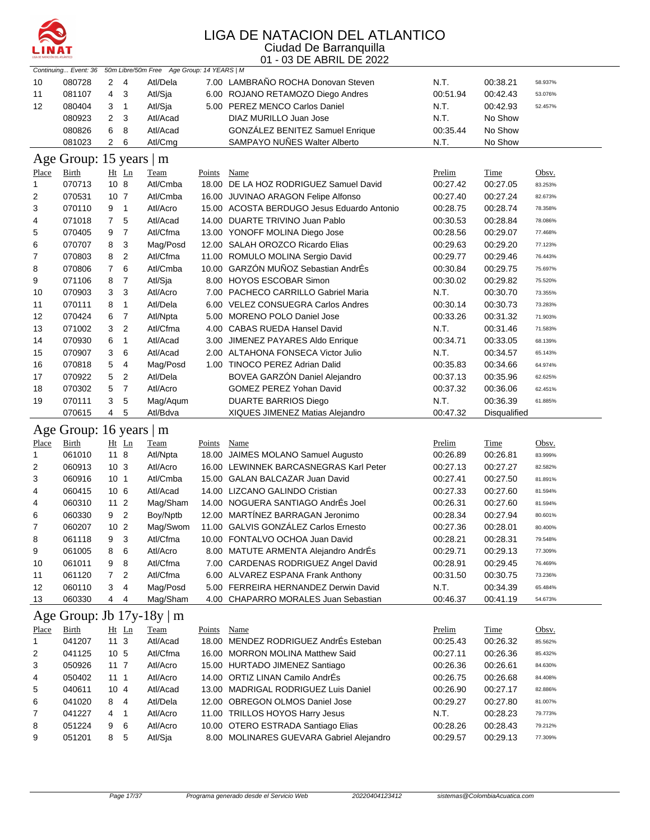

|              | Continuing Event: 36    |                 |                | 50m Libre/50m Free Age Group: 14 YEARS   M |        |                                                                                |                      |                      |                    |
|--------------|-------------------------|-----------------|----------------|--------------------------------------------|--------|--------------------------------------------------------------------------------|----------------------|----------------------|--------------------|
| 10           | 080728                  | 2               | 4              | Atl/Dela                                   |        | 7.00 LAMBRANO ROCHA Donovan Steven                                             | N.T.                 | 00:38.21             | 58.937%            |
| 11           | 081107                  | 4               | 3              | Atl/Sja                                    |        | 6.00 ROJANO RETAMOZO Diego Andres                                              | 00:51.94             | 00:42.43             | 53.076%            |
| 12           | 080404                  | 3               | 1              | Atl/Sja                                    |        | 5.00 PEREZ MENCO Carlos Daniel                                                 | N.T.                 | 00:42.93             | 52.457%            |
|              | 080923                  | $\overline{2}$  | 3              | Atl/Acad                                   |        | DIAZ MURILLO Juan Jose                                                         | N.T.                 | No Show              |                    |
|              | 080826                  | 6               | 8              | Atl/Acad                                   |        | GONZÁLEZ BENITEZ Samuel Enrique                                                | 00:35.44             | No Show              |                    |
|              | 081023                  | $\overline{2}$  | 6              | Atl/Cmg                                    |        | SAMPAYO NUÑES Walter Alberto                                                   | N.T.                 | No Show              |                    |
|              |                         |                 |                |                                            |        |                                                                                |                      |                      |                    |
|              | Age Group: 15 years   m |                 |                |                                            |        |                                                                                |                      |                      |                    |
| Place        | Birth                   |                 | Ht Ln          | Team                                       | Points | Name                                                                           | Prelim               | Time                 | Obsv.              |
| $\mathbf{1}$ | 070713                  | 10 <sub>8</sub> |                | Atl/Cmba                                   |        | 18.00 DE LA HOZ RODRIGUEZ Samuel David                                         | 00:27.42             | 00:27.05             | 83.253%            |
| 2            | 070531                  | 10 <sub>7</sub> |                | Atl/Cmba                                   |        | 16.00 JUVINAO ARAGON Felipe Alfonso                                            | 00:27.40             | 00:27.24             | 82.673%            |
| 3            | 070110                  | 9               | 1              | Atl/Acro                                   |        | 15.00 ACOSTA BERDUGO Jesus Eduardo Antonio                                     | 00:28.75             | 00:28.74             | 78.358%            |
| 4            | 071018                  | $\overline{7}$  | 5              | Atl/Acad                                   |        | 14.00 DUARTE TRIVINO Juan Pablo                                                | 00:30.53             | 00:28.84             | 78.086%            |
| 5            | 070405                  | 9               | $\overline{7}$ | Atl/Cfma                                   |        | 13.00 YONOFF MOLINA Diego Jose                                                 | 00:28.56             | 00:29.07             | 77.468%            |
| 6            | 070707                  | 8               | 3              | Mag/Posd                                   |        | 12.00 SALAH OROZCO Ricardo Elias                                               | 00:29.63             | 00:29.20             | 77.123%            |
| 7            | 070803                  | 8               | $\overline{2}$ | Atl/Cfma                                   |        | 11.00 ROMULO MOLINA Sergio David                                               | 00:29.77             | 00:29.46             | 76.443%            |
| 8            | 070806                  | $\overline{7}$  | 6              | Atl/Cmba                                   |        | 10.00 GARZÓN MUÑOZ Sebastian AndrÉs                                            | 00:30.84             | 00:29.75             | 75.697%            |
| 9            | 071106                  | 8               | $\overline{7}$ | Atl/Sja                                    |        | 8.00 HOYOS ESCOBAR Simon                                                       | 00:30.02             | 00:29.82             | 75.520%            |
| 10           | 070903                  | 3               | 3              | Atl/Acro                                   |        | 7.00 PACHECO CARRILLO Gabriel Maria                                            | N.T.                 | 00:30.70             | 73.355%            |
| 11           | 070111                  | 8               | 1              | Atl/Dela                                   |        | 6.00 VELEZ CONSUEGRA Carlos Andres                                             | 00:30.14             | 00:30.73             | 73.283%            |
| 12           | 070424                  | 6               | $\overline{7}$ | Atl/Npta                                   |        | 5.00 MORENO POLO Daniel Jose                                                   | 00:33.26             | 00:31.32             | 71.903%            |
| 13           | 071002                  | 3               | $\overline{2}$ | Atl/Cfma                                   |        | 4.00 CABAS RUEDA Hansel David                                                  | N.T.                 | 00:31.46             | 71.583%            |
| 14           | 070930                  | 6               | 1              | Atl/Acad                                   |        | 3.00 JIMENEZ PAYARES Aldo Enrique                                              | 00:34.71             | 00:33.05             | 68.139%            |
| 15           | 070907                  | 3               | 6              | Atl/Acad                                   |        | 2.00 ALTAHONA FONSECA Victor Julio                                             | N.T.                 | 00:34.57             | 65.143%            |
| 16           | 070818                  | 5               | 4              | Mag/Posd                                   |        | 1.00 TINOCO PEREZ Adrian Dalid                                                 | 00:35.83             | 00:34.66             | 64.974%            |
| 17           | 070922                  | 5               | 2              | Atl/Dela                                   |        | <b>BOVEA GARZON Daniel Alejandro</b>                                           | 00:37.13             | 00:35.96             | 62.625%            |
| 18           | 070302                  | 5               | $\overline{7}$ | Atl/Acro                                   |        | <b>GOMEZ PEREZ Yohan David</b>                                                 | 00:37.32             | 00:36.06             | 62.451%            |
| 19           | 070111                  | 3               | 5              | Mag/Aqum                                   |        | <b>DUARTE BARRIOS Diego</b>                                                    | N.T.                 | 00:36.39             | 61.885%            |
|              | 070615                  | 4               | 5              | Atl/Bdva                                   |        | XIQUES JIMENEZ Matias Alejandro                                                | 00:47.32             | <b>Disqualified</b>  |                    |
|              | Age Group: 16 years   m |                 |                |                                            |        |                                                                                |                      |                      |                    |
|              |                         |                 |                |                                            |        |                                                                                |                      |                      |                    |
| Place        | <b>Birth</b>            |                 | Ht Ln          | Team                                       | Points | Name                                                                           | Prelim               | Time                 | Obsv.              |
| $\mathbf{1}$ | 061010                  | 11 8            |                | Atl/Npta                                   |        | 18.00 JAIMES MOLANO Samuel Augusto                                             | 00:26.89             | 00:26.81             | 83.999%            |
| 2            | 060913                  | 10 <sub>3</sub> |                | Atl/Acro                                   |        | 16.00 LEWINNEK BARCASNEGRAS Karl Peter                                         | 00:27.13             | 00:27.27             | 82.582%            |
| 3            | 060916                  | 10 <sub>1</sub> |                | Atl/Cmba                                   |        | 15.00 GALAN BALCAZAR Juan David                                                | 00:27.41             | 00:27.50             | 81.891%            |
| 4            | 060415                  | 10 <sub>6</sub> |                | Atl/Acad                                   |        | 14.00 LIZCANO GALINDO Cristian                                                 | 00:27.33             | 00:27.60             | 81.594%            |
| 4            | 060310                  | 11 <sub>2</sub> |                | Mag/Sham                                   |        | 14.00 NOGUERA SANTIAGO AndrÉs Joel                                             | 00:26.31             | 00:27.60             | 81.594%            |
| 6            | 060330                  | 9               | $\overline{2}$ | Boy/Nptb                                   |        | 12.00 MARTÍNEZ BARRAGAN Jeronimo                                               | 00:28.34             | 00:27.94             | 80.601%            |
| 7            | 060207                  | 10 <sub>2</sub> |                | Mag/Swom                                   |        | 11.00 GALVIS GONZÁLEZ Carlos Ernesto                                           | 00:27.36             | 00:28.01             | 80.400%            |
| 8            | 061118                  | 9               | 3              | Atl/Cfma                                   |        | 10.00 FONTALVO OCHOA Juan David                                                | 00:28.21             | 00:28.31             | 79.548%            |
| 9            | 061005                  | 8               | 6              | Atl/Acro                                   |        | 8.00 MATUTE ARMENTA Alejandro AndrÉs                                           | 00:29.71             | 00:29.13             | 77.309%            |
| 10           | 061011                  | 9               | 8              | Atl/Cfma                                   |        | 7.00 CARDENAS RODRIGUEZ Angel David                                            | 00:28.91             | 00:29.45             | 76.469%            |
| 11           | 061120                  | 7               | 2              | Atl/Cfma                                   |        | 6.00 ALVAREZ ESPANA Frank Anthony                                              | 00:31.50             | 00:30.75             | 73.236%            |
| 12           | 060110                  | 3               | 4              | Mag/Posd                                   |        | 5.00 FERREIRA HERNANDEZ Derwin David                                           | N.T.                 | 00:34.39             | 65.484%            |
| 13           | 060330                  | 4               | 4              | Mag/Sham                                   |        | 4.00 CHAPARRO MORALES Juan Sebastian                                           | 00:46.37             | 00:41.19             | 54.673%            |
|              |                         |                 |                | Age Group: Jb 17y-18y   m                  |        |                                                                                |                      |                      |                    |
| <u>Place</u> | <b>Birth</b>            |                 | Ht Ln          | <b>Team</b>                                | Points | Name                                                                           | Prelim               | <b>Time</b>          | Obsv.              |
| 1            | 041207                  | 11 <sub>3</sub> |                | Atl/Acad                                   |        | 18.00 MENDEZ RODRIGUEZ AndrÉs Esteban                                          | 00:25.43             | 00:26.32             | 85.562%            |
| 2            | 041125                  | 10 <sub>5</sub> |                | Atl/Cfma                                   |        | 16.00 MORRON MOLINA Matthew Said                                               | 00:27.11             | 00:26.36             | 85.432%            |
| 3            |                         |                 | $11 \t7$       | Atl/Acro                                   |        | 15.00 HURTADO JIMENEZ Santiago                                                 | 00:26.36             | 00:26.61             | 84.630%            |
|              |                         |                 |                |                                            |        |                                                                                |                      |                      |                    |
|              | 050926                  |                 |                |                                            |        |                                                                                |                      |                      |                    |
| 4            | 050402                  | 111             |                | Atl/Acro                                   |        | 14.00 ORTIZ LINAN Camilo AndrÉs                                                | 00:26.75             | 00:26.68             | 84.408%            |
| 5            | 040611                  | 10 <sub>4</sub> |                | Atl/Acad                                   |        | 13.00 MADRIGAL RODRIGUEZ Luis Daniel                                           | 00:26.90             | 00:27.17             | 82.886%            |
| 6            | 041020                  | 8               | 4              | Atl/Dela                                   |        | 12.00 OBREGON OLMOS Daniel Jose                                                | 00:29.27             | 00:27.80             | 81.007%            |
| 7            | 041227                  | 4               | 1              | Atl/Acro                                   |        | 11.00 TRILLOS HOYOS Harry Jesus                                                | N.T.                 | 00:28.23             | 79.773%            |
| 8<br>9       | 051224<br>051201        | 9<br>8          | 6<br>5         | Atl/Acro<br>Atl/Sja                        |        | 10.00 OTERO ESTRADA Santiago Elias<br>8.00 MOLINARES GUEVARA Gabriel Alejandro | 00:28.26<br>00:29.57 | 00:28.43<br>00:29.13 | 79.212%<br>77.309% |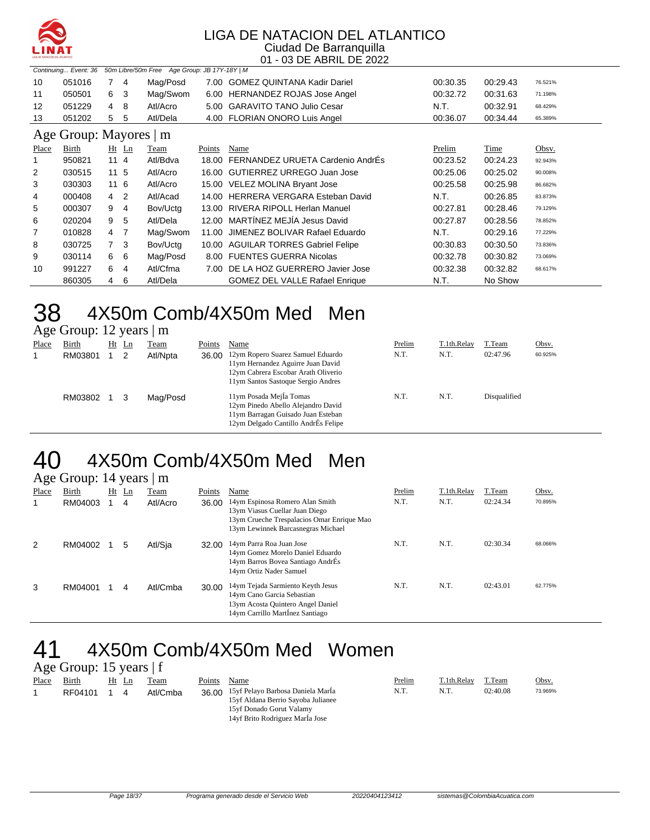

#### LIGA DE NATACION DEL ATLANTICO Ciudad De Barranquilla

#### 01 - 03 DE ABRIL DE 2022

|                | 50m Libre/50m Free Age Group: JB 17Y-18Y   M<br>Continuing Event: 36 |                 |                |          |        |                                        |               |             |         |  |  |  |  |
|----------------|----------------------------------------------------------------------|-----------------|----------------|----------|--------|----------------------------------------|---------------|-------------|---------|--|--|--|--|
| 10             | 051016                                                               |                 | -4             | Mag/Posd |        | 7.00 GOMEZ QUINTANA Kadir Dariel       | 00:30.35      | 00:29.43    | 76.521% |  |  |  |  |
| 11             | 050501                                                               | 6               | 3              | Mag/Swom |        | 6.00 HERNANDEZ ROJAS Jose Angel        | 00:32.72      | 00:31.63    | 71.198% |  |  |  |  |
| 12             | 051229                                                               | 4               | 8              | Atl/Acro |        | 5.00 GARAVITO TANO Julio Cesar         | N.T.          | 00:32.91    | 68.429% |  |  |  |  |
| 13             | 051202                                                               | 5               | 5              | Atl/Dela |        | 4.00 FLORIAN ONORO Luis Angel          | 00:36.07      | 00:34.44    | 65.389% |  |  |  |  |
|                | Age Group: Mayores   m                                               |                 |                |          |        |                                        |               |             |         |  |  |  |  |
| <u>Place</u>   | Birth                                                                |                 | $Ht$ Ln        | Team     | Points | Name                                   | <u>Prelim</u> | <b>Time</b> | Obsv.   |  |  |  |  |
|                | 950821                                                               | 114             |                | Atl/Bdva |        | 18.00 FERNANDEZ URUETA Cardenio AndrÉs | 00:23.52      | 00:24.23    | 92.943% |  |  |  |  |
| $\overline{2}$ | 030515                                                               | 11 <sub>5</sub> |                | Atl/Acro |        | 16.00 GUTIERREZ URREGO Juan Jose       | 00:25.06      | 00:25.02    | 90.008% |  |  |  |  |
| 3              | 030303                                                               | 116             |                | Atl/Acro |        | 15.00 VELEZ MOLINA Bryant Jose         | 00:25.58      | 00:25.98    | 86.682% |  |  |  |  |
| 4              | 000408                                                               | $\overline{4}$  | $\overline{2}$ | Atl/Acad |        | 14.00 HERRERA VERGARA Esteban David    | N.T.          | 00:26.85    | 83.873% |  |  |  |  |
| 5              | 000307                                                               | 9               | 4              | Bov/Uctg |        | 13.00 RIVERA RIPOLL Herlan Manuel      | 00:27.81      | 00:28.46    | 79.129% |  |  |  |  |
| 6              | 020204                                                               | 9               | 5              | Atl/Dela |        | 12.00 MARTÍNEZ MEJÍA Jesus David       | 00:27.87      | 00:28.56    | 78.852% |  |  |  |  |
| 7              | 010828                                                               | 4               | 7              | Mag/Swom | 11.00  | JIMENEZ BOLIVAR Rafael Eduardo         | N.T.          | 00:29.16    | 77.229% |  |  |  |  |
| 8              | 030725                                                               | 7 <sup>3</sup>  |                | Bov/Uctg |        | 10.00 AGUILAR TORRES Gabriel Felipe    | 00:30.83      | 00:30.50    | 73.836% |  |  |  |  |
| 9              | 030114                                                               | 6               | 6              | Mag/Posd |        | 8.00 FUENTES GUERRA Nicolas            | 00:32.78      | 00:30.82    | 73.069% |  |  |  |  |
| 10             | 991227                                                               | 6               | 4              | Atl/Cfma |        | 7.00 DE LA HOZ GUERRERO Javier Jose    | 00:32.38      | 00:32.82    | 68.617% |  |  |  |  |
|                | 860305                                                               | 4               | 6              | Atl/Dela |        | <b>GOMEZ DEL VALLE Rafael Enrique</b>  | N.T.          | No Show     |         |  |  |  |  |

#### 38 4X50m Comb/4X50m Med Men Age Group: 12 years | m

|       | $1.15$ $\sigma$ $\sigma$ $\sigma$ $\mu$ , $12$ $\sigma$ $\sigma$ $\sigma$ $\sigma$ $\mu$ |    |    |             |        |                                                                                                                                                           |        |             |              |         |
|-------|------------------------------------------------------------------------------------------|----|----|-------------|--------|-----------------------------------------------------------------------------------------------------------------------------------------------------------|--------|-------------|--------------|---------|
| Place | Birth                                                                                    | Ht | Ln | <u>Team</u> | Points | Name                                                                                                                                                      | Prelim | T.1th.Relay | T.Team       | Obsv.   |
|       | RM03801                                                                                  |    |    | Atl/Npta    |        | 36.00 12ym Ropero Suarez Samuel Eduardo<br>11ym Hernandez Aguirre Juan David<br>12ym Cabrera Escobar Arath Oliverio<br>11ym Santos Sastoque Sergio Andres | N.T.   | N.T.        | 02:47.96     | 60.925% |
|       | RM03802                                                                                  |    |    | Mag/Posd    |        | 11ym Posada Mejla Tomas<br>12ym Pinedo Abello Alejandro David<br>11ym Barragan Guisado Juan Esteban<br>12ym Delgado Cantillo AndrÉs Felipe                | N.T.   | N.T.        | Disqualified |         |

#### 40 4X50m Comb/4X50m Med Men Age Group:  $14$  years  $\mathsf{m}$

|       | $\Delta$ gu Oroup. $1\pi$ years $\mu$ in |  |         |          |        |                                                                                                                                                       |        |             |          |         |  |  |
|-------|------------------------------------------|--|---------|----------|--------|-------------------------------------------------------------------------------------------------------------------------------------------------------|--------|-------------|----------|---------|--|--|
| Place | Birth                                    |  | $Ht$ Ln | Team     | Points | Name                                                                                                                                                  | Prelim | T.1th.Relay | T.Team   | Obsv.   |  |  |
|       | RM04003                                  |  | 4       | Atl/Acro | 36.00  | 14ym Espinosa Romero Alan Smith<br>13ym Viasus Cuellar Juan Diego<br>13ym Crueche Trespalacios Omar Enrique Mao<br>13ym Lewinnek Barcasnegras Michael | N.T.   | N.T.        | 02:24.34 | 70.895% |  |  |
| 2     | RM04002                                  |  | 5       | Atl/Sja  | 32.00  | 14ym Parra Roa Juan Jose<br>14ym Gomez Morelo Daniel Eduardo<br>14ym Barros Bovea Santiago AndrÉs<br>14ym Ortiz Nader Samuel                          | N.T.   | N.T.        | 02:30.34 | 68.066% |  |  |
| 3     | RM04001                                  |  | 4       | Atl/Cmba | 30.00  | 14ym Tejada Sarmiento Keyth Jesus<br>14ym Cano Garcia Sebastian<br>13ym Acosta Quintero Angel Daniel<br>14ym Carrillo Martinez Santiago               | N.T.   | N.T.        | 02:43.01 | 62.775% |  |  |

### 41 4X50m Comb/4X50m Med Women Age Group: 15 years | f

| Place | Birth   | Ht<br>Ln | Team     | Points | Name                                    | Prelim | T.1th.Relav | T.Team   | Obsv.   |
|-------|---------|----------|----------|--------|-----------------------------------------|--------|-------------|----------|---------|
|       | RF04101 | 4        | Atl/Cmba |        | 36.00 15yf Pelayo Barbosa Daniela MarÍa | N.T.   | N.T.        | 02:40.08 | 73.969% |
|       |         |          |          |        | 15 of Aldana Berrio Savoba Julianee     |        |             |          |         |
|       |         |          |          |        | 15yf Donado Gorut Valamy                |        |             |          |         |
|       |         |          |          |        | 14yf Brito Rodriguez Marla Jose         |        |             |          |         |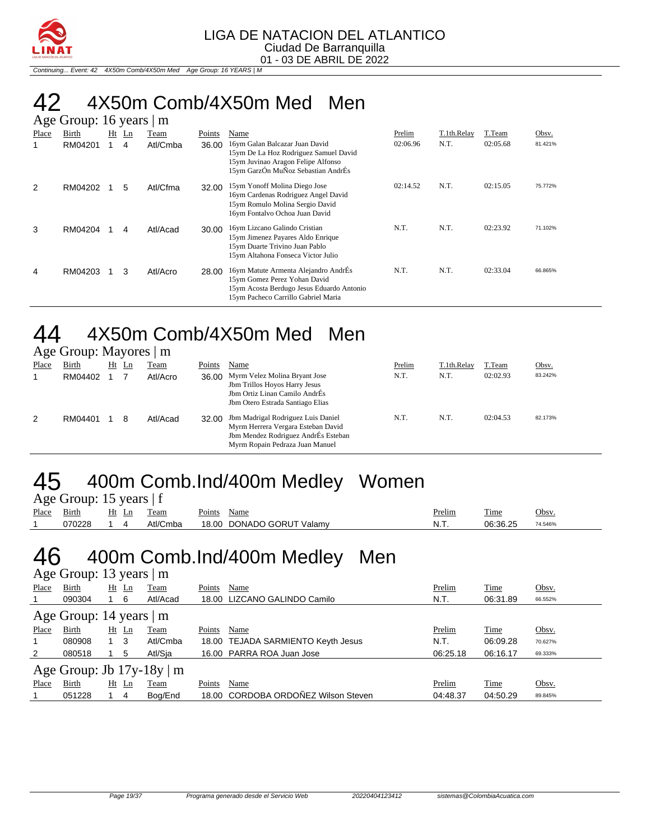

Continuing... Event: 42 4X50m Comb/4X50m Med Age Group: 16 YEARS | M

### 42 4X50m Comb/4X50m Med Men

|       | Age Group: 16 years<br>m |    |    |          |        |                                                                                                                                                          |          |             |          |         |  |  |
|-------|--------------------------|----|----|----------|--------|----------------------------------------------------------------------------------------------------------------------------------------------------------|----------|-------------|----------|---------|--|--|
| Place | Birth                    | Ht | Ln | Team     | Points | Name                                                                                                                                                     | Prelim   | T.1th.Relay | T.Team   | Obsv.   |  |  |
| 1     | RM04201                  |    | 4  | Atl/Cmba | 36.00  | 16ym Galan Balcazar Juan David<br>15ym De La Hoz Rodriguez Samuel David<br>15ym Juvinao Aragon Felipe Alfonso<br>15ym GarzÓn MuÑoz Sebastian AndrÉs      | 02:06.96 | N.T.        | 02:05.68 | 81.421% |  |  |
| 2     | RM04202                  |    | 5  | Atl/Cfma | 32.00  | 15ym Yonoff Molina Diego Jose<br>16ym Cardenas Rodriguez Angel David<br>15ym Romulo Molina Sergio David<br>16ym Fontalvo Ochoa Juan David                | 02:14.52 | N.T.        | 02:15.05 | 75.772% |  |  |
| 3     | RM04204                  |    | 4  | Atl/Acad | 30.00  | 16ym Lizcano Galindo Cristian<br>15ym Jimenez Payares Aldo Enrique<br>15ym Duarte Trivino Juan Pablo<br>15ym Altahona Fonseca Victor Julio               | N.T.     | N.T.        | 02:23.92 | 71.102% |  |  |
| 4     | RM04203                  |    | 3  | Atl/Acro | 28.00  | 16ym Matute Armenta Alejandro AndrÉs<br>15ym Gomez Perez Yohan David<br>15ym Acosta Berdugo Jesus Eduardo Antonio<br>15ym Pacheco Carrillo Gabriel Maria | N.T.     | N.T.        | 02:33.04 | 66.865% |  |  |

#### 44 4X50m Comb/4X50m Med Men Age Group: Mayores | m

|       | $\Delta \leq C$ Oroup. The yords $\parallel$ III |         |          |        |                                                                                                                                                    |        |             |          |         |
|-------|--------------------------------------------------|---------|----------|--------|----------------------------------------------------------------------------------------------------------------------------------------------------|--------|-------------|----------|---------|
| Place | Birth                                            | $Ht$ Ln | Team     | Points | Name                                                                                                                                               | Prelim | T.1th.Relay | T.Team   | Obsv.   |
|       | RM04402                                          |         | Atl/Acro | 36.00  | Myrm Velez Molina Bryant Jose<br>Jbm Trillos Hoyos Harry Jesus<br>Jbm Ortiz Linan Camilo AndrÉs<br>Jbm Otero Estrada Santiago Elias                | N.T.   | N.T.        | 02:02.93 | 83.242% |
| 2     | RM04401                                          | 8       | Atl/Acad | 32.00  | Jbm Madrigal Rodriguez Luis Daniel<br>Myrm Herrera Vergara Esteban David<br>Jbm Mendez Rodriguez AndrÉs Esteban<br>Myrm Ropain Pedraza Juan Manuel | N.T.   | N.T.        | 02:04.53 | 82.173% |

### 45 400m Comb.Ind/400m Medley Women Age Group: 15 years | f

|       | $1.50$ Oroup. 15 years   1 |       |          |                           |               |          |         |
|-------|----------------------------|-------|----------|---------------------------|---------------|----------|---------|
| Place | Birth                      | Ht Ln | Team     | Points<br>Name            | <b>Prelim</b> | Time     | Obsv.   |
|       | 070228                     |       | Atl/Cmba | 18.00 DONADO GORUT Valamy | N.T.          | 06:36.25 | 74.546% |

#### 46 400m Comb.Ind/400m Medley Men Age Group: 13 years | m

| Place | Birth                         | $Ht$ Ln | Team                           | Name<br>Points                      | Prelim   | Time     | Obsv.   |
|-------|-------------------------------|---------|--------------------------------|-------------------------------------|----------|----------|---------|
|       | 090304                        | 1 6     | Atl/Acad                       | 18.00 LIZCANO GALINDO Camilo        | N.T.     | 06:31.89 | 66.552% |
|       | Age Group: 14 years $\vert$ m |         |                                |                                     |          |          |         |
| Place | <b>Birth</b>                  | $Ht$ Ln | <b>Team</b>                    | Name<br>Points                      | Prelim   | Time     | Obsv.   |
|       | 080908                        | 1 3     | Atl/Cmba                       | 18.00 TEJADA SARMIENTO Keyth Jesus  | N.T.     | 06:09.28 | 70.627% |
| 2     | 080518                        | 5       | Atl/Sia                        | 16.00 PARRA ROA Juan Jose           | 06:25.18 | 06:16.17 | 69.333% |
|       |                               |         | Age Group: Jb $17y-18y \mid m$ |                                     |          |          |         |
| Place | <b>Birth</b>                  | Ht Ln   | Team                           | Name<br>Points                      | Prelim   | Time     | Obsv.   |
|       | 051228                        | 4       | Bog/End                        | 18.00 CORDOBA ORDOÑEZ Wilson Steven | 04:48.37 | 04:50.29 | 89.845% |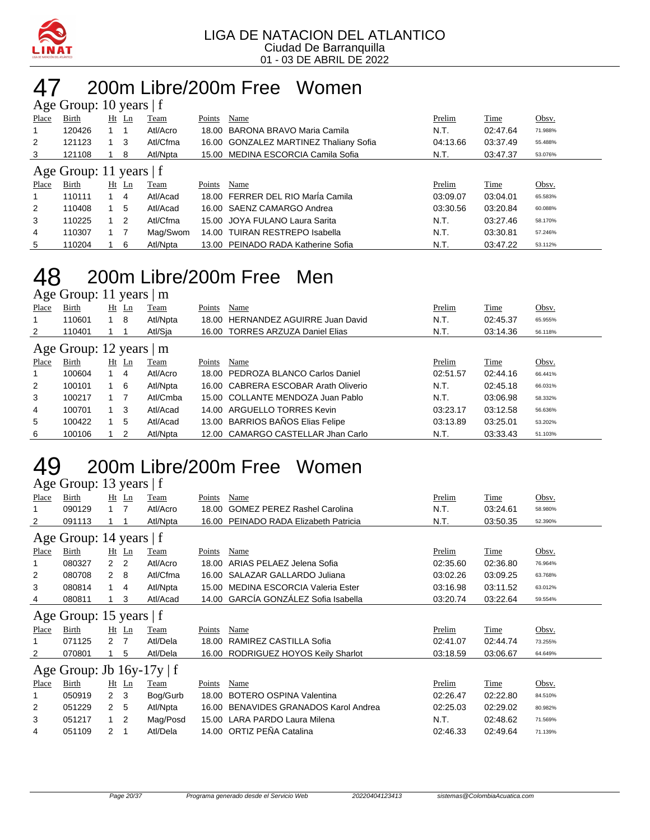

#### 200m Libre/200m Free Women Age Group: 10 years | f

| $1.50$ Oroup. 10 years   1 |                           |             |                |          |        |                                        |          |          |         |  |
|----------------------------|---------------------------|-------------|----------------|----------|--------|----------------------------------------|----------|----------|---------|--|
| Place                      | Birth                     |             | <u>Ht Ln</u>   | Team     | Points | Name                                   | Prelim   | Time     | Obsv.   |  |
|                            | 120426                    |             |                | Atl/Acro |        | 18.00 BARONA BRAVO Maria Camila        | N.T.     | 02:47.64 | 71.988% |  |
| 2                          | 121123                    | 1 3         |                | Atl/Cfma |        | 16.00 GONZALEZ MARTINEZ Thaliany Sofia | 04:13.66 | 03:37.49 | 55.488% |  |
| 3                          | 121108                    |             | 8              | Atl/Npta |        | 15.00 MEDINA ESCORCIA Camila Sofia     | N.T.     | 03:47.37 | 53.076% |  |
|                            | Age Group: 11 years $ f $ |             |                |          |        |                                        |          |          |         |  |
|                            |                           |             |                |          |        |                                        |          |          |         |  |
| Place                      | Birth                     |             | $Ht$ Ln        | Team     | Points | Name                                   | Prelim   | Time     | Obsv.   |  |
|                            | 110111                    | $1 \quad 4$ |                | Atl/Acad |        | 18.00 FERRER DEL RIO María Camila      | 03:09.07 | 03:04.01 | 65.583% |  |
| 2                          | 110408                    | $1\quad5$   |                | Atl/Acad |        | 16.00 SAENZ CAMARGO Andrea             | 03:30.56 | 03:20.84 | 60.088% |  |
| 3                          | 110225                    |             | $\overline{2}$ | Atl/Cfma |        | 15.00 JOYA FULANO Laura Sarita         | N.T.     | 03:27.46 | 58.170% |  |
| 4                          | 110307                    |             |                | Mag/Swom |        | 14.00 TUIRAN RESTREPO Isabella         | N.T.     | 03:30.81 | 57.246% |  |

#### 200m Libre/200m Free Men Age Group: 11 years | m

| $1.45$ $\sigma$ $1.54$ $\sigma$ $1.41$ $\sigma$ $1.41$ |        |             |         |          |        |                                      |          |          |         |  |
|--------------------------------------------------------|--------|-------------|---------|----------|--------|--------------------------------------|----------|----------|---------|--|
| Place                                                  | Birth  |             | $Ht$ Ln | Team     | Points | Name                                 | Prelim   | Time     | Obsv.   |  |
|                                                        | 110601 |             | -8      | Atl/Npta |        | 18.00 HERNANDEZ AGUIRRE Juan David   | N.T.     | 02:45.37 | 65.955% |  |
| 2                                                      | 110401 |             |         | Atl/Sia  |        | 16.00 TORRES ARZUZA Daniel Elias     | N.T.     | 03:14.36 | 56.118% |  |
| Age Group: 12 years   m                                |        |             |         |          |        |                                      |          |          |         |  |
| Place                                                  | Birth  | Ht          | Ln      | Team     | Points | Name                                 | Prelim   | Time     | Obsv.   |  |
|                                                        | 100604 | $1 \quad 4$ |         | Atl/Acro |        | 18.00 PEDROZA BLANCO Carlos Daniel   | 02:51.57 | 02:44.16 | 66.441% |  |
| 2                                                      | 100101 |             | - 6     | Atl/Npta |        | 16.00 CABRERA ESCOBAR Arath Oliverio | N.T.     | 02:45.18 | 66.031% |  |
| 3                                                      | 100217 |             |         | Atl/Cmba |        | 15.00 COLLANTE MENDOZA Juan Pablo    | N.T.     | 03:06.98 | 58.332% |  |
| 4                                                      | 100701 | $1 \quad 3$ |         | Atl/Acad |        | 14.00 ARGUELLO TORRES Kevin          | 03:23.17 | 03:12.58 | 56.636% |  |
| 5                                                      | 100422 |             | 5       | Atl/Acad |        | 13.00 BARRIOS BAÑOS Elias Felipe     | 03:13.89 | 03:25.01 | 53.202% |  |
| 6                                                      | 100106 |             | 2       | Atl/Npta |        | 12.00 CAMARGO CASTELLAR Jhan Carlo   | N.T.     | 03:33.43 | 51.103% |  |

#### 200m Libre/200m Free Women Age Group: 13 years  $|f|$

|       | $\Delta$ gu Oroup. To yuars $\pm$ |                  |              |             |        |                                        |          |          |         |  |
|-------|-----------------------------------|------------------|--------------|-------------|--------|----------------------------------------|----------|----------|---------|--|
| Place | Birth                             |                  | $Ht$ Ln      | Team        | Points | Name                                   | Prelim   | Time     | Obsv.   |  |
|       | 090129                            | $\overline{1}$   | 7            | Atl/Acro    | 18.00  | <b>GOMEZ PEREZ Rashel Carolina</b>     | N.T.     | 03:24.61 | 58.980% |  |
| 2     | 091113                            |                  |              | Atl/Npta    |        | 16.00 PEINADO RADA Elizabeth Patricia  | N.T.     | 03:50.35 | 52.390% |  |
|       | Age Group: 14 years   f           |                  |              |             |        |                                        |          |          |         |  |
| Place | Birth                             |                  | $Ht$ Ln      | Team        | Points | Name                                   | Prelim   | Time     | Obsv.   |  |
|       | 080327                            | 2 <sub>2</sub>   |              | Atl/Acro    | 18.00  | ARIAS PELAEZ Jelena Sofia              | 02:35.60 | 02:36.80 | 76.964% |  |
| 2     | 080708                            | 2 8              |              | Atl/Cfma    |        | 16.00 SALAZAR GALLARDO Juliana         | 03:02.26 | 03:09.25 | 63.768% |  |
| 3     | 080814                            | 1                | 4            | Atl/Npta    | 15.00  | <b>MEDINA ESCORCIA Valeria Ester</b>   | 03:16.98 | 03:11.52 | 63.012% |  |
| 4     | 080811                            |                  | 3            | Atl/Acad    |        | 14.00 GARCÍA GONZÁLEZ Sofia Isabella   | 03:20.74 | 03:22.64 | 59.554% |  |
|       | Age Group: 15 years $ f $         |                  |              |             |        |                                        |          |          |         |  |
| Place | Birth                             |                  | $Ht$ Ln      | Team        | Points | Name                                   | Prelim   | Time     | Obsv.   |  |
|       | 071125                            | $2 \overline{7}$ |              | Atl/Dela    | 18.00  | RAMIREZ CASTILLA Sofia                 | 02:41.07 | 02:44.74 | 73.255% |  |
| 2     | 070801                            |                  | 5            | Atl/Dela    |        | 16.00 RODRIGUEZ HOYOS Keily Sharlot    | 03:18.59 | 03:06.67 | 64.649% |  |
|       | Age Group: Jb $16y-17y \mid f$    |                  |              |             |        |                                        |          |          |         |  |
| Place | Birth                             |                  | $Ht$ Ln      | <b>Team</b> | Points | Name                                   | Prelim   | Time     | Obsv.   |  |
|       | 050919                            | $\mathbf{2}$     | $\mathbf{3}$ | Bog/Gurb    | 18.00  | <b>BOTERO OSPINA Valentina</b>         | 02:26.47 | 02:22.80 | 84.510% |  |
| 2     | 051229                            | 2                | -5           | Atl/Npta    | 16.00  | <b>BENAVIDES GRANADOS Karol Andrea</b> | 02:25.03 | 02:29.02 | 80.982% |  |
| 3     | 051217                            | 1.               | 2            | Mag/Posd    |        | 15.00 LARA PARDO Laura Milena          | N.T.     | 02:48.62 | 71.569% |  |
| 4     | 051109                            | 2                | 1            | Atl/Dela    |        | 14.00 ORTIZ PEÑA Catalina              | 02:46.33 | 02:49.64 | 71.139% |  |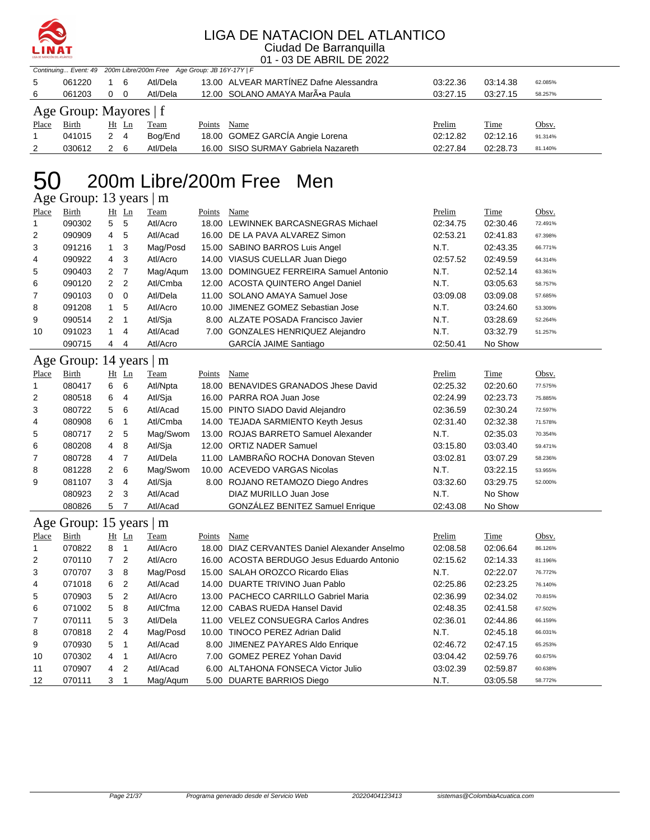

| 200m Libre/200m Free Age Group: JB 16Y-17Y   F<br>Continuing Event: 49                                               |                      |
|----------------------------------------------------------------------------------------------------------------------|----------------------|
| 13.00 ALVEAR MARTINEZ Dafne Alessandra<br>5<br>061220<br>6<br>Atl/Dela<br>03:22.36<br>1                              | 03:14.38<br>62.085%  |
| Atl/Dela<br>12.00 SOLANO AMAYA MarÕa Paula<br>061203<br>0<br>0<br>03:27.15<br>6                                      | 03:27.15<br>58.257%  |
| Age Group: Mayores   f                                                                                               |                      |
| Birth<br>Ht Ln<br>Prelim<br>Place<br><b>Team</b><br>Points<br>Name                                                   | Time<br>Obsv.        |
| $\overline{2}$<br>18.00 GOMEZ GARCÍA Angie Lorena<br>$\overline{4}$<br>$\mathbf{1}$<br>041015<br>02:12.82<br>Bog/End | 02:12.16<br>91.314%  |
| 16.00 SISO SURMAY Gabriela Nazareth<br>030612<br>$2^{\circ}$<br>6<br>Atl/Dela<br>02:27.84<br>2                       | 02:28.73<br>81.140%  |
|                                                                                                                      |                      |
| 200m Libre/200m Free<br>Men                                                                                          |                      |
| Age Group: 13 years   m                                                                                              |                      |
| Birth<br>Ht Ln<br>Name<br>Prelim<br>Place<br>Team<br>Points                                                          | Time<br>Obsv.        |
| 5<br>5<br>090302<br>Atl/Acro<br>18.00 LEWINNEK BARCASNEGRAS Michael<br>02:34.75<br>1                                 | 02:30.46<br>72.491%  |
| 2<br>090909<br>5<br>Atl/Acad<br>16.00 DE LA PAVA ALVAREZ Simon<br>02:53.21<br>4                                      | 02:41.83<br>67.398%  |
| 091216<br>3<br>N.T.<br>3<br>1<br>Mag/Posd<br>15.00 SABINO BARROS Luis Angel                                          | 02:43.35<br>66.771%  |
| 3<br>090922<br>4<br>Atl/Acro<br>14.00 VIASUS CUELLAR Juan Diego<br>02:57.52<br>4                                     | 02:49.59<br>64.314%  |
| $\overline{7}$<br>5<br>090403<br>2<br>Mag/Aqum<br>13.00 DOMINGUEZ FERREIRA Samuel Antonio<br>N.T.                    | 02:52.14<br>63.361%  |
| 2<br>$\overline{2}$<br>N.T.<br>6<br>090120<br>Atl/Cmba<br>12.00 ACOSTA QUINTERO Angel Daniel                         | 03:05.63<br>58.757%  |
| 7<br>090103<br>0<br>0<br>Atl/Dela<br>11.00 SOLANO AMAYA Samuel Jose<br>03:09.08                                      | 03:09.08<br>57.685%  |
| 8<br>091208<br>$\mathbf{1}$<br>5<br>Atl/Acro<br>JIMENEZ GOMEZ Sebastian Jose<br>N.T.<br>10.00                        | 03:24.60<br>53.309%  |
| 9<br>090514<br>$\overline{2}$<br>1<br>Atl/Sja<br>8.00 ALZATE POSADA Francisco Javier<br>N.T.                         | 03:28.69<br>52.264%  |
| 091023<br>Atl/Acad<br>7.00 GONZALES HENRIQUEZ Alejandro<br>N.T.<br>1<br>4<br>10                                      | 03:32.79<br>51.257%  |
| GARCÍA JAIME Santiago<br>090715<br>4<br>Atl/Acro<br>02:50.41<br>4                                                    | No Show              |
|                                                                                                                      |                      |
| Age Group: 14 years   m                                                                                              |                      |
| Place<br><b>Birth</b><br>Ht Ln<br>Points<br><b>Name</b><br>Prelim<br><b>Team</b>                                     | <b>Time</b><br>Obsv. |
| 6<br>080417<br>6<br>18.00 BENAVIDES GRANADOS Jhese David<br>02:25.32<br>1<br>Atl/Npta                                | 02:20.60<br>77.575%  |
| 2<br>080518<br>6<br>4<br>Atl/Sja<br>16.00 PARRA ROA Juan Jose<br>02:24.99                                            | 02:23.73<br>75.885%  |
| 080722<br>6<br>Atl/Acad<br>3<br>5<br>15.00 PINTO SIADO David Alejandro<br>02:36.59                                   | 02:30.24<br>72.597%  |
| 080908<br>6<br>1<br>Atl/Cmba<br>14.00 TEJADA SARMIENTO Keyth Jesus<br>02:31.40<br>4                                  | 02:32.38<br>71.578%  |
| 5<br>5<br>080717<br>2<br>Mag/Swom<br>13.00 ROJAS BARRETO Samuel Alexander<br>N.T.                                    | 02:35.03<br>70.354%  |
| 8<br>12.00 ORTIZ NADER Samuel<br>080208<br>4<br>Atl/Sja<br>03:15.80<br>6                                             | 03:03.40<br>59.471%  |
| 11.00 LAMBRAÑO ROCHA Donovan Steven<br>080728<br>$\overline{7}$<br>Atl/Dela<br>03:02.81<br>7<br>4                    | 03:07.29<br>58.236%  |
| 6<br>081228<br>2<br>Mag/Swom<br>10.00 ACEVEDO VARGAS Nicolas<br>N.T.<br>8                                            | 03:22.15<br>53.955%  |
| 3<br>9<br>081107<br>4<br>Atl/Sja<br>8.00 ROJANO RETAMOZO Diego Andres<br>03:32.60                                    | 03:29.75<br>52.000%  |
| 2<br>080923<br>3<br>Atl/Acad<br>DIAZ MURILLO Juan Jose<br>N.T.                                                       | No Show              |
| GONZÁLEZ BENITEZ Samuel Enrique<br>080826<br>5<br>$\overline{7}$<br>Atl/Acad<br>02:43.08                             | No Show              |
| Age Group: 15 years   m                                                                                              |                      |
| <b>Birth</b><br>$Ht$ Ln<br><u>Team</u><br>Points Name<br><b>Prelim</b><br><b>Place</b>                               | <u>Time</u><br>Obsv. |
| 070822<br>18.00 DIAZ CERVANTES Daniel Alexander Anselmo<br>02:08.58<br>Atl/Acro<br>1<br>8<br>1                       | 02:06.64<br>86.126%  |
| 070110<br>7<br>2<br>Atl/Acro<br>16.00 ACOSTA BERDUGO Jesus Eduardo Antonio<br>02:15.62<br>2                          | 02:14.33<br>81.196%  |
| 070707<br>8<br>15.00 SALAH OROZCO Ricardo Elias<br>3<br>Mag/Posd<br>N.T.<br>3                                        | 02:22.07<br>76.772%  |
| 071018<br>2<br>14.00 DUARTE TRIVINO Juan Pablo<br>6<br>Atl/Acad<br>02:25.86<br>4                                     | 02:23.25<br>76.140%  |
| 070903<br>5<br>2<br>Atl/Acro<br>13.00 PACHECO CARRILLO Gabriel Maria<br>5<br>02:36.99                                | 02:34.02<br>70.815%  |
| 071002<br>5<br>8<br>Atl/Cfma<br>6<br>12.00 CABAS RUEDA Hansel David<br>02:48.35                                      | 02:41.58<br>67.502%  |
| 070111<br>5<br>3<br>Atl/Dela<br>11.00 VELEZ CONSUEGRA Carlos Andres<br>7<br>02:36.01                                 | 02:44.86<br>66.159%  |
| Mag/Posd<br>N.T.<br>8<br>070818<br>2<br>4<br>10.00 TINOCO PEREZ Adrian Dalid                                         | 02:45.18<br>66.031%  |
| 070930<br>8.00 JIMENEZ PAYARES Aldo Enrique<br>9<br>5<br>1<br>Atl/Acad<br>02:46.72                                   | 02:47.15<br>65.253%  |
| 070302<br>Atl/Acro<br>7.00 GOMEZ PEREZ Yohan David<br>4<br>1<br>03:04.42<br>10                                       | 02:59.76<br>60.675%  |
|                                                                                                                      |                      |
| 070907<br>2<br>Atl/Acad<br>6.00 ALTAHONA FONSECA Victor Julio<br>11<br>4<br>03:02.39                                 | 02:59.87<br>60.638%  |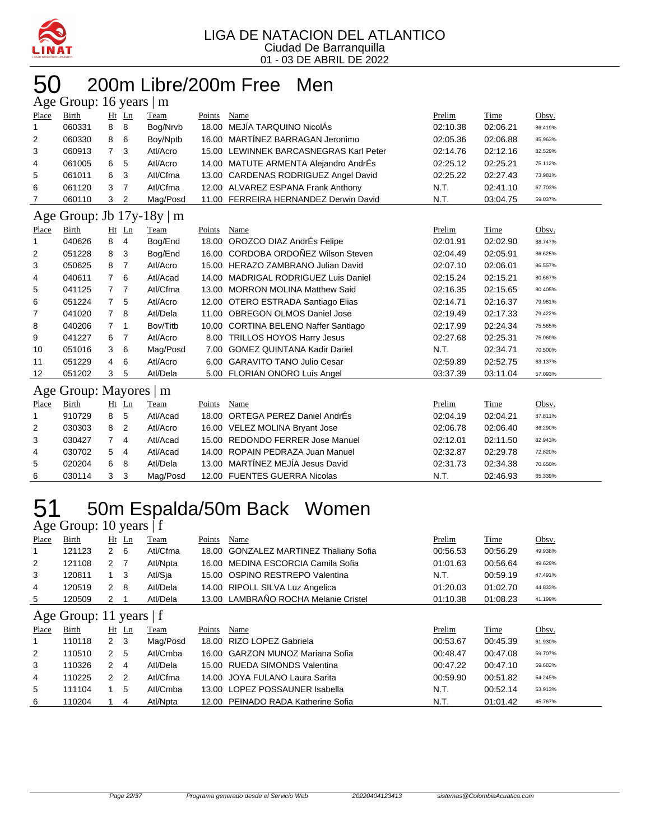

#### 200m Libre/200m Free Men years 16 years 16 years 16 years 16 years 16 years 16 years 16 years 16 years 16 years 16 years 16 years 16 years 170 years 170 years 170 years 170 years 170 years 170 years 170 years 170 years 170 years 170 years 17

| $\Delta$ ge Oroup. To years $\Delta$ m |                |                |                             |                        |                                    |                                                                                                                                                                                                                                                                                                                                                                                                                                                                                                                                                                                                                                                                                                                                                                                                                       |          |         |  |
|----------------------------------------|----------------|----------------|-----------------------------|------------------------|------------------------------------|-----------------------------------------------------------------------------------------------------------------------------------------------------------------------------------------------------------------------------------------------------------------------------------------------------------------------------------------------------------------------------------------------------------------------------------------------------------------------------------------------------------------------------------------------------------------------------------------------------------------------------------------------------------------------------------------------------------------------------------------------------------------------------------------------------------------------|----------|---------|--|
| Birth                                  |                |                | Team                        | Points                 | Name                               | Prelim                                                                                                                                                                                                                                                                                                                                                                                                                                                                                                                                                                                                                                                                                                                                                                                                                | Time     | Obsv.   |  |
| 060331                                 | 8              | 8              | Bog/Nrvb                    | 18.00                  |                                    | 02:10.38                                                                                                                                                                                                                                                                                                                                                                                                                                                                                                                                                                                                                                                                                                                                                                                                              | 02:06.21 | 86.419% |  |
| 060330                                 | 8              | 6              | Boy/Nptb                    | 16.00                  |                                    | 02:05.36                                                                                                                                                                                                                                                                                                                                                                                                                                                                                                                                                                                                                                                                                                                                                                                                              | 02:06.88 | 85.963% |  |
| 060913                                 | $\overline{7}$ | 3              | Atl/Acro                    | 15.00                  |                                    | 02:14.76                                                                                                                                                                                                                                                                                                                                                                                                                                                                                                                                                                                                                                                                                                                                                                                                              | 02:12.16 | 82.529% |  |
| 061005                                 | 6              | 5              | Atl/Acro                    |                        |                                    | 02:25.12                                                                                                                                                                                                                                                                                                                                                                                                                                                                                                                                                                                                                                                                                                                                                                                                              | 02:25.21 | 75.112% |  |
| 061011                                 | 6              | 3              | Atl/Cfma                    |                        |                                    | 02:25.22                                                                                                                                                                                                                                                                                                                                                                                                                                                                                                                                                                                                                                                                                                                                                                                                              | 02:27.43 | 73.981% |  |
| 061120                                 | 3              | $\overline{7}$ | Atl/Cfma                    |                        |                                    | N.T.                                                                                                                                                                                                                                                                                                                                                                                                                                                                                                                                                                                                                                                                                                                                                                                                                  | 02:41.10 | 67.703% |  |
| 060110                                 | 3              | 2              | Mag/Posd                    |                        |                                    | N.T.                                                                                                                                                                                                                                                                                                                                                                                                                                                                                                                                                                                                                                                                                                                                                                                                                  | 03:04.75 | 59.037% |  |
| Age Group: Jb $17y-18y \mid m$         |                |                |                             |                        |                                    |                                                                                                                                                                                                                                                                                                                                                                                                                                                                                                                                                                                                                                                                                                                                                                                                                       |          |         |  |
| <b>Birth</b>                           |                |                | Team                        | Points                 | Name                               | Prelim                                                                                                                                                                                                                                                                                                                                                                                                                                                                                                                                                                                                                                                                                                                                                                                                                | Time     | Obsv.   |  |
| 040626                                 | 8              | 4              | Bog/End                     |                        |                                    | 02:01.91                                                                                                                                                                                                                                                                                                                                                                                                                                                                                                                                                                                                                                                                                                                                                                                                              | 02:02.90 | 88.747% |  |
| 051228                                 | 8              | 3              | Bog/End                     |                        |                                    | 02:04.49                                                                                                                                                                                                                                                                                                                                                                                                                                                                                                                                                                                                                                                                                                                                                                                                              | 02:05.91 | 86.625% |  |
| 050625                                 | 8              | 7              | Atl/Acro                    |                        |                                    | 02:07.10                                                                                                                                                                                                                                                                                                                                                                                                                                                                                                                                                                                                                                                                                                                                                                                                              | 02:06.01 | 86.557% |  |
| 040611                                 | $\overline{7}$ | 6              | Atl/Acad                    | 14.00                  |                                    | 02:15.24                                                                                                                                                                                                                                                                                                                                                                                                                                                                                                                                                                                                                                                                                                                                                                                                              | 02:15.21 | 80.667% |  |
| 041125                                 | $\overline{7}$ | $\overline{7}$ | Atl/Cfma                    |                        |                                    | 02:16.35                                                                                                                                                                                                                                                                                                                                                                                                                                                                                                                                                                                                                                                                                                                                                                                                              | 02:15.65 | 80.405% |  |
| 051224                                 | $\overline{7}$ | 5              | Atl/Acro                    |                        |                                    | 02:14.71                                                                                                                                                                                                                                                                                                                                                                                                                                                                                                                                                                                                                                                                                                                                                                                                              | 02:16.37 | 79.981% |  |
| 041020                                 | $\overline{7}$ | 8              | Atl/Dela                    |                        |                                    | 02:19.49                                                                                                                                                                                                                                                                                                                                                                                                                                                                                                                                                                                                                                                                                                                                                                                                              | 02:17.33 | 79.422% |  |
| 040206                                 | 7              | 1              | Bov/Titb                    |                        |                                    | 02:17.99                                                                                                                                                                                                                                                                                                                                                                                                                                                                                                                                                                                                                                                                                                                                                                                                              | 02:24.34 | 75.565% |  |
| 041227                                 | 6              | 7              | Atl/Acro                    |                        |                                    | 02:27.68                                                                                                                                                                                                                                                                                                                                                                                                                                                                                                                                                                                                                                                                                                                                                                                                              | 02:25.31 | 75.060% |  |
| 051016                                 | 3              | 6              | Mag/Posd                    | 7.00                   | <b>GOMEZ QUINTANA Kadir Dariel</b> | N.T.                                                                                                                                                                                                                                                                                                                                                                                                                                                                                                                                                                                                                                                                                                                                                                                                                  | 02:34.71 | 70.500% |  |
| 051229                                 | 4              | 6              | Atl/Acro                    |                        |                                    | 02:59.89                                                                                                                                                                                                                                                                                                                                                                                                                                                                                                                                                                                                                                                                                                                                                                                                              | 02:52.75 | 63.137% |  |
| 051202                                 | 3              | 5              | Atl/Dela                    |                        |                                    | 03:37.39                                                                                                                                                                                                                                                                                                                                                                                                                                                                                                                                                                                                                                                                                                                                                                                                              | 03:11.04 | 57.093% |  |
|                                        |                |                |                             |                        |                                    |                                                                                                                                                                                                                                                                                                                                                                                                                                                                                                                                                                                                                                                                                                                                                                                                                       |          |         |  |
| Birth                                  |                |                | Team                        | Points                 | Name                               | Prelim                                                                                                                                                                                                                                                                                                                                                                                                                                                                                                                                                                                                                                                                                                                                                                                                                | Time     | Obsv.   |  |
| 910729                                 | 8              | 5              | Atl/Acad                    | 18.00                  | ORTEGA PEREZ Daniel AndrÉs         | 02:04.19                                                                                                                                                                                                                                                                                                                                                                                                                                                                                                                                                                                                                                                                                                                                                                                                              | 02:04.21 | 87.811% |  |
| 030303                                 | 8              | 2              | Atl/Acro                    |                        |                                    | 02:06.78                                                                                                                                                                                                                                                                                                                                                                                                                                                                                                                                                                                                                                                                                                                                                                                                              | 02:06.40 | 86.290% |  |
| 030427                                 | $\overline{7}$ | 4              | Atl/Acad                    |                        |                                    | 02:12.01                                                                                                                                                                                                                                                                                                                                                                                                                                                                                                                                                                                                                                                                                                                                                                                                              | 02:11.50 | 82.943% |  |
| 030702                                 | 5              | 4              | Atl/Acad                    | 14.00                  | ROPAIN PEDRAZA Juan Manuel         | 02:32.87                                                                                                                                                                                                                                                                                                                                                                                                                                                                                                                                                                                                                                                                                                                                                                                                              | 02:29.78 | 72.820% |  |
| 020204                                 | 6              | 8              | Atl/Dela                    |                        |                                    | 02:31.73                                                                                                                                                                                                                                                                                                                                                                                                                                                                                                                                                                                                                                                                                                                                                                                                              | 02:34.38 | 70.650% |  |
| 030114                                 | 3              | 3              | Mag/Posd                    |                        |                                    | N.T.                                                                                                                                                                                                                                                                                                                                                                                                                                                                                                                                                                                                                                                                                                                                                                                                                  | 02:46.93 | 65.339% |  |
|                                        |                |                | $Ht$ Ln<br>Ht Ln<br>$Ht$ Ln | Age Group: Mayores   m |                                    | MEJÍA TARQUINO NicolÁs<br>MARTÍNEZ BARRAGAN Jeronimo<br>LEWINNEK BARCASNEGRAS Karl Peter<br>14.00 MATUTE ARMENTA Alejandro AndrÉs<br>13.00 CARDENAS RODRIGUEZ Angel David<br>12.00 ALVAREZ ESPANA Frank Anthony<br>11.00 FERREIRA HERNANDEZ Derwin David<br>18.00 OROZCO DIAZ AndrÉs Felipe<br>16.00 CORDOBA ORDOÑEZ Wilson Steven<br>15.00 HERAZO ZAMBRANO Julian David<br><b>MADRIGAL RODRIGUEZ Luis Daniel</b><br>13.00 MORRON MOLINA Matthew Said<br>12.00 OTERO ESTRADA Santiago Elias<br>11.00 OBREGON OLMOS Daniel Jose<br>10.00 CORTINA BELENO Naffer Santiago<br>8.00 TRILLOS HOYOS Harry Jesus<br>6.00 GARAVITO TANO Julio Cesar<br>5.00 FLORIAN ONORO Luis Angel<br>16.00 VELEZ MOLINA Bryant Jose<br>15.00 REDONDO FERRER Jose Manuel<br>13.00 MARTÍNEZ MEJÍA Jesus David<br>12.00 FUENTES GUERRA Nicolas |          |         |  |

### 51 50m Espalda/50m Back Women Age Group: 10 years | f

| Place          | Birth                     |                | $Ht$ Ln        | Team     | Points | Name                                   | Prelim   | Time     | Obsv.   |
|----------------|---------------------------|----------------|----------------|----------|--------|----------------------------------------|----------|----------|---------|
| 1              | 121123                    | $\mathbf{2}$   | - 6            | Atl/Cfma |        | 18.00 GONZALEZ MARTINEZ Thaliany Sofia | 00:56.53 | 00:56.29 | 49.938% |
| $\overline{2}$ | 121108                    | $\mathbf{2}$   | - 7            | Atl/Npta |        | 16.00 MEDINA ESCORCIA Camila Sofia     | 01:01.63 | 00:56.64 | 49.629% |
| 3              | 120811                    | $1 \quad 3$    |                | Atl/Sja  |        | 15.00 OSPINO RESTREPO Valentina        | N.T.     | 00:59.19 | 47.491% |
| 4              | 120519                    | $2 \quad 8$    |                | Atl/Dela |        | 14.00 RIPOLL SILVA Luz Angelica        | 01:20.03 | 01:02.70 | 44.833% |
| 5              | 120509                    | 2              |                | Atl/Dela |        | 13.00 LAMBRAÑO ROCHA Melanie Cristel   | 01:10.38 | 01:08.23 | 41.199% |
|                | Age Group: 11 years $ f $ |                |                |          |        |                                        |          |          |         |
| Place          | Birth                     | $Ht$ Ln        |                | Team     | Points | Name                                   | Prelim   | Time     | Obsv.   |
| 1              |                           |                |                |          |        |                                        |          |          |         |
|                | 110118                    | 2 <sub>3</sub> |                | Mag/Posd |        | 18.00 RIZO LOPEZ Gabriela              | 00:53.67 | 00:45.39 | 61.930% |
| 2              | 110510                    | 2              | -5             | Atl/Cmba |        | 16.00 GARZON MUNOZ Mariana Sofia       | 00:48.47 | 00:47.08 | 59.707% |
| 3              | 110326                    | 2              | $\overline{4}$ | Atl/Dela |        | 15.00 RUEDA SIMONDS Valentina          | 00:47.22 | 00:47.10 | 59.682% |
| 4              | 110225                    | $\mathcal{P}$  | $\overline{2}$ | Atl/Cfma |        | 14.00 JOYA FULANO Laura Sarita         | 00:59.90 | 00:51.82 | 54.245% |
| 5              | 111104                    |                | 5              | Atl/Cmba |        | 13.00 LOPEZ POSSAUNER Isabella         | N.T.     | 00:52.14 | 53.913% |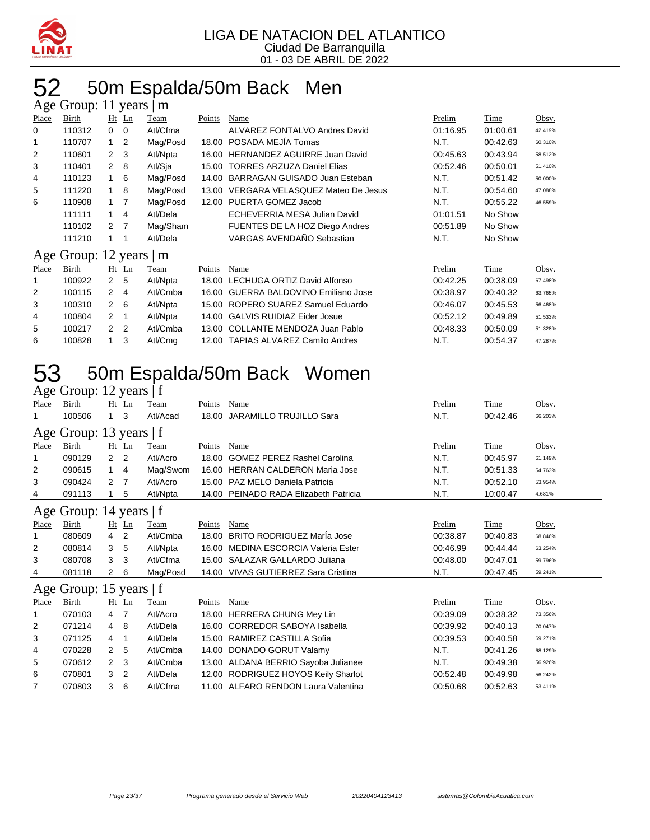

### 52 50m Espalda/50m Back Men

|          | Age Group: 11 years     |                  |          | m        |        |                                      |          |          |         |
|----------|-------------------------|------------------|----------|----------|--------|--------------------------------------|----------|----------|---------|
| Place    | Birth                   |                  | $Ht$ Ln  | Team     | Points | Name                                 | Prelim   | Time     | Obsv.   |
| $\Omega$ | 110312                  | $0\quad 0$       |          | Atl/Cfma |        | ALVAREZ FONTALVO Andres David        | 01:16.95 | 01:00.61 | 42.419% |
|          | 110707                  |                  | 1 2      | Mag/Posd | 18.00  | POSADA MEJIA Tomas                   | N.T.     | 00:42.63 | 60.310% |
| 2        | 110601                  | $2 \quad 3$      |          | Atl/Npta |        | 16.00 HERNANDEZ AGUIRRE Juan David   | 00:45.63 | 00:43.94 | 58.512% |
| 3        | 110401                  | $2 \quad 8$      |          | Atl/Sja  | 15.00  | <b>TORRES ARZUZA Daniel Elias</b>    | 00:52.46 | 00:50.01 | 51.410% |
| 4        | 110123                  |                  | 1 6      | Mag/Posd | 14.00  | BARRAGAN GUISADO Juan Esteban        | N.T.     | 00:51.42 | 50.000% |
| 5        | 111220                  |                  | 8        | Mag/Posd | 13.00  | VERGARA VELASQUEZ Mateo De Jesus     | N.T.     | 00:54.60 | 47.088% |
| 6        | 110908                  | 1 7              |          | Mag/Posd | 12.00  | PUERTA GOMEZ Jacob                   | N.T.     | 00:55.22 | 46.559% |
|          | 111111                  |                  | 1 4      | Atl/Dela |        | ECHEVERRIA MESA Julian David         | 01:01.51 | No Show  |         |
|          | 110102                  | $2 \overline{7}$ |          | Mag/Sham |        | FUENTES DE LA HOZ Diego Andres       | 00:51.89 | No Show  |         |
|          | 111210                  |                  |          | Atl/Dela |        | VARGAS AVENDAÑO Sebastian            | N.T.     | No Show  |         |
|          | Age Group: 12 years   m |                  |          |          |        |                                      |          |          |         |
| Place    | Birth                   |                  | $Ht$ Ln  | Team     | Points | Name                                 | Prelim   | Time     | Obsv.   |
|          | 100922                  | 2 <sub>5</sub>   |          | Atl/Npta | 18.00  | LECHUGA ORTIZ David Alfonso          | 00:42.25 | 00:38.09 | 67.498% |
| 2        | 100115                  | $2 \quad 4$      |          | Atl/Cmba |        | 16.00 GUERRA BALDOVINO Emiliano Jose | 00:38.97 | 00:40.32 | 63.765% |
| 3        | 100310                  |                  | <b>6</b> | Atl/Nnta |        | 15.00 ROPERO SUAREZ Samuel Eduardo   | 00.4607  | 00.45.53 | 56.468% |

| -6 | 100828 |     | Atl/Cma  | 12.00 TAPIAS ALVAREZ Camilo Andres   | N.T.     | 00:54.37 | 47.287% |  |
|----|--------|-----|----------|--------------------------------------|----------|----------|---------|--|
| -5 | 100217 | 22  | Atl/Cmba | 13.00 COLLANTE MENDOZA Juan Pablo    | 00:48.33 | 00:50.09 | 51.328% |  |
| 4  | 100804 | 2 1 | Atl/Npta | 14.00 GALVIS RUIDIAZ Eider Josue     | 00:52.12 | 00:49.89 | 51.533% |  |
|    | 100310 | 2 6 | Atl/Npta | 15.00 ROPERO SUAREZ Samuel Eduardo   | 00:46.07 | 00:45.53 | 56.468% |  |
|    | 100115 | 24  | Ati/Cmba | 16.00 GUERRA BALDOVINO Emiliano Jose | 00.38.97 | 00.40.32 | 63.765% |  |

### 50m Espalda/50m Back Women

| Age Group: 12 years   f |  |  |  |  |
|-------------------------|--|--|--|--|
|-------------------------|--|--|--|--|

| Place | Birth                   | Ht             | $\mathop{\underline{\mathsf{Ln}}}$ | Team     | Points | Name                                | Prelim   | Time     | Obsv.   |
|-------|-------------------------|----------------|------------------------------------|----------|--------|-------------------------------------|----------|----------|---------|
| 1     | 100506                  | 1              | 3                                  | Atl/Acad | 18.00  | <b>JARAMILLO TRUJILLO Sara</b>      | N.T.     | 00:42.46 | 66.203% |
|       | Age Group: 13 years   f |                |                                    |          |        |                                     |          |          |         |
| Place | Birth                   |                | $Ht$ Ln                            | Team     | Points | Name                                | Prelim   | Time     | Obsv.   |
| 1     | 090129                  | 2              | $\overline{2}$                     | Atl/Acro | 18.00  | <b>GOMEZ PEREZ Rashel Carolina</b>  | N.T.     | 00:45.97 | 61.149% |
| 2     | 090615                  | 1.             | 4                                  | Mag/Swom | 16.00  | <b>HERRAN CALDERON Maria Jose</b>   | N.T.     | 00:51.33 | 54.763% |
| 3     | 090424                  | 2              | -7                                 | Atl/Acro |        | 15.00 PAZ MELO Daniela Patricia     | N.T.     | 00:52.10 | 53.954% |
| 4     | 091113                  |                | 5                                  | Atl/Npta | 14.00  | PEINADO RADA Elizabeth Patricia     | N.T.     | 10:00.47 | 4.681%  |
|       | Age Group: 14 years   f |                |                                    |          |        |                                     |          |          |         |
| Place | Birth                   |                | $Ht$ Ln                            | Team     | Points | Name                                | Prelim   | Time     | Obsv.   |
| 1     | 080609                  | 4              | 2                                  | Atl/Cmba | 18.00  | <b>BRITO RODRIGUEZ Maria Jose</b>   | 00:38.87 | 00:40.83 | 68.846% |
| 2     | 080814                  | 3              | 5                                  | Atl/Npta | 16.00  | MEDINA ESCORCIA Valeria Ester       | 00:46.99 | 00:44.44 | 63.254% |
| 3     | 080708                  | 3              | 3                                  | Atl/Cfma |        | 15.00 SALAZAR GALLARDO Juliana      | 00:48.00 | 00:47.01 | 59.796% |
| 4     | 081118                  | $\overline{2}$ | 6                                  | Mag/Posd | 14.00  | VIVAS GUTIERREZ Sara Cristina       | N.T.     | 00:47.45 | 59.241% |
|       | Age Group: 15 years   f |                |                                    |          |        |                                     |          |          |         |
| Place | Birth                   |                | $Ht$ Ln                            | Team     | Points | Name                                | Prelim   | Time     | Obsv.   |
| 1     | 070103                  | 4              | 7                                  | Atl/Acro |        | 18.00 HERRERA CHUNG Mey Lin         | 00:39.09 | 00:38.32 | 73.356% |
| 2     | 071214                  | 4              | 8                                  | Atl/Dela | 16.00  | <b>CORREDOR SABOYA Isabella</b>     | 00:39.92 | 00:40.13 | 70.047% |
| 3     | 071125                  | 4              | 1                                  | Atl/Dela | 15.00  | RAMIREZ CASTILLA Sofia              | 00:39.53 | 00:40.58 | 69.271% |
| 4     | 070228                  | $\overline{2}$ | 5                                  | Atl/Cmba | 14.00  | DONADO GORUT Valamy                 | N.T.     | 00:41.26 | 68.129% |
| 5     | 070612                  | 2              | 3                                  | Atl/Cmba | 13.00  | ALDANA BERRIO Sayoba Julianee       | N.T.     | 00:49.38 | 56.926% |
| 6     | 070801                  | 3              | 2                                  | Atl/Dela | 12.00  | RODRIGUEZ HOYOS Keily Sharlot       | 00:52.48 | 00:49.98 | 56.242% |
| 7     | 070803                  | 3              | 6                                  | Atl/Cfma |        | 11.00 ALFARO RENDON Laura Valentina | 00:50.68 | 00:52.63 | 53.411% |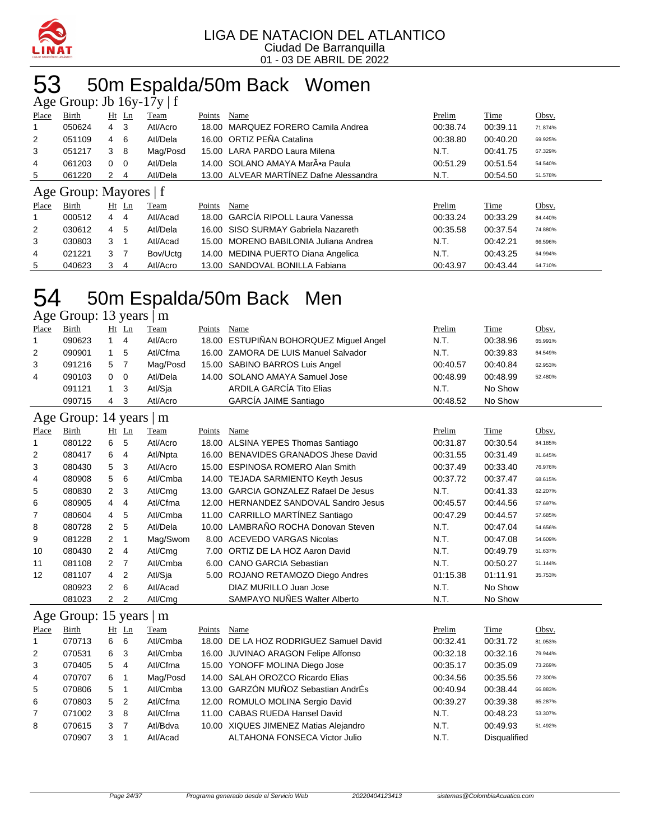

### 53 50m Espalda/50m Back Women

|                | Age Group: Jb $16y-17y \mid f$ |                |                |          |        |                                        |          |          |         |
|----------------|--------------------------------|----------------|----------------|----------|--------|----------------------------------------|----------|----------|---------|
| Place          | Birth                          |                | $Ht$ Ln        | Team     | Points | Name                                   | Prelim   | Time     | Obsv.   |
|                | 050624                         | 4              | -3             | Atl/Acro |        | 18.00 MARQUEZ FORERO Camila Andrea     | 00:38.74 | 00:39.11 | 71.874% |
| 2              | 051109                         | 4              | 6              | Atl/Dela |        | 16.00 ORTIZ PEÑA Catalina              | 00:38.80 | 00:40.20 | 69.925% |
| 3              | 051217                         | 3              | - 8            | Mag/Posd |        | 15.00 LARA PARDO Laura Milena          | N.T.     | 00:41.75 | 67.329% |
| 4              | 061203                         | $\Omega$       | $\overline{0}$ | Atl/Dela |        | 14.00 SOLANO AMAYA MarÂ. Paula         | 00:51.29 | 00:51.54 | 54.540% |
| 5              | 061220                         | 2              | 4              | Atl/Dela |        | 13.00 ALVEAR MARTÍNEZ Dafne Alessandra | N.T.     | 00:54.50 | 51.578% |
|                |                                |                |                |          |        |                                        |          |          |         |
|                | Age Group: Mayores   f         |                |                |          |        |                                        |          |          |         |
| Place          | Birth                          |                | $Ht$ Ln        | Team     | Points | Name                                   | Prelim   | Time     | Obsv.   |
| 1              | 000512                         | $\overline{4}$ | 4              | Atl/Acad | 18.00  | <b>GARCIA RIPOLL Laura Vanessa</b>     | 00:33.24 | 00:33.29 | 84.440% |
| $\overline{2}$ | 030612                         | 4              | -5             | Atl/Dela |        | 16.00 SISO SURMAY Gabriela Nazareth    | 00:35.58 | 00:37.54 | 74.880% |
| 3              | 030803                         | 3              |                | Atl/Acad |        | 15.00 MORENO BABILONIA Juliana Andrea  | N.T.     | 00:42.21 | 66.596% |
| 4              | 021221                         | 3              | $\overline{7}$ | Bov/Uctg |        | 14.00 MEDINA PUERTO Diana Angelica     | N.T.     | 00:43.25 | 64.994% |

### 54 50m Espalda/50m Back Men

|       | Age Group: 13 years   m |                |                |          |        |                                        |          |          |         |
|-------|-------------------------|----------------|----------------|----------|--------|----------------------------------------|----------|----------|---------|
| Place | Birth                   |                | $Ht$ Ln        | Team     | Points | Name                                   | Prelim   | Time     | Obsv.   |
| 1     | 090623                  | 1              | $\overline{4}$ | Atl/Acro |        | 18.00 ESTUPIÑAN BOHORQUEZ Miquel Angel | N.T.     | 00:38.96 | 65.991% |
| 2     | 090901                  | $\mathbf{1}$   | 5              | Atl/Cfma |        | 16.00 ZAMORA DE LUIS Manuel Salvador   | N.T.     | 00:39.83 | 64.549% |
| 3     | 091216                  | 5              | 7              | Mag/Posd | 15.00  | SABINO BARROS Luis Angel               | 00:40.57 | 00:40.84 | 62.953% |
| 4     | 090103                  | $\Omega$       | 0              | Atl/Dela | 14.00  | SOLANO AMAYA Samuel Jose               | 00:48.99 | 00:48.99 | 52.480% |
|       | 091121                  | 1.             | 3              | Atl/Sja  |        | ARDILA GARCÍA Tito Elias               | N.T.     | No Show  |         |
|       | 090715                  | $\overline{4}$ | 3              | Atl/Acro |        | GARCÍA JAIME Santiago                  | 00:48.52 | No Show  |         |
|       | Age Group: 14 years   m |                |                |          |        |                                        |          |          |         |
| Place | Birth                   |                | Ht Ln          | Team     | Points | Name                                   | Prelim   | Time     | Obsv.   |
| 1     | 080122                  | 6              | 5              | Atl/Acro | 18.00  | ALSINA YEPES Thomas Santiago           | 00:31.87 | 00:30.54 | 84.185% |
| 2     | 080417                  | 6              | 4              | Atl/Npta | 16.00  | BENAVIDES GRANADOS Jhese David         | 00:31.55 | 00:31.49 | 81.645% |
| 3     | 080430                  | 5              | 3              | Atl/Acro |        | 15.00 ESPINOSA ROMERO Alan Smith       | 00:37.49 | 00:33.40 | 76.976% |
| 4     | 080908                  | 5              | 6              | Atl/Cmba |        | 14.00 TEJADA SARMIENTO Keyth Jesus     | 00:37.72 | 00:37.47 | 68.615% |
| 5     | 080830                  | $\overline{2}$ | 3              | Atl/Cmg  |        | 13.00 GARCIA GONZALEZ Rafael De Jesus  | N.T.     | 00:41.33 | 62.207% |
| 6     | 080905                  | $\overline{4}$ | $\overline{4}$ | Atl/Cfma |        | 12.00 HERNANDEZ SANDOVAL Sandro Jesus  | 00:45.57 | 00:44.56 | 57.697% |
| 7     | 080604                  | $\overline{4}$ | 5              | Atl/Cmba |        | 11.00 CARRILLO MARTÍNEZ Santiago       | 00:47.29 | 00:44.57 | 57.685% |
| 8     | 080728                  | 2              | 5              | Atl/Dela |        | 10.00 LAMBRAÑO ROCHA Donovan Steven    | N.T.     | 00:47.04 | 54.656% |
| 9     | 081228                  | $\overline{2}$ | -1             | Mag/Swom |        | 8.00 ACEVEDO VARGAS Nicolas            | N.T.     | 00:47.08 | 54.609% |
| 10    | 080430                  | $\overline{2}$ | 4              | Atl/Cmg  | 7.00   | ORTIZ DE LA HOZ Aaron David            | N.T.     | 00:49.79 | 51.637% |
| 11    | 081108                  | $\overline{2}$ | 7              | Atl/Cmba |        | 6.00 CANO GARCIA Sebastian             | N.T.     | 00:50.27 | 51.144% |
| 12    | 081107                  | 4              | $\overline{2}$ | Atl/Sja  | 5.00   | ROJANO RETAMOZO Diego Andres           | 01:15.38 | 01:11.91 | 35.753% |
|       | 080923                  | 2              | 6              | Atl/Acad |        | DIAZ MURILLO Juan Jose                 | N.T.     | No Show  |         |

#### Age Group: 15 years | m

| Place | Birth  | Ht             | $\mathop{\underline{\mathsf{Ln}}}$ | Team     | Points | Name                                   | Prelim   | Time                | Obsv.   |
|-------|--------|----------------|------------------------------------|----------|--------|----------------------------------------|----------|---------------------|---------|
|       | 070713 | 6 6            |                                    | Atl/Cmba |        | 18.00 DE LA HOZ RODRIGUEZ Samuel David | 00:32.41 | 00:31.72            | 81.053% |
| 2     | 070531 | 6              | 3                                  | Atl/Cmba |        | 16.00 JUVINAO ARAGON Felipe Alfonso    | 00:32.18 | 00:32.16            | 79.944% |
| 3     | 070405 | 5 <sub>4</sub> |                                    | Atl/Cfma |        | 15.00 YONOFF MOLINA Diego Jose         | 00:35.17 | 00:35.09            | 73.269% |
| 4     | 070707 | 6 1            |                                    | Mag/Posd |        | 14.00 SALAH OROZCO Ricardo Elias       | 00:34.56 | 00:35.56            | 72.300% |
| 5     | 070806 | 5 <sub>1</sub> |                                    | Atl/Cmba |        | 13.00 GARZÓN MUÑOZ Sebastian AndrÉs    | 00:40.94 | 00:38.44            | 66.883% |
| 6     | 070803 | 5 <sup>2</sup> |                                    | Atl/Cfma |        | 12.00 ROMULO MOLINA Sergio David       | 00:39.27 | 00:39.38            | 65.287% |
| 7     | 071002 | 3 <sub>8</sub> |                                    | Atl/Cfma |        | 11.00 CABAS RUEDA Hansel David         | N.T.     | 00:48.23            | 53.307% |
| 8     | 070615 | 3 <sub>7</sub> |                                    | Atl/Bdva |        | 10.00 XIQUES JIMENEZ Matias Alejandro  | N.T.     | 00:49.93            | 51.492% |
|       | 070907 | 3              |                                    | Atl/Acad |        | ALTAHONA FONSECA Victor Julio          | N.T.     | <b>Disqualified</b> |         |

081023 2 2 Atl/Cmg SAMPAYO NUÑES Walter Alberto N.T. No Show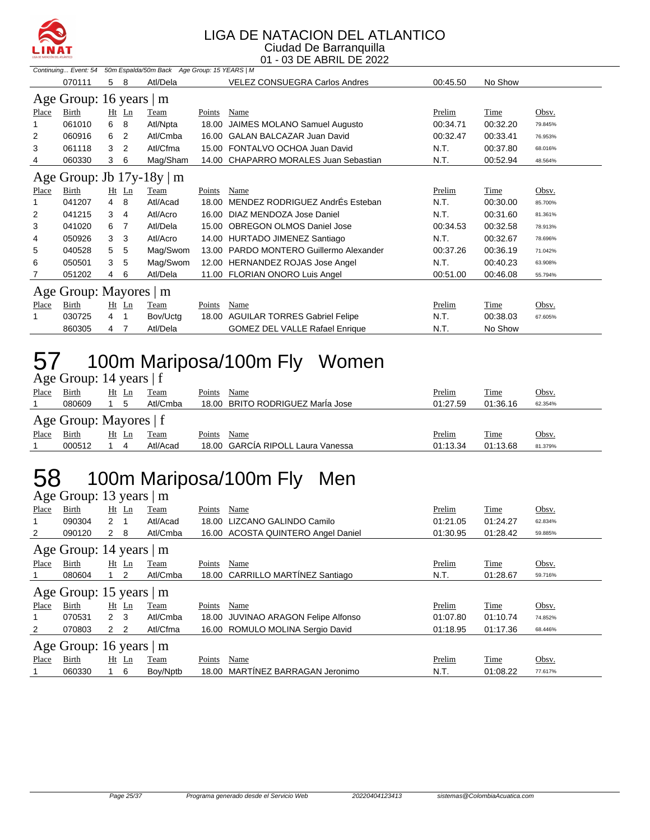

#### LIGA DE NATACION DEL ATLANTICO Ciudad De Barranquilla

01 - 03 DE ABRIL DE 2022

|       | Continuing Event: 54     |    |         | 50m Espalda/50m Back Age Group: 15 YEARS   M |        |                                         |          |             |         |
|-------|--------------------------|----|---------|----------------------------------------------|--------|-----------------------------------------|----------|-------------|---------|
|       | 070111                   | 5. | 8       | Atl/Dela                                     |        | <b>VELEZ CONSUEGRA Carlos Andres</b>    | 00:45.50 | No Show     |         |
|       | Age Group: 16 years $ m$ |    |         |                                              |        |                                         |          |             |         |
| Place | Birth                    |    | $Ht$ Ln | Team                                         | Points | Name                                    | Prelim   | Time        | Obsv.   |
|       | 061010                   | 6  | 8       | Atl/Npta                                     | 18.00  | JAIMES MOLANO Samuel Augusto            | 00:34.71 | 00:32.20    | 79.845% |
| 2     | 060916                   | 6  | 2       | Atl/Cmba                                     |        | 16.00 GALAN BALCAZAR Juan David         | 00:32.47 | 00:33.41    | 76.953% |
| 3     | 061118                   | 3  | 2       | Atl/Cfma                                     | 15.00  | FONTALVO OCHOA Juan David               | N.T.     | 00:37.80    | 68.016% |
| 4     | 060330                   | 3  | 6       | Mag/Sham                                     |        | 14.00 CHAPARRO MORALES Juan Sebastian   | N.T.     | 00:52.94    | 48.564% |
|       |                          |    |         | Age Group: Jb $17y-18y \mid m$               |        |                                         |          |             |         |
| Place | Birth                    |    | $Ht$ Ln | Team                                         | Points | Name                                    | Prelim   | <b>Time</b> | Obsv.   |
|       | 041207                   | 4  | 8       | Atl/Acad                                     | 18.00  | MENDEZ RODRIGUEZ AndrÉs Esteban         | N.T.     | 00:30.00    | 85.700% |
| 2     | 041215                   | 3  | 4       | Atl/Acro                                     |        | 16.00 DIAZ MENDOZA Jose Daniel          | N.T.     | 00:31.60    | 81.361% |
| 3     | 041020                   | 6  | -7      | Atl/Dela                                     |        | 15.00 OBREGON OLMOS Daniel Jose         | 00:34.53 | 00:32.58    | 78.913% |
| 4     | 050926                   | 3  | 3       | Atl/Acro                                     |        | 14.00 HURTADO JIMENEZ Santiago          | N.T.     | 00:32.67    | 78.696% |
| 5     | 040528                   | 5  | 5       | Mag/Swom                                     |        | 13.00 PARDO MONTERO Guillermo Alexander | 00:37.26 | 00:36.19    | 71.042% |
| 6     | 050501                   | 3  | 5       | Mag/Swom                                     |        | 12.00 HERNANDEZ ROJAS Jose Angel        | N.T.     | 00:40.23    | 63.908% |
| 7     | 051202                   | 4  | 6       | Atl/Dela                                     |        | 11.00 FLORIAN ONORO Luis Angel          | 00:51.00 | 00:46.08    | 55.794% |
|       | Age Group: Mayores       |    |         | m                                            |        |                                         |          |             |         |
| Place | <b>Birth</b>             |    | $Ht$ Ln | Team                                         | Points | Name                                    | Prelim   | Time        | Obsv.   |
|       | 030725                   | 4  | 1       | Bov/Uctg                                     | 18.00  | <b>AGUILAR TORRES Gabriel Felipe</b>    | N.T.     | 00:38.03    | 67.605% |
|       | 860305                   | 4  | 7       | Atl/Dela                                     |        | <b>GOMEZ DEL VALLE Rafael Enrique</b>   | N.T.     | No Show     |         |

### 57 100m Mariposa/100m Fly Women

|       | Age Group: 14 years $ f $ |       |    |          |        |                                  |          |             |         |  |  |  |
|-------|---------------------------|-------|----|----------|--------|----------------------------------|----------|-------------|---------|--|--|--|
| Place | Birth                     | Ht Ln |    | Team     | Points | Name                             | Prelim   | Time        | Obsv.   |  |  |  |
|       | 080609                    |       | 5  | Atl/Cmba |        | 18.00 BRITO RODRIGUEZ Maria Jose | 01:27.59 | 01:36.16    | 62.354% |  |  |  |
|       | Age Group: Mayores   f    |       |    |          |        |                                  |          |             |         |  |  |  |
|       |                           |       |    |          |        |                                  |          |             |         |  |  |  |
| Place | Birth                     | Ht    | Ln | Team     | Points | Name                             | Prelim   | <u>Time</u> | Obsv.   |  |  |  |

### 58 100m Mariposa/100m Fly Men

|                | Age Group: 13 years  <br>m |                |         |          |        |                                    |          |             |         |  |  |  |
|----------------|----------------------------|----------------|---------|----------|--------|------------------------------------|----------|-------------|---------|--|--|--|
| Place          | Birth                      |                | $Ht$ Ln | Team     | Points | Name                               | Prelim   | Time        | Obsv.   |  |  |  |
|                | 090304                     | 2              | 1       | Atl/Acad | 18.00  | LIZCANO GALINDO Camilo             | 01:21.05 | 01:24.27    | 62.834% |  |  |  |
| $\overline{2}$ | 090120                     | $2 \quad 8$    |         | Atl/Cmba |        | 16.00 ACOSTA QUINTERO Angel Daniel | 01:30.95 | 01:28.42    | 59.885% |  |  |  |
|                | Age Group: 14 years        |                |         | m        |        |                                    |          |             |         |  |  |  |
| Place          | Birth                      |                | $Ht$ Ln | Team     | Points | Name                               | Prelim   | <b>Time</b> | Obsv.   |  |  |  |
|                | 080604                     |                | 2       | Atl/Cmba |        | 18.00 CARRILLO MARTÍNEZ Santiago   | N.T.     | 01:28.67    | 59.716% |  |  |  |
|                | Age Group: 15 years        |                |         | m        |        |                                    |          |             |         |  |  |  |
| Place          | Birth                      | Ht             | Ln      | Team     | Points | Name                               | Prelim   | Time        | Obsv.   |  |  |  |
|                | 070531                     | $2 \quad 3$    |         | Atl/Cmba | 18.00  | JUVINAO ARAGON Felipe Alfonso      | 01:07.80 | 01:10.74    | 74.852% |  |  |  |
| 2              | 070803                     | 2 <sub>2</sub> |         | Atl/Cfma |        | 16.00 ROMULO MOLINA Sergio David   | 01:18.95 | 01:17.36    | 68.446% |  |  |  |
|                | Age Group: 16 years        |                |         | m        |        |                                    |          |             |         |  |  |  |
| Place          | <b>Birth</b>               |                | $Ht$ Ln | Team     | Points | Name                               | Prelim   | Time        | Obsv.   |  |  |  |
|                | 060330                     |                | 6       | Boy/Nptb | 18.00  | MARTINEZ BARRAGAN Jeronimo         | N.T.     | 01:08.22    | 77.617% |  |  |  |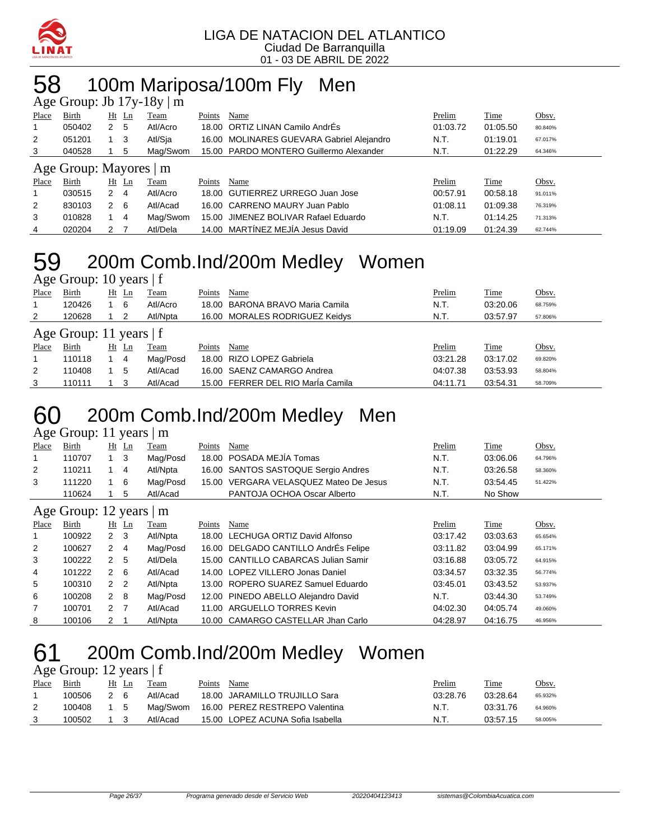

# 58 100m Mariposa/100m Fly Men

|       | Age Group: Jb $17y-18y \mid m$ |               |                |          |        |                                           |          |          |         |  |  |
|-------|--------------------------------|---------------|----------------|----------|--------|-------------------------------------------|----------|----------|---------|--|--|
| Place | Birth                          |               | Ht Ln          | Team     | Points | Name                                      | Prelim   | Time     | Obsv.   |  |  |
| 1     | 050402                         | 2             | -5             | Atl/Acro |        | 18.00 ORTIZ LINAN Camilo AndrEs           | 01:03.72 | 01:05.50 | 80.840% |  |  |
| 2     | 051201                         |               | - 3            | Atl/Sia  |        | 16.00 MOLINARES GUEVARA Gabriel Alejandro | N.T.     | 01:19.01 | 67.017% |  |  |
| 3     | 040528                         |               | 5              | Mag/Swom |        | 15.00 PARDO MONTERO Guillermo Alexander   | N.T.     | 01:22.29 | 64.346% |  |  |
|       | Age Group: Mayores   m         |               |                |          |        |                                           |          |          |         |  |  |
| Place | Birth                          | Ht            | Ln             | Team     | Points | Name                                      | Prelim   | Time     | Obsv.   |  |  |
| 1     | 030515                         | $\mathcal{P}$ | $\overline{4}$ | Atl/Acro |        | 18.00 GUTIERREZ URREGO Juan Jose          | 00:57.91 | 00:58.18 | 91.011% |  |  |
| 2     | 830103                         | 2             | - 6            | Atl/Acad |        | 16.00 CARRENO MAURY Juan Pablo            | 01:08.11 | 01:09.38 | 76.319% |  |  |
| 3     | 010828                         |               | $\overline{4}$ | Mag/Swom |        | 15.00 JIMENEZ BOLIVAR Rafael Eduardo      | N.T.     | 01:14.25 | 71.313% |  |  |
| 4     | 020204                         | $\mathcal{P}$ |                | Atl/Dela |        | 14.00 MARTÍNEZ MEJÍA Jesus David          | 01:19.09 | 01:24.39 | 62.744% |  |  |

#### 200m Comb.Ind/200m Medley Women Age Group: 10 years | f

| Place | Birth                     | Ht | Ln      | Team     | Points | Name                              | Prelim   | Time     | Obsv.   |
|-------|---------------------------|----|---------|----------|--------|-----------------------------------|----------|----------|---------|
|       | 120426                    |    | 6       | Atl/Acro |        | 18.00 BARONA BRAVO Maria Camila   | N.T.     | 03:20.06 | 68.759% |
| 2     | 120628                    |    | 2       | Atl/Npta |        | 16.00 MORALES RODRIGUEZ Keidys    | N.T.     | 03:57.97 | 57.806% |
|       | Age Group: 11 years $ f $ |    |         |          |        |                                   |          |          |         |
| Place | Birth                     |    | $Ht$ Ln | Team     | Points | Name                              | Prelim   | Time     | Obsv.   |
| 1     | 110118                    |    | -4      | Mag/Posd |        | 18.00 RIZO LOPEZ Gabriela         | 03:21.28 | 03:17.02 | 69.820% |
| 2     | 110408                    |    | 5       | Atl/Acad |        | 16.00 SAENZ CAMARGO Andrea        | 04:07.38 | 03:53.93 | 58.804% |
| 3     | 110111                    |    |         | Atl/Acad |        | 15.00 FERRER DEL RIO María Camila | 04:11.71 | 03:54.31 | 58.709% |

### 200m Comb.Ind/200m Medley Men

#### Age Group: 11 years | m

| Place | Birth                                       | Ht Ln          | Team     | Points | Name                                   | Prelim | Time     | <u>Obsv.</u> |
|-------|---------------------------------------------|----------------|----------|--------|----------------------------------------|--------|----------|--------------|
|       | 110707                                      | 1 3            | Mag/Posd |        | 18.00 POSADA MEJÍA Tomas               | N.T.   | 03:06.06 | 64.796%      |
| 2     | 110211                                      | $\overline{4}$ | Atl/Npta |        | 16.00 SANTOS SASTOQUE Sergio Andres    | N.T.   | 03:26.58 | 58.360%      |
| 3     | 111220                                      | 16             | Mag/Posd |        | 15.00 VERGARA VELASQUEZ Mateo De Jesus | N.T.   | 03:54.45 | 51.422%      |
|       | 110624                                      | - 5            | Atl/Acad |        | PANTOJA OCHOA Oscar Alberto            | N.T.   | No Show  |              |
|       | $\lambda$ $\sim$ $\lambda$ $\sim$ $\lambda$ |                |          |        |                                        |        |          |              |

#### Age Group: 12 years | m

| ے              |              |                |                |          |        |                                      |          |          |         |
|----------------|--------------|----------------|----------------|----------|--------|--------------------------------------|----------|----------|---------|
| Place          | <b>Birth</b> |                | $Ht$ Ln        | Team     | Points | Name                                 | Prelim   | Time     | Obsv.   |
|                | 100922       | $\overline{2}$ | - 3            | Atl/Npta |        | 18.00 LECHUGA ORTIZ David Alfonso    | 03:17.42 | 03:03.63 | 65.654% |
| 2              | 100627       | 2              | -4             | Mag/Posd |        | 16.00 DELGADO CANTILLO AndrÉs Felipe | 03:11.82 | 03:04.99 | 65.171% |
| 3              | 100222       | 2              | -5             | Atl/Dela |        | 15.00 CANTILLO CABARCAS Julian Samir | 03:16.88 | 03:05.72 | 64.915% |
| 4              | 101222       | 2              | -6             | Atl/Acad |        | 14.00 LOPEZ VILLERO Jonas Daniel     | 03:34.57 | 03:32.35 | 56.774% |
| 5              | 100310       | 2              | $\overline{2}$ | Atl/Npta |        | 13.00 ROPERO SUAREZ Samuel Eduardo   | 03:45.01 | 03:43.52 | 53.937% |
| 6              | 100208       | 2              | - 8            | Mag/Posd |        | 12.00 PINEDO ABELLO Alejandro David  | N.T.     | 03:44.30 | 53.749% |
| $\overline{7}$ | 100701       | 2 <sub>7</sub> |                | Atl/Acad |        | 11.00 ARGUELLO TORRES Kevin          | 04:02.30 | 04:05.74 | 49.060% |
| 8              | 100106       | $\mathcal{P}$  |                | Atl/Npta |        | 10.00 CAMARGO CASTELLAR Jhan Carlo   | 04:28.97 | 04:16.75 | 46.956% |

### 200m Comb.Ind/200m Medley Women

### Age Group: 12 years | f

| Place | Birth  | Ht<br>Ln | Team     | Points | Name                             | Prelim   | Time     | Obsv.   |
|-------|--------|----------|----------|--------|----------------------------------|----------|----------|---------|
|       | 100506 | 2 6      | Atl/Acad |        | 18.00 JARAMILLO TRUJILLO Sara    | 03:28.76 | 03:28.64 | 65.932% |
|       | 100408 | 1 5      | Maɑ/Swom |        | 16.00 PEREZ RESTREPO Valentina   | N.T.     | 03:31.76 | 64.960% |
|       | 100502 |          | Atl/Acad |        | 15.00 LOPEZ ACUNA Sofia Isabella | N.T.     | 03:57.15 | 58.005% |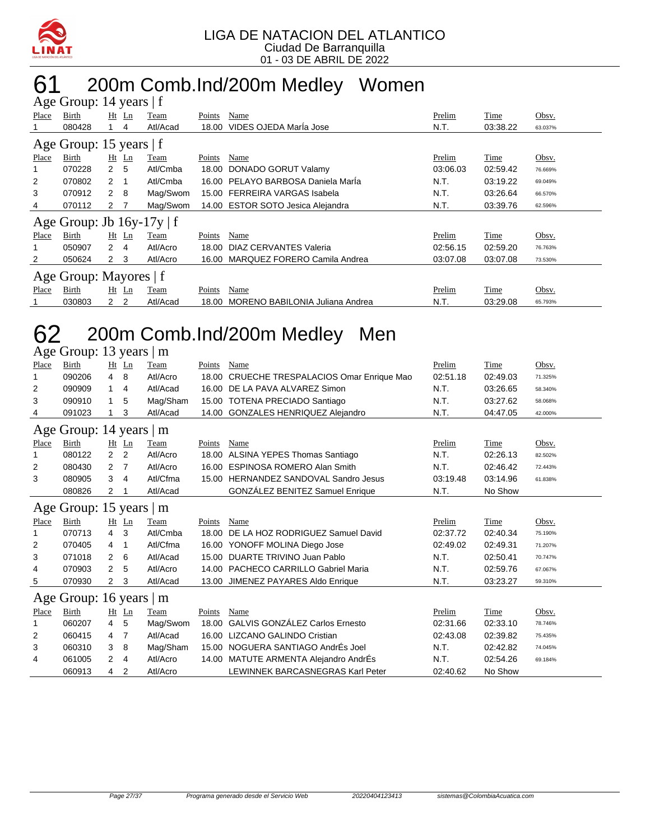

# 61 200m Comb.Ind/200m Medley Women

|       | Age Group: 14 years   f        |                |         |          |        |                                    |          |          |         |
|-------|--------------------------------|----------------|---------|----------|--------|------------------------------------|----------|----------|---------|
| Place | Birth                          |                | $Ht$ Ln | Team     | Points | Name                               | Prelim   | Time     | Obsv.   |
|       | 080428                         |                | 4       | Atl/Acad | 18.00  | VIDES OJEDA MarÍa Jose             | N.T.     | 03:38.22 | 63.037% |
|       | Age Group: 15 years   f        |                |         |          |        |                                    |          |          |         |
| Place | Birth                          |                | $Ht$ Ln | Team     | Points | Name                               | Prelim   | Time     | Obsv.   |
| 1     | 070228                         | $\overline{2}$ | 5       | Atl/Cmba | 18.00  | DONADO GORUT Valamy                | 03:06.03 | 02:59.42 | 76.669% |
| 2     | 070802                         | 2              |         | Atl/Cmba |        | 16.00 PELAYO BARBOSA Daniela Marla | N.T.     | 03:19.22 | 69.049% |
| 3     | 070912                         | $\mathbf{2}$   | - 8     | Mag/Swom |        | 15.00 FERREIRA VARGAS Isabela      | N.T.     | 03:26.64 | 66.570% |
| 4     | 070112                         | 2 <sub>7</sub> |         | Mag/Swom |        | 14.00 ESTOR SOTO Jesica Alejandra  | N.T.     | 03:39.76 | 62.596% |
|       | Age Group: Jb $16y-17y \mid f$ |                |         |          |        |                                    |          |          |         |
| Place | Birth                          |                | $Ht$ Ln | Team     | Points | Name                               | Prelim   | Time     | Obsv.   |
| 1     | 050907                         | $\overline{2}$ | -4      | Atl/Acro | 18.00  | DIAZ CERVANTES Valeria             | 02:56.15 | 02:59.20 | 76.763% |
| 2     | 050624                         | $\mathbf{2}$   | 3       | Atl/Acro |        | 16.00 MARQUEZ FORERO Camila Andrea | 03:07.08 | 03:07.08 | 73.530% |
|       | Age Group: Mayores   f         |                |         |          |        |                                    |          |          |         |
| Place | Birth                          |                | $Ht$ Ln | Team     | Points | Name                               | Prelim   | Time     | Obsv.   |
|       | 030803                         | 2              | 2       | Atl/Acad | 18.00  | MORENO BABILONIA Juliana Andrea    | N.T.     | 03:29.08 | 65.793% |

## 62 200m Comb.Ind/200m Medley Men

|                            | Age Group: 13 years<br>m |                |                |          |        |                                             |          |          |         |  |  |
|----------------------------|--------------------------|----------------|----------------|----------|--------|---------------------------------------------|----------|----------|---------|--|--|
| Place                      | Birth                    |                | $Ht$ Ln        | Team     | Points | Name                                        | Prelim   | Time     | Obsv.   |  |  |
| $\mathbf 1$                | 090206                   | 4              | 8              | Atl/Acro |        | 18.00 CRUECHE TRESPALACIOS Omar Enrique Mao | 02:51.18 | 02:49.03 | 71.325% |  |  |
| 2                          | 090909                   | 1              | 4              | Atl/Acad | 16.00  | DE LA PAVA ALVAREZ Simon                    | N.T.     | 03:26.65 | 58.340% |  |  |
| 3                          | 090910                   | 1              | 5              | Mag/Sham | 15.00  | <b>TOTENA PRECIADO Santiago</b>             | N.T.     | 03:27.62 | 58.068% |  |  |
| 4                          | 091023                   |                | 3              | Atl/Acad |        | 14.00 GONZALES HENRIQUEZ Alejandro          | N.T.     | 04:47.05 | 42.000% |  |  |
| Age Group: 14 years  <br>m |                          |                |                |          |        |                                             |          |          |         |  |  |
| Place                      | Birth                    |                | Ht Ln          | Team     | Points | Name                                        | Prelim   | Time     | Obsv.   |  |  |
| 1                          | 080122                   | $\overline{2}$ | 2              | Atl/Acro | 18.00  | ALSINA YEPES Thomas Santiago                | N.T.     | 02:26.13 | 82.502% |  |  |
| 2                          | 080430                   | 2              | 7              | Atl/Acro | 16.00  | <b>ESPINOSA ROMERO Alan Smith</b>           | N.T.     | 02:46.42 | 72.443% |  |  |
| 3                          | 080905                   | 3              | 4              | Atl/Cfma | 15.00  | HERNANDEZ SANDOVAL Sandro Jesus             | 03:19.48 | 03:14.96 | 61.838% |  |  |
|                            | 080826                   | 2              |                | Atl/Acad |        | <b>GONZALEZ BENITEZ Samuel Enrique</b>      | N.T.     | No Show  |         |  |  |
|                            | Age Group: 15 years   m  |                |                |          |        |                                             |          |          |         |  |  |
| Place                      | Birth                    |                | Ht Ln          | Team     | Points | Name                                        | Prelim   | Time     | Obsv.   |  |  |
| $\mathbf 1$                | 070713                   | 4              | 3              | Atl/Cmba | 18.00  | DE LA HOZ RODRIGUEZ Samuel David            | 02:37.72 | 02:40.34 | 75.190% |  |  |
| 2                          | 070405                   | 4              | 1              | Atl/Cfma |        | 16.00 YONOFF MOLINA Diego Jose              | 02:49.02 | 02:49.31 | 71.207% |  |  |
| 3                          | 071018                   | 2              | 6              | Atl/Acad | 15.00  | DUARTE TRIVINO Juan Pablo                   | N.T.     | 02:50.41 | 70.747% |  |  |
| 4                          | 070903                   | 2              | 5              | Atl/Acro | 14.00  | <b>PACHECO CARRILLO Gabriel Maria</b>       | N.T.     | 02:59.76 | 67.067% |  |  |
| 5                          | 070930                   | $\mathbf{2}$   | 3              | Atl/Acad |        | 13.00 JIMENEZ PAYARES Aldo Enrique          | N.T.     | 03:23.27 | 59.310% |  |  |
|                            | Age Group: 16 years      |                |                | m        |        |                                             |          |          |         |  |  |
| Place                      | Birth                    |                | $Ht$ Ln        | Team     | Points | Name                                        | Prelim   | Time     | Obsv.   |  |  |
| 1                          | 060207                   | 4              | 5              | Mag/Swom | 18.00  | <b>GALVIS GONZÁLEZ Carlos Ernesto</b>       | 02:31.66 | 02:33.10 | 78.746% |  |  |
| 2                          | 060415                   | 4              | 7              | Atl/Acad | 16.00  | <b>LIZCANO GALINDO Cristian</b>             | 02:43.08 | 02:39.82 | 75.435% |  |  |
| 3                          | 060310                   | 3              | 8              | Mag/Sham |        | 15.00 NOGUERA SANTIAGO AndrÉs Joel          | N.T.     | 02:42.82 | 74.045% |  |  |
| 4                          | 061005                   | 2              | 4              | Atl/Acro |        | 14.00 MATUTE ARMENTA Alejandro AndrÉs       | N.T.     | 02:54.26 | 69.184% |  |  |
|                            | 060913                   | 4              | $\overline{2}$ | Atl/Acro |        | LEWINNEK BARCASNEGRAS Karl Peter            | 02:40.62 | No Show  |         |  |  |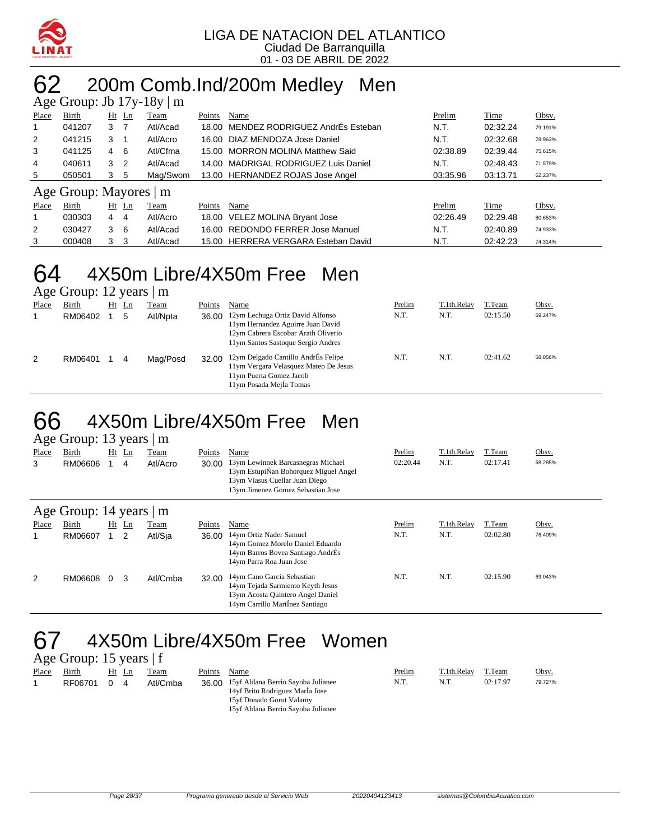

## 62 200m Comb.Ind/200m Medley Men

|       |                    |                |         | Age Group: Jb $17y-18y \mid m$ |        |                                       |          |          |         |
|-------|--------------------|----------------|---------|--------------------------------|--------|---------------------------------------|----------|----------|---------|
| Place | Birth              |                | $Ht$ Ln | Team                           | Points | Name                                  | Prelim   | Time     | Obsv.   |
|       | 041207             | 3              | -7      | Atl/Acad                       |        | 18.00 MENDEZ RODRIGUEZ AndrEs Esteban | N.T.     | 02:32.24 | 79.191% |
| 2     | 041215             | 3              |         | Atl/Acro                       |        | 16.00 DIAZ MENDOZA Jose Daniel        | N.T.     | 02:32.68 | 78.963% |
| 3     | 041125             | 4 6            |         | Atl/Cfma                       |        | 15.00 MORRON MOLINA Matthew Said      | 02:38.89 | 02:39.44 | 75.615% |
| 4     | 040611             | 3 <sub>2</sub> |         | Atl/Acad                       |        | 14.00 MADRIGAL RODRIGUEZ Luis Daniel  | N.T.     | 02:48.43 | 71.579% |
| 5     | 050501             | 3              | 5       | Mag/Swom                       |        | 13.00 HERNANDEZ ROJAS Jose Angel      | 03:35.96 | 03:13.71 | 62.237% |
|       | Age Group: Mayores |                |         | m                              |        |                                       |          |          |         |
| Place | Birth              |                | $Ht$ Ln | Team                           | Points | Name                                  | Prelim   | Time     | Obsv.   |
|       | 030303             | 4              | 4       | Atl/Acro                       |        | 18.00 VELEZ MOLINA Bryant Jose        | 02:26.49 | 02:29.48 | 80.653% |
| 2     | 030427             | 3              | - 6     | Atl/Acad                       |        | 16.00 REDONDO FERRER Jose Manuel      | N.T.     | 02:40.89 | 74.933% |
| 3     | 000408             | 3              | -3      | Atl/Acad                       |        | 15.00 HERRERA VERGARA Esteban David   | N.T.     | 02:42.23 | 74.314% |

### 64 4X50m Libre/4X50m Free Men

Age Group: 12 years | m

| ີ<br>Place | Birth<br>RM06402 | $Ht$ Ln<br>5 | Team<br>Atl/Npta | Points<br>36.00 | Name<br>12ym Lechuga Ortiz David Alfonso<br>11ym Hernandez Aguirre Juan David<br>12ym Cabrera Escobar Arath Oliverio                                                     | Prelim<br>N.T. | T.1th.Relav<br>N.T. | T.Team<br>02:15.50 | Obsv.<br>69.247% |
|------------|------------------|--------------|------------------|-----------------|--------------------------------------------------------------------------------------------------------------------------------------------------------------------------|----------------|---------------------|--------------------|------------------|
| 2          | RM06401          | 4            | Mag/Posd         | 32.00           | 11ym Santos Sastoque Sergio Andres<br>12ym Delgado Cantillo AndrÉs Felipe<br>11ym Vergara Velasquez Mateo De Jesus<br>11ym Puerta Gomez Jacob<br>11ym Posada Mejla Tomas | N.T.           | N.T.                | 02:41.62           | 58.056%          |

#### 66 4X50m Libre/4X50m Free Men Age Group: 13 years | m

|       | $1.50$ S10ap. 15 $/$ card $/$ m. |    |                |          |        |                                                                         |          |             |          |         |
|-------|----------------------------------|----|----------------|----------|--------|-------------------------------------------------------------------------|----------|-------------|----------|---------|
| Place | Birth                            | Ht | $\mathbf{L}$ n | Team     | Points | Name                                                                    | Prelim   | T.1th.Relay | T.Team   | Obsv.   |
| 3     | RM06606                          |    | 4              | Atl/Acro | 30.00  | 13ym Lewinnek Barcasnegras Michael                                      | 02:20.44 | N.T.        | 02:17.41 | 68.285% |
|       |                                  |    |                |          |        | 13ym EstupiÑan Bohorquez Miguel Angel<br>13ym Viasus Cuellar Juan Diego |          |             |          |         |
|       |                                  |    |                |          |        | 13ym Jimenez Gomez Sebastian Jose                                       |          |             |          |         |
|       |                                  |    |                |          |        |                                                                         |          |             |          |         |
|       | Age Group: 14 years              |    |                | m        |        |                                                                         |          |             |          |         |
| Place | Birth                            | Ht | $\mathbf{L}$ n | Team     | Points | Name                                                                    | Prelim   | T.1th.Relay | T.Team   | Obsv.   |
| 1     | RM06607                          |    | 2              | Atl/Sja  | 36.00  | 14ym Ortiz Nader Samuel                                                 | N.T.     | N.T.        | 02:02.80 | 76.409% |
|       |                                  |    |                |          |        | 14ym Gomez Morelo Daniel Eduardo                                        |          |             |          |         |
|       |                                  |    |                |          |        | 14ym Barros Bovea Santiago AndrÉs<br>14ym Parra Roa Juan Jose           |          |             |          |         |
|       |                                  |    |                |          |        |                                                                         |          |             |          |         |
| 2     | RM06608                          | 0  | 3              | Atl/Cmba | 32.00  | 14ym Cano Garcia Sebastian                                              | N.T.     | N.T.        | 02:15.90 | 69.043% |
|       |                                  |    |                |          |        | 14ym Tejada Sarmiento Keyth Jesus<br>13ym Acosta Quintero Angel Daniel  |          |             |          |         |
|       |                                  |    |                |          |        | 14ym Carrillo Martinez Santiago                                         |          |             |          |         |
|       |                                  |    |                |          |        |                                                                         |          |             |          |         |

### 67 4X50m Libre/4X50m Free Women

|       | Age Group: 15 years $ f $ |       |   |          |        |                                                                                                                                               |        |             |          |         |  |  |
|-------|---------------------------|-------|---|----------|--------|-----------------------------------------------------------------------------------------------------------------------------------------------|--------|-------------|----------|---------|--|--|
| Place | Birth                     | Ht Ln |   | l'eam    | Points | Name                                                                                                                                          | Prelim | T.1th.Relay | T.Team   | Obsv.   |  |  |
|       | RF06701                   | 0     | 4 | Atl/Cmba |        | 36.00 15yf Aldana Berrio Sayoba Julianee<br>14yf Brito Rodriguez Marla Jose<br>15yf Donado Gorut Valamy<br>15yf Aldana Berrio Sayoba Julianee | N.T.   | N.T.        | 02:17.97 | 79.727% |  |  |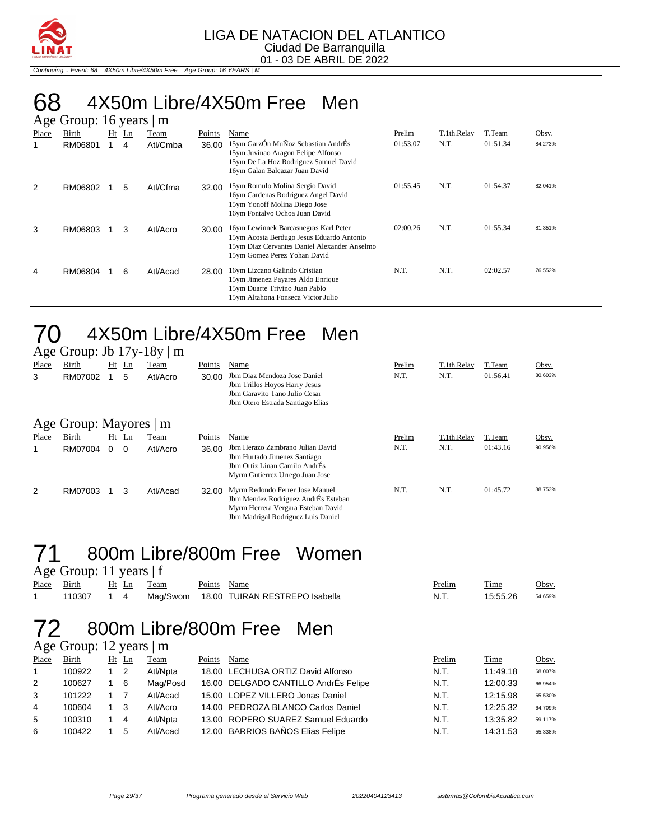

Continuing... Event: 68 4X50m Libre/4X50m Free Age Group: 16 YEARS | M

# 68 4X50m Libre/4X50m Free Men

|       | Age Group: 16 years<br>m |    |    |          |        |                                                                                                                                                                    |          |             |          |         |  |  |  |
|-------|--------------------------|----|----|----------|--------|--------------------------------------------------------------------------------------------------------------------------------------------------------------------|----------|-------------|----------|---------|--|--|--|
| Place | Birth                    | Ht | Ln | Team     | Points | Name                                                                                                                                                               | Prelim   | T.1th.Relay | T.Team   | Obsv.   |  |  |  |
|       | RM06801                  |    | 4  | Atl/Cmba | 36.00  | 15ym GarzÓn MuÑoz Sebastian AndrÉs<br>15ym Juvinao Aragon Felipe Alfonso<br>15ym De La Hoz Rodriguez Samuel David<br>16ym Galan Balcazar Juan David                | 01:53.07 | N.T.        | 01:51.34 | 84.273% |  |  |  |
| 2     | RM06802                  |    | 5  | Atl/Cfma | 32.00  | 15ym Romulo Molina Sergio David<br>16ym Cardenas Rodriguez Angel David<br>15ym Yonoff Molina Diego Jose<br>16ym Fontalvo Ochoa Juan David                          | 01:55.45 | N.T.        | 01:54.37 | 82.041% |  |  |  |
| 3     | RM06803                  |    | 3  | Atl/Acro | 30.00  | 16ym Lewinnek Barcasnegras Karl Peter<br>15ym Acosta Berdugo Jesus Eduardo Antonio<br>15ym Diaz Cervantes Daniel Alexander Anselmo<br>15ym Gomez Perez Yohan David | 02:00.26 | N.T.        | 01:55.34 | 81.351% |  |  |  |
| 4     | RM06804                  |    | 6  | Atl/Acad | 28.00  | 16ym Lizcano Galindo Cristian<br>15ym Jimenez Payares Aldo Enrique<br>15ym Duarte Trivino Juan Pablo<br>15ym Altahona Fonseca Victor Julio                         | N.T.     | N.T.        | 02:02.57 | 76.552% |  |  |  |

### 70 4X50m Libre/4X50m Free Men

|       | Age Group: Jb $17y-18y$<br>$\mathsf{m}$ |   |         |          |        |                                                                                                                                                    |        |             |          |         |  |
|-------|-----------------------------------------|---|---------|----------|--------|----------------------------------------------------------------------------------------------------------------------------------------------------|--------|-------------|----------|---------|--|
| Place | Birth                                   |   | Ht Ln   | Team     | Points | Name                                                                                                                                               | Prelim | T.1th.Relay | T.Team   | Obsv.   |  |
| 3     | RM07002                                 |   | 5       | Atl/Acro | 30.00  | Jbm Diaz Mendoza Jose Daniel<br>Jbm Trillos Hoyos Harry Jesus<br>Jbm Garavito Tano Julio Cesar<br>Jbm Otero Estrada Santiago Elias                 | N.T.   | N.T.        | 01:56.41 | 80.603% |  |
|       | Age Group: Mayores   m                  |   |         |          |        |                                                                                                                                                    |        |             |          |         |  |
| Place | Birth                                   |   | $Ht$ Ln | Team     | Points | Name                                                                                                                                               | Prelim | T.1th.Relay | T.Team   | Obsv.   |  |
|       | RM07004                                 | 0 | 0       | Atl/Acro | 36.00  | Jbm Herazo Zambrano Julian David<br>Jbm Hurtado Jimenez Santiago<br>Jbm Ortiz Linan Camilo AndrÉs<br>Myrm Gutierrez Urrego Juan Jose               | N.T.   | N.T.        | 01:43.16 | 90.956% |  |
| 2     | RM07003                                 |   | 3       | Atl/Acad | 32.00  | Myrm Redondo Ferrer Jose Manuel<br>Jbm Mendez Rodriguez AndrÉs Esteban<br>Myrm Herrera Vergara Esteban David<br>Jbm Madrigal Rodriguez Luis Daniel | N.T.   | N.T.        | 01:45.72 | 88.753% |  |

### 71 800m Libre/800m Free Women

Age Group: 11 years | f

| -<br>Place | - -<br>Birth | Ħ۱ | eam      | $\sim$<br>'oints | Name                     | Prelim   | m.<br>l'ime | Obsv.   |
|------------|--------------|----|----------|------------------|--------------------------|----------|-------------|---------|
|            | $1030^-$     |    | Mag/Swom | 18.00            | TUIRAN RESTREPO Isabella | NL<br>л. | 5:55.26     | 54.659% |

## 72 800m Libre/800m Free Men

Age Group: 12 years | m

| Place | Birth  | Ht Ln | Team     | Points | Name                                 | Prelim | Time     | Obsv.   |
|-------|--------|-------|----------|--------|--------------------------------------|--------|----------|---------|
|       | 100922 |       | Atl/Npta |        | 18.00 LECHUGA ORTIZ David Alfonso    | N.T.   | 11:49.18 | 68.007% |
| 2     | 100627 | 6     | Mag/Posd |        | 16.00 DELGADO CANTILLO AndrÉs Felipe | N.T.   | 12:00.33 | 66.954% |
| 3     | 101222 |       | Atl/Acad |        | 15.00 LOPEZ VILLERO Jonas Daniel     | N.T.   | 12:15.98 | 65.530% |
| 4     | 100604 |       | Atl/Acro |        | 14.00 PEDROZA BLANCO Carlos Daniel   | N.T.   | 12:25.32 | 64.709% |
| 5     | 100310 |       | Atl/Npta |        | 13.00 ROPERO SUAREZ Samuel Eduardo   | N.T.   | 13:35.82 | 59.117% |
| 6     | 100422 |       | Atl/Acad |        | 12.00 BARRIOS BAÑOS Elias Felipe     | N.T.   | 14:31.53 | 55.338% |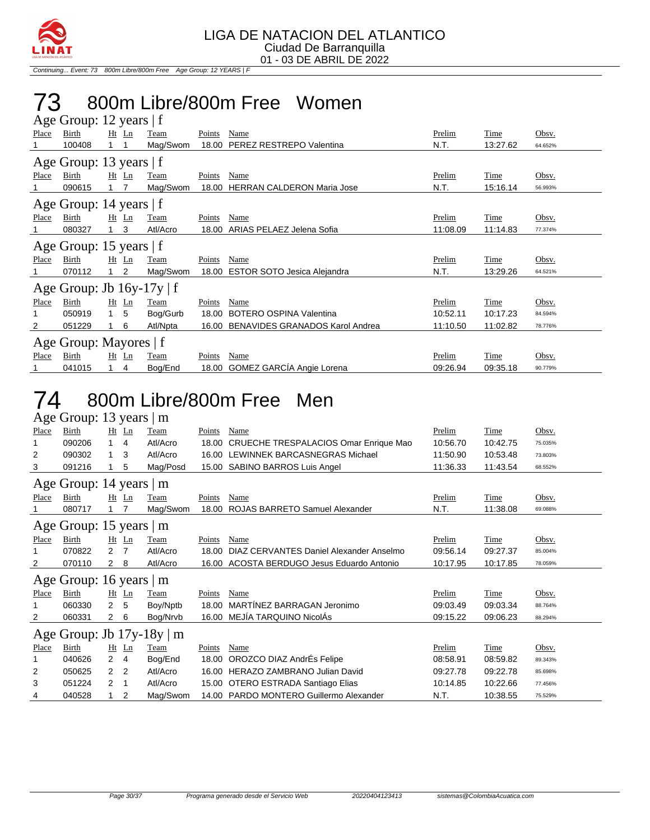

Continuing... Event: 73 800m Libre/800m Free Age Group: 12 YEARS | F

### 73 800m Libre/800m Free Women

|              | Age Group: 12 years   f        |            |                |          |        |                                        |               |             |         |  |  |  |
|--------------|--------------------------------|------------|----------------|----------|--------|----------------------------------------|---------------|-------------|---------|--|--|--|
| <b>Place</b> | Birth                          |            | $Ht$ Ln        | Team     | Points | Name                                   | <b>Prelim</b> | Time        | Obsv.   |  |  |  |
|              | 100408                         |            |                | Mag/Swom | 18.00  | PEREZ RESTREPO Valentina               | N.T.          | 13:27.62    | 64.652% |  |  |  |
|              | Age Group: 13 years   f        |            |                |          |        |                                        |               |             |         |  |  |  |
| Place        | Birth                          |            | $Ht$ Ln        | Team     | Points | <b>Name</b>                            | <b>Prelim</b> | <u>Time</u> | Obsv.   |  |  |  |
|              | 090615                         |            |                | Mag/Swom | 18.00  | <b>HERRAN CALDERON Maria Jose</b>      | N.T.          | 15:16.14    | 56.993% |  |  |  |
|              | Age Group: 14 years   f        |            |                |          |        |                                        |               |             |         |  |  |  |
| Place        | Birth                          |            | $Ht$ Ln        | Team     | Points | Name                                   | Prelim        | Time        | Obsv.   |  |  |  |
|              | 080327                         |            | 3              | Atl/Acro | 18.00  | ARIAS PELAEZ Jelena Sofia              | 11:08.09      | 11:14.83    | 77.374% |  |  |  |
|              | Age Group: 15 years   f        |            |                |          |        |                                        |               |             |         |  |  |  |
| Place        | Birth                          |            | $Ht$ Ln        | Team     | Points | Name                                   | Prelim        | Time        | Obsv.   |  |  |  |
|              | 070112                         |            | 2              | Mag/Swom | 18.00  | <b>ESTOR SOTO Jesica Alejandra</b>     | N.T.          | 13:29.26    | 64.521% |  |  |  |
|              | Age Group: Jb $16y-17y \mid f$ |            |                |          |        |                                        |               |             |         |  |  |  |
| Place        | Birth                          |            | $Ht$ Ln        | Team     | Points | Name                                   | Prelim        | Time        | Obsv.   |  |  |  |
| 1            | 050919                         | $1\quad 5$ |                | Bog/Gurb | 18.00  | <b>BOTERO OSPINA Valentina</b>         | 10:52.11      | 10:17.23    | 84.594% |  |  |  |
| 2            | 051229                         |            | 6              | Atl/Npta | 16.00  | <b>BENAVIDES GRANADOS Karol Andrea</b> | 11:10.50      | 11:02.82    | 78.776% |  |  |  |
|              | Age Group: Mayores   f         |            |                |          |        |                                        |               |             |         |  |  |  |
| Place        | Birth                          |            | $Ht$ Ln        | Team     | Points | Name                                   | Prelim        | Time        | Obsv.   |  |  |  |
|              | 041015                         |            | $\overline{4}$ | Bog/End  |        | 18.00 GOMEZ GARCÍA Angie Lorena        | 09:26.94      | 09:35.18    | 90.779% |  |  |  |

#### 74 800m Libre/800m Free Men Age Group: 13 years | m

|       | $1.15$ Oroup. 15 years   m    |                |         |                                |        |                                         |          |          |         |
|-------|-------------------------------|----------------|---------|--------------------------------|--------|-----------------------------------------|----------|----------|---------|
| Place | Birth                         |                | $Ht$ Ln | Team                           | Points | Name                                    | Prelim   | Time     | Obsv.   |
|       | 090206                        | 1.             | 4       | Atl/Acro                       | 18.00  | CRUECHE TRESPALACIOS Omar Enrique Mao   | 10:56.70 | 10:42.75 | 75.035% |
| 2     | 090302                        | $\mathbf{1}$   | 3       | Atl/Acro                       |        | 16.00 LEWINNEK BARCASNEGRAS Michael     | 11:50.90 | 10:53.48 | 73.803% |
| 3     | 091216                        |                | 5       | Mag/Posd                       | 15.00  | SABINO BARROS Luis Angel                | 11:36.33 | 11:43.54 | 68.552% |
|       | Age Group: 14 years $\vert$ m |                |         |                                |        |                                         |          |          |         |
| Place | Birth                         |                | $Ht$ Ln | Team                           | Points | Name                                    | Prelim   | Time     | Obsv.   |
|       | 080717                        |                |         | Mag/Swom                       | 18.00  | ROJAS BARRETO Samuel Alexander          | N.T.     | 11:38.08 | 69.088% |
|       | Age Group: 15 years $ m$      |                |         |                                |        |                                         |          |          |         |
| Place | Birth                         |                | $Ht$ Ln | Team                           | Points | Name                                    | Prelim   | Time     | Obsv.   |
|       | 070822                        | 2              | 7       | Atl/Acro                       | 18.00  | DIAZ CERVANTES Daniel Alexander Anselmo | 09:56.14 | 09:27.37 | 85.004% |
| 2     | 070110                        | 2              | 8       | Atl/Acro                       | 16.00  | ACOSTA BERDUGO Jesus Eduardo Antonio    | 10:17.95 | 10:17.85 | 78.059% |
|       | Age Group: 16 years $ m$      |                |         |                                |        |                                         |          |          |         |
| Place | Birth                         |                | $Ht$ Ln | Team                           | Points | Name                                    | Prelim   | Time     | Obsv.   |
|       | 060330                        | $\overline{2}$ | 5       | Boy/Nptb                       | 18.00  | MARTÍNEZ BARRAGAN Jeronimo              | 09:03.49 | 09:03.34 | 88.764% |
| 2     | 060331                        | $^{2}$         | 6       | Bog/Nrvb                       | 16.00  | MEJÍA TARQUINO NicolÁs                  | 09:15.22 | 09:06.23 | 88.294% |
|       |                               |                |         | Age Group: Jb $17y-18y \mid m$ |        |                                         |          |          |         |
| Place | Birth                         |                | $Ht$ Ln | Team                           | Points | Name                                    | Prelim   | Time     | Obsv.   |
| 1     | 040626                        | $\overline{2}$ | 4       | Bog/End                        | 18.00  | OROZCO DIAZ AndrÉs Felipe               | 08:58.91 | 08:59.82 | 89.343% |
| 2     | 050625                        | 2              | 2       | Atl/Acro                       |        | 16.00 HERAZO ZAMBRANO Julian David      | 09:27.78 | 09:22.78 | 85.698% |
| 3     | 051224                        | 2              | -1      | Atl/Acro                       | 15.00  | OTERO ESTRADA Santiago Elias            | 10:14.85 | 10:22.66 | 77.456% |
| 4     | 040528                        | 1              | 2       | Mag/Swom                       |        | 14.00 PARDO MONTERO Guillermo Alexander | N.T.     | 10:38.55 | 75.529% |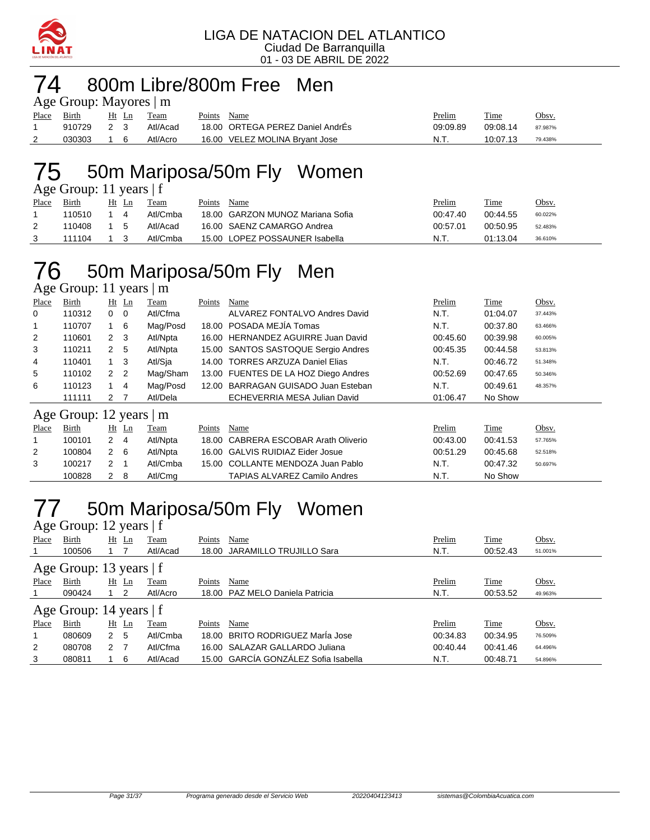

### 74 800m Libre/800m Free Men

| Age Group: Mayores $\mid$ m |        |                |  |          |             |                                  |          |          |         |  |  |  |
|-----------------------------|--------|----------------|--|----------|-------------|----------------------------------|----------|----------|---------|--|--|--|
| Place Birth                 |        | Ht Ln          |  | Team     | Points Name |                                  | Prelim   | Time     | Obsv.   |  |  |  |
|                             | 910729 | 2 <sub>3</sub> |  | Atl/Acad |             | 18.00 ORTEGA PEREZ Daniel AndrÉs | 09:09.89 | 09:08.14 | 87.987% |  |  |  |
|                             | 030303 | 16             |  | Atl/Acro |             | 16.00 VELEZ MOLINA Bryant Jose   | N.T.     | 10:07.13 | 79.438% |  |  |  |

### 75 50m Mariposa/50m Fly Women

| Age Group: 11 years $ f $ |        |       |  |          |        |                                  |          |             |         |  |  |  |  |
|---------------------------|--------|-------|--|----------|--------|----------------------------------|----------|-------------|---------|--|--|--|--|
| <b>Place</b>              | Birth  | Ht Ln |  | Team     | Points | Name                             | Prelim   | <b>Time</b> | Obsv.   |  |  |  |  |
|                           | 110510 |       |  | Atl/Cmba |        | 18.00 GARZON MUNOZ Mariana Sofia | 00:47.40 | 00:44.55    | 60.022% |  |  |  |  |
|                           | 110408 | 15    |  | Atl/Acad |        | 16.00 SAENZ CAMARGO Andrea       | 00:57.01 | 00:50.95    | 52.483% |  |  |  |  |
|                           | 111104 |       |  | Atl/Cmba |        | 15.00 LOPEZ POSSAUNER Isabella   | N.T.     | 01:13.04    | 36.610% |  |  |  |  |

### 76 50m Mariposa/50m Fly Men

Age Group: 11 years | m

| Place          | Birth                   |                      | $Ht$ Ln        | Team     | Points | Name                                  | Prelim   | Time     | Obsv.   |
|----------------|-------------------------|----------------------|----------------|----------|--------|---------------------------------------|----------|----------|---------|
| 0              | 110312                  | $0\quad 0$           |                | Atl/Cfma |        | ALVAREZ FONTALVO Andres David         | N.T.     | 01:04.07 | 37.443% |
| 1              | 110707                  | $1 \quad 6$          |                | Mag/Posd |        | 18.00 POSADA MEJÍA Tomas              | N.T.     | 00:37.80 | 63.466% |
| 2              | 110601                  | $2 \quad 3$          |                | Atl/Npta |        | 16.00 HERNANDEZ AGUIRRE Juan David    | 00:45.60 | 00:39.98 | 60.005% |
| 3              | 110211                  | 2 <sub>5</sub>       |                | Atl/Npta |        | 15.00 SANTOS SASTOQUE Sergio Andres   | 00:45.35 | 00:44.58 | 53.813% |
| 4              | 110401                  | 1                    | - 3            | Atl/Sia  |        | 14.00 TORRES ARZUZA Daniel Elias      | N.T.     | 00:46.72 | 51.348% |
| 5              | 110102                  | 2 <sub>2</sub>       |                | Mag/Sham |        | 13.00 FUENTES DE LA HOZ Diego Andres  | 00:52.69 | 00:47.65 | 50.346% |
| 6              | 110123                  | 1                    | $\overline{4}$ | Mag/Posd | 12.00  | BARRAGAN GUISADO Juan Esteban         | N.T.     | 00:49.61 | 48.357% |
|                | 111111                  | 2 7                  |                | Atl/Dela |        | ECHEVERRIA MESA Julian David          | 01:06.47 | No Show  |         |
|                | Age Group: 12 years   m |                      |                |          |        |                                       |          |          |         |
| Place          | Birth                   |                      | $Ht$ Ln        | Team     | Points | Name                                  | Prelim   | Time     | Obsv.   |
| 1              | 100101                  | $2 \quad 4$          |                | Atl/Npta | 18.00  | <b>CABRERA ESCOBAR Arath Oliverio</b> | 00:43.00 | 00:41.53 | 57.765% |
| $\overline{2}$ | 100804                  | $2\quad 6$           |                | Atl/Npta |        | 16.00 GALVIS RUIDIAZ Eider Josue      | 00:51.29 | 00:45.68 | 52.518% |
| 3              | 100217                  | $\mathbf{2}^{\circ}$ | -1             | Atl/Cmba |        | 15.00 COLLANTE MENDOZA Juan Pablo     | N.T.     | 00:47.32 | 50.697% |
|                | 100828                  | $\overline{2}$       | - 8            | Atl/Cma  |        | <b>TAPIAS ALVAREZ Camilo Andres</b>   | N.T.     | No Show  |         |

# 77 50m Mariposa/50m Fly Women

| Age Group: 12 years   f   |                           |               |                |          |        |                                      |          |          |         |  |  |  |
|---------------------------|---------------------------|---------------|----------------|----------|--------|--------------------------------------|----------|----------|---------|--|--|--|
| Place                     | Birth                     |               | $Ht$ Ln        | Team     | Points | Name                                 | Prelim   | Time     | Obsv.   |  |  |  |
|                           | 100506                    |               |                | Atl/Acad |        | 18.00 JARAMILLO TRUJILLO Sara        | N.T.     | 00:52.43 | 51.001% |  |  |  |
| Age Group: 13 years $ f $ |                           |               |                |          |        |                                      |          |          |         |  |  |  |
| Place                     | Birth                     | Ht            | Ln             | Team     | Points | Name                                 | Prelim   | Time     | Obsv.   |  |  |  |
|                           | 090424                    |               | $\overline{2}$ | Atl/Acro |        | 18.00 PAZ MELO Daniela Patricia      | N.T.     | 00:53.52 | 49.963% |  |  |  |
|                           | Age Group: 14 years $ f $ |               |                |          |        |                                      |          |          |         |  |  |  |
| Place                     | Birth                     |               | $Ht$ Ln        | Team     | Points | Name                                 | Prelim   | Time     | Obsv.   |  |  |  |
|                           | 080609                    | 2             | 5              | Atl/Cmba |        | 18.00 BRITO RODRIGUEZ MarÍa Jose     | 00:34.83 | 00:34.95 | 76.509% |  |  |  |
| 2                         | 080708                    | $\mathcal{P}$ | - 7            | Atl/Cfma |        | 16.00 SALAZAR GALLARDO Juliana       | 00:40.44 | 00:41.46 | 64.496% |  |  |  |
| 3                         | 080811                    |               | 6              | Atl/Acad |        | 15.00 GARCÍA GONZÁLEZ Sofia Isabella | N.T.     | 00:48.71 | 54.896% |  |  |  |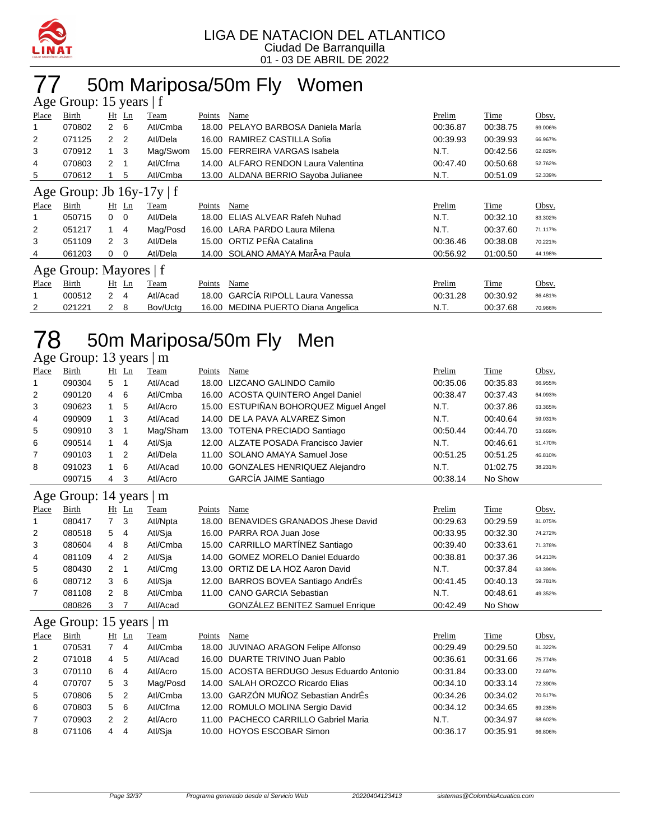

### 77 50m Mariposa/50m Fly Women

| Age Group: 15 years   f |                        |                     |                                |        |                                     |          |             |         |  |  |  |  |
|-------------------------|------------------------|---------------------|--------------------------------|--------|-------------------------------------|----------|-------------|---------|--|--|--|--|
| Place                   | Birth                  | $Ht$ Ln             | Team                           | Points | Name                                | Prelim   | Time        | Obsv.   |  |  |  |  |
|                         | 070802                 | $\mathbf{2}$<br>6   | Atl/Cmba                       | 18.00  | PELAYO BARBOSA Daniela Marla        | 00:36.87 | 00:38.75    | 69.006% |  |  |  |  |
| 2                       | 071125                 | $\overline{2}$<br>2 | Atl/Dela                       | 16.00  | RAMIREZ CASTILLA Sofia              | 00:39.93 | 00:39.93    | 66.967% |  |  |  |  |
| 3                       | 070912                 | $1 \quad 3$         | Mag/Swom                       | 15.00  | FERREIRA VARGAS Isabela             | N.T.     | 00:42.56    | 62.829% |  |  |  |  |
| 4                       | 070803                 | 2<br>-1             | Atl/Cfma                       |        | 14.00 ALFARO RENDON Laura Valentina | 00:47.40 | 00:50.68    | 52.762% |  |  |  |  |
| 5                       | 070612                 | 5                   | Atl/Cmba                       |        | 13.00 ALDANA BERRIO Sayoba Julianee | N.T.     | 00:51.09    | 52.339% |  |  |  |  |
|                         |                        |                     | Age Group: Jb $16y-17y \mid f$ |        |                                     |          |             |         |  |  |  |  |
| Place                   | Birth                  | $Ht$ Ln             | Team                           | Points | Name                                | Prelim   | Time        | Obsv.   |  |  |  |  |
|                         | 050715                 | $0\quad 0$          | Atl/Dela                       | 18.00  | ELIAS ALVEAR Rafeh Nuhad            | N.T.     | 00:32.10    | 83.302% |  |  |  |  |
| 2                       | 051217                 | 1<br>4              | Mag/Posd                       | 16.00  | LARA PARDO Laura Milena             | N.T.     | 00:37.60    | 71.117% |  |  |  |  |
| 3                       | 051109                 | 3<br>$\mathcal{P}$  | Atl/Dela                       |        | 15.00 ORTIZ PEÑA Catalina           | 00:36.46 | 00:38.08    | 70.221% |  |  |  |  |
| 4                       | 061203                 | 0<br>$\Omega$       | Atl/Dela                       |        | 14.00 SOLANO AMAYA Mar•a Paula      | 00:56.92 | 01:00.50    | 44.198% |  |  |  |  |
|                         | Age Group: Mayores   f |                     |                                |        |                                     |          |             |         |  |  |  |  |
| <b>Place</b>            | Birth                  | $Ht$ Ln             | Team                           | Points | Name                                | Prelim   | <b>Time</b> | Obsv.   |  |  |  |  |
|                         | 000512                 | $\mathbf{2}$<br>4   | Atl/Acad                       | 18.00  | <b>GARCIA RIPOLL Laura Vanessa</b>  | 00:31.28 | 00:30.92    | 86.481% |  |  |  |  |
| 2                       | 021221                 | 8<br>2              | Bov/Uctg                       |        | 16.00 MEDINA PUERTO Diana Angelica  | N.T.     | 00:37.68    | 70.966% |  |  |  |  |

## 78 50m Mariposa/50m Fly Men

#### Age Group: 13 years | m

| Place          | Birth  | Ht | Ln | Team     | Points | Name                                   | Prelim   | Time     | Obsv.   |
|----------------|--------|----|----|----------|--------|----------------------------------------|----------|----------|---------|
|                | 090304 | 5  |    | Atl/Acad |        | 18.00 LIZCANO GALINDO Camilo           | 00:35.06 | 00:35.83 | 66.955% |
| 2              | 090120 | 4  | 6  | Atl/Cmba |        | 16.00 ACOSTA QUINTERO Angel Daniel     | 00:38.47 | 00:37.43 | 64.093% |
| 3              | 090623 |    | 5  | Atl/Acro |        | 15.00 ESTUPIÑAN BOHORQUEZ Miguel Angel | N.T.     | 00:37.86 | 63.365% |
| 4              | 090909 |    | 3  | Atl/Acad |        | 14.00 DE LA PAVA ALVAREZ Simon         | N.T.     | 00:40.64 | 59.031% |
| 5              | 090910 | 3  |    | Mag/Sham |        | 13.00 TOTENA PRECIADO Santiago         | 00:50.44 | 00:44.70 | 53.669% |
| 6              | 090514 |    | 4  | Atl/Sja  |        | 12.00 ALZATE POSADA Francisco Javier   | N.T.     | 00:46.61 | 51.470% |
| $\overline{7}$ | 090103 |    | -2 | Atl/Dela |        | 11.00 SOLANO AMAYA Samuel Jose         | 00:51.25 | 00:51.25 | 46.810% |
| 8              | 091023 |    | 6  | Atl/Acad |        | 10.00 GONZALES HENRIQUEZ Alejandro     | N.T.     | 01:02.75 | 38.231% |
|                | 090715 | 4  | 3  | Atl/Acro |        | <b>GARCÍA JAIME Santiago</b>           | 00:38.14 | No Show  |         |

#### Age Group: 14 years | m

| ب              |        |                      |     |          |        |                                        |          |          |         |
|----------------|--------|----------------------|-----|----------|--------|----------------------------------------|----------|----------|---------|
| Place          | Birth  | <u>Ht</u>            | Ln  | Team     | Points | Name                                   | Prelim   | Time     | Obsv.   |
| $\overline{1}$ | 080417 | 7 3                  |     | Atl/Npta |        | 18.00 BENAVIDES GRANADOS Jhese David   | 00:29.63 | 00:29.59 | 81.075% |
| 2              | 080518 | 5                    | -4  | Atl/Sja  |        | 16.00 PARRA ROA Juan Jose              | 00:33.95 | 00:32.30 | 74.272% |
| 3              | 080604 | 4                    | -8  | Atl/Cmba |        | 15.00 CARRILLO MARTÍNEZ Santiago       | 00:39.40 | 00:33.61 | 71.378% |
| 4              | 081109 | 4                    | -2  | Atl/Sja  |        | 14.00 GOMEZ MORELO Daniel Eduardo      | 00:38.81 | 00:37.36 | 64.213% |
| 5              | 080430 | 2                    |     | Atl/Cmg  |        | 13.00 ORTIZ DE LA HOZ Aaron David      | N.T.     | 00:37.84 | 63.399% |
| 6              | 080712 | 3                    | - 6 | Atl/Sia  |        | 12.00 BARROS BOVEA Santiago AndrÉs     | 00:41.45 | 00:40.13 | 59.781% |
| $\overline{7}$ | 081108 | $\mathbf{2}^{\circ}$ | -8  | Atl/Cmba |        | 11.00 CANO GARCIA Sebastian            | N.T.     | 00:48.61 | 49.352% |
|                | 080826 | 3                    |     | Atl/Acad |        | <b>GONZÁLEZ BENITEZ Samuel Enrique</b> | 00:42.49 | No Show  |         |

#### Age Group: 15 years | m

| Place          | Birth  |                | Ht Ln | Team     | Points | Name                                       | Prelim   | Time     | Obsv.   |
|----------------|--------|----------------|-------|----------|--------|--------------------------------------------|----------|----------|---------|
|                | 070531 |                | 4     | Atl/Cmba |        | 18.00 JUVINAO ARAGON Felipe Alfonso        | 00:29.49 | 00:29.50 | 81.322% |
| 2              | 071018 | 4 5            |       | Atl/Acad |        | 16.00 DUARTE TRIVINO Juan Pablo            | 00:36.61 | 00:31.66 | 75.774% |
| 3              | 070110 | 64             |       | Atl/Acro |        | 15.00 ACOSTA BERDUGO Jesus Eduardo Antonio | 00:31.84 | 00:33.00 | 72.697% |
| $\overline{4}$ | 070707 | 5 <sub>3</sub> |       | Mag/Posd |        | 14.00 SALAH OROZCO Ricardo Elias           | 00:34.10 | 00:33.14 | 72.390% |
| 5              | 070806 | 5 <sub>2</sub> |       | Atl/Cmba |        | 13.00 GARZÓN MUÑOZ Sebastian AndrÉs        | 00:34.26 | 00:34.02 | 70.517% |
| 6              | 070803 | $5\quad 6$     |       | Atl/Cfma |        | 12.00 ROMULO MOLINA Sergio David           | 00:34.12 | 00:34.65 | 69.235% |
| 7              | 070903 | 2 <sub>2</sub> |       | Atl/Acro |        | 11.00 PACHECO CARRILLO Gabriel Maria       | N.T.     | 00:34.97 | 68.602% |
| 8              | 071106 | 4 4            |       | Atl/Sia  |        | 10.00 HOYOS ESCOBAR Simon                  | 00:36.17 | 00:35.91 | 66.806% |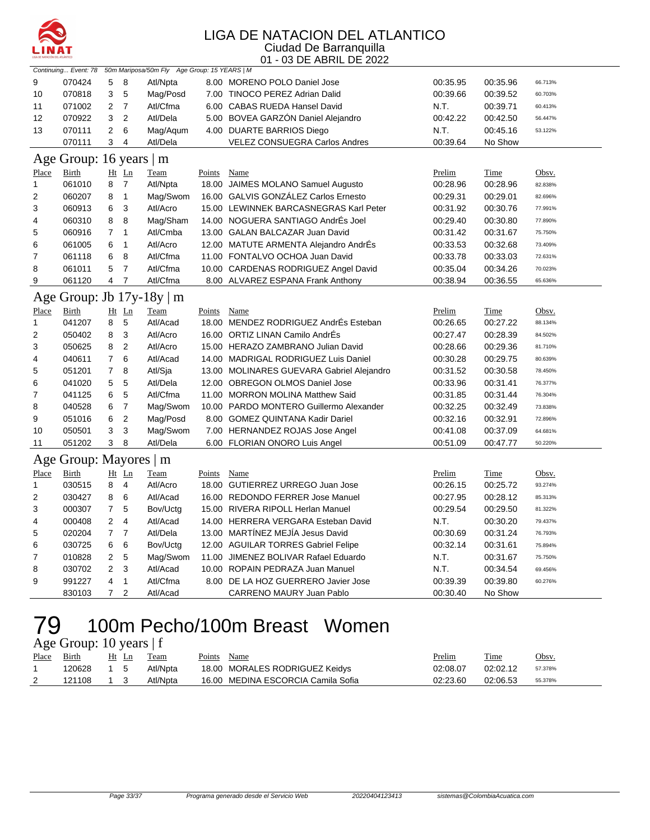

|                | Continuing Event: 78<br>50m Mariposa/50m Fly Age Group: 15 YEARS   M |                         |                |                           |               |                                           |          |             |         |  |  |
|----------------|----------------------------------------------------------------------|-------------------------|----------------|---------------------------|---------------|-------------------------------------------|----------|-------------|---------|--|--|
| 9              | 070424                                                               | 5                       | 8              | Atl/Npta                  |               | 8.00 MORENO POLO Daniel Jose              | 00:35.95 | 00:35.96    | 66.713% |  |  |
| 10             | 070818                                                               | 3                       | 5              | Mag/Posd                  |               | 7.00 TINOCO PEREZ Adrian Dalid            | 00:39.66 | 00:39.52    | 60.703% |  |  |
| 11             | 071002                                                               | 2                       | $\overline{7}$ | Atl/Cfma                  |               | 6.00 CABAS RUEDA Hansel David             | N.T.     | 00:39.71    | 60.413% |  |  |
| 12             | 070922                                                               | 3                       | $\overline{c}$ | Atl/Dela                  |               | 5.00 BOVEA GARZON Daniel Alejandro        | 00:42.22 | 00:42.50    | 56.447% |  |  |
| 13             | 070111                                                               | $\overline{\mathbf{c}}$ | 6              | Mag/Aqum                  |               | 4.00 DUARTE BARRIOS Diego                 | N.T.     | 00:45.16    | 53.122% |  |  |
|                | 070111                                                               | 3                       | $\overline{4}$ | Atl/Dela                  |               | <b>VELEZ CONSUEGRA Carlos Andres</b>      | 00:39.64 | No Show     |         |  |  |
|                | Age Group: 16 years   m                                              |                         |                |                           |               |                                           |          |             |         |  |  |
| <b>Place</b>   | <b>Birth</b>                                                         |                         | Ht Ln          | Team                      | Points        | Name                                      | Prelim   | Time        | Obsv.   |  |  |
| $\mathbf{1}$   | 061010                                                               | 8                       | $\overline{7}$ | Atl/Npta                  |               | 18.00 JAIMES MOLANO Samuel Augusto        | 00:28.96 | 00:28.96    | 82.838% |  |  |
| 2              | 060207                                                               | 8                       | $\mathbf{1}$   | Mag/Swom                  |               | 16.00 GALVIS GONZÁLEZ Carlos Ernesto      | 00:29.31 | 00:29.01    | 82.696% |  |  |
| 3              | 060913                                                               | 6                       | 3              | Atl/Acro                  |               | 15.00 LEWINNEK BARCASNEGRAS Karl Peter    | 00:31.92 | 00:30.76    | 77.991% |  |  |
| 4              | 060310                                                               | 8                       | 8              | Mag/Sham                  |               | 14.00 NOGUERA SANTIAGO AndrÉs Joel        | 00:29.40 | 00:30.80    | 77.890% |  |  |
| 5              | 060916                                                               | $\overline{7}$          | $\mathbf{1}$   | Atl/Cmba                  |               | 13.00 GALAN BALCAZAR Juan David           | 00:31.42 | 00:31.67    | 75.750% |  |  |
| 6              | 061005                                                               | 6                       | 1              | Atl/Acro                  |               | 12.00 MATUTE ARMENTA Alejandro AndrEs     | 00:33.53 | 00:32.68    | 73.409% |  |  |
| $\overline{7}$ | 061118                                                               | 6                       | 8              | Atl/Cfma                  |               | 11.00 FONTALVO OCHOA Juan David           | 00:33.78 | 00:33.03    | 72.631% |  |  |
| 8              | 061011                                                               | 5                       | $\overline{7}$ | Atl/Cfma                  |               | 10.00 CARDENAS RODRIGUEZ Angel David      | 00:35.04 | 00:34.26    | 70.023% |  |  |
| 9              | 061120                                                               | 4                       | $\overline{7}$ | Atl/Cfma                  |               | 8.00 ALVAREZ ESPANA Frank Anthony         | 00:38.94 | 00:36.55    | 65.636% |  |  |
|                |                                                                      |                         |                | Age Group: Jb 17y-18y   m |               |                                           |          |             |         |  |  |
| Place          | <u>Birth</u>                                                         |                         | $Ht$ Ln        | <b>Team</b>               | <b>Points</b> | <b>Name</b>                               | Prelim   | <b>Time</b> | Obsv.   |  |  |
| 1              | 041207                                                               | 8                       | 5              | Atl/Acad                  |               | 18.00 MENDEZ RODRIGUEZ AndrÉs Esteban     | 00:26.65 | 00:27.22    | 88.134% |  |  |
| $\overline{2}$ | 050402                                                               | 8                       | 3              | Atl/Acro                  |               | 16.00 ORTIZ LINAN Camilo AndrÉs           | 00:27.47 | 00:28.39    | 84.502% |  |  |
| 3              | 050625                                                               | 8                       | $\overline{2}$ | Atl/Acro                  |               | 15.00 HERAZO ZAMBRANO Julian David        | 00:28.66 | 00:29.36    | 81.710% |  |  |
| 4              | 040611                                                               | 7                       | 6              | Atl/Acad                  |               | 14.00 MADRIGAL RODRIGUEZ Luis Daniel      | 00:30.28 | 00:29.75    | 80.639% |  |  |
| 5              | 051201                                                               | $\overline{7}$          | 8              | Atl/Sja                   |               | 13.00 MOLINARES GUEVARA Gabriel Alejandro | 00:31.52 | 00:30.58    | 78.450% |  |  |
| 6              | 041020                                                               | 5                       | 5              | Atl/Dela                  |               | 12.00 OBREGON OLMOS Daniel Jose           | 00:33.96 | 00:31.41    | 76.377% |  |  |
| 7              | 041125                                                               | 6                       | 5              | Atl/Cfma                  |               | 11.00 MORRON MOLINA Matthew Said          | 00:31.85 | 00:31.44    | 76.304% |  |  |
| 8              | 040528                                                               | 6                       | $\overline{7}$ | Mag/Swom                  |               | 10.00 PARDO MONTERO Guillermo Alexander   | 00:32.25 | 00:32.49    | 73.838% |  |  |
| 9              | 051016                                                               | 6                       | $\mathbf 2$    | Mag/Posd                  |               | 8.00 GOMEZ QUINTANA Kadir Dariel          | 00:32.16 | 00:32.91    | 72.896% |  |  |
| 10             | 050501                                                               | 3                       | 3              | Mag/Swom                  |               | 7.00 HERNANDEZ ROJAS Jose Angel           | 00:41.08 | 00:37.09    | 64.681% |  |  |
| 11             | 051202                                                               | 3                       | 8              | Atl/Dela                  |               | 6.00 FLORIAN ONORO Luis Angel             | 00:51.09 | 00:47.77    | 50.220% |  |  |
|                | Age Group: Mayores   m                                               |                         |                |                           |               |                                           |          |             |         |  |  |
| Place          | <b>Birth</b>                                                         |                         | $Ht$ Ln        | Team                      | Points        | Name                                      | Prelim   | Time        | Obsv.   |  |  |
| $\mathbf{1}$   | 030515                                                               | 8                       | $\overline{4}$ | Atl/Acro                  |               | 18.00 GUTIERREZ URREGO Juan Jose          | 00:26.15 | 00:25.72    | 93.274% |  |  |
| $\overline{2}$ | 030427                                                               | 8                       | 6              | Atl/Acad                  |               | 16.00 REDONDO FERRER Jose Manuel          | 00:27.95 | 00:28.12    | 85.313% |  |  |
| 3              | 000307                                                               | 7                       | 5              | Bov/Uctg                  |               | 15.00 RIVERA RIPOLL Herlan Manuel         | 00:29.54 | 00:29.50    | 81.322% |  |  |
| 4              | 000408                                                               | $\overline{2}$          | $\overline{4}$ | Atl/Acad                  |               | 14.00 HERRERA VERGARA Esteban David       | N.T.     | 00:30.20    | 79.437% |  |  |
| 5              | 020204                                                               | $\overline{7}$          | $\overline{7}$ | Atl/Dela                  |               | 13.00 MARTÍNEZ MEJÍA Jesus David          | 00:30.69 | 00:31.24    | 76.793% |  |  |
| 6              | 030725                                                               | 6                       | 6              | Bov/Uctg                  |               | 12.00 AGUILAR TORRES Gabriel Felipe       | 00:32.14 | 00:31.61    | 75.894% |  |  |
| $\overline{7}$ | 010828                                                               | 2                       | 5              | Mag/Swom                  |               | 11.00 JIMENEZ BOLIVAR Rafael Eduardo      | N.T.     | 00:31.67    | 75.750% |  |  |
| 8              | 030702                                                               | 2                       | 3              | Atl/Acad                  |               | 10.00 ROPAIN PEDRAZA Juan Manuel          | N.T.     | 00:34.54    | 69.456% |  |  |
| 9              | 991227                                                               | 4                       | $\mathbf{1}$   | Atl/Cfma                  |               | 8.00 DE LA HOZ GUERRERO Javier Jose       | 00:39.39 | 00:39.80    | 60.276% |  |  |
|                | 830103                                                               | $\overline{7}$          | $\overline{2}$ | Atl/Acad                  |               | CARRENO MAURY Juan Pablo                  | 00:30.40 | No Show     |         |  |  |

### 100m Pecho/100m Breast Women

#### Age Group: 10 years | f

| Place | Birth  | Ht Ln | Team     | Points | Name                               | Prelim   | Time     | Obsv.   |
|-------|--------|-------|----------|--------|------------------------------------|----------|----------|---------|
|       | 120628 |       | Atl/Npta |        | 18.00 MORALES RODRIGUEZ Keidys     | 02:08.07 | 02:02.12 | 57.378% |
|       | 121108 |       | Atl/Npta |        | 16.00 MEDINA ESCORCIA Camila Sofia | 02:23.60 | 02:06.53 | 55.378% |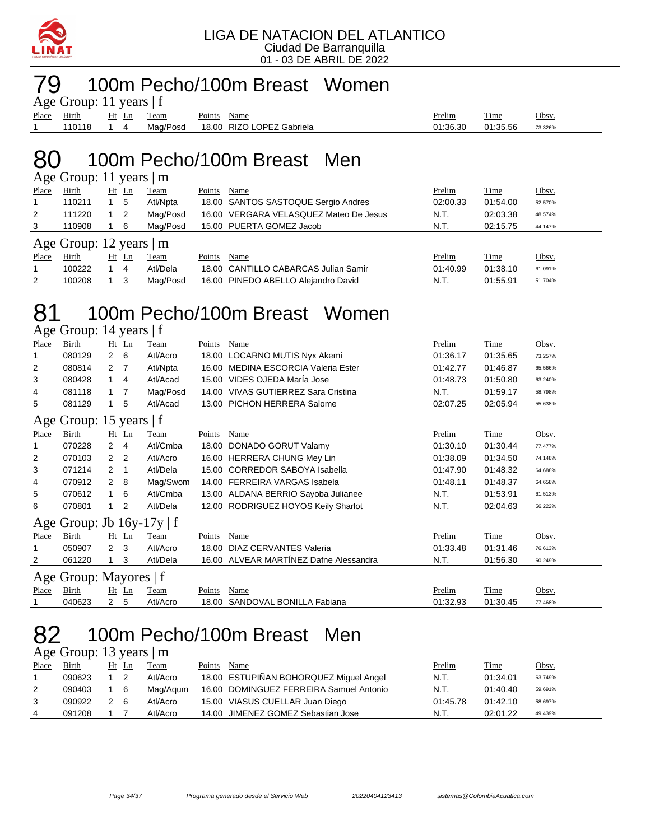

### 79 100m Pecho/100m Breast Women

| Age Group: 11 years $ f $ |  |            |  |             |                                    |          |          |         |  |  |  |  |  |
|---------------------------|--|------------|--|-------------|------------------------------------|----------|----------|---------|--|--|--|--|--|
| Place Birth Ht Ln Team    |  |            |  | Points Name |                                    | Prelim   | Time     | Obsv.   |  |  |  |  |  |
| 110118                    |  | $\cdot$ 14 |  |             | Mag/Posd 18.00 RIZO LOPEZ Gabriela | 01:36.30 | 01:35.56 | 73.326% |  |  |  |  |  |

### 80 100m Pecho/100m Breast Men

| Age Group: 11 years $ m $ |                         |    |                |          |        |                                        |          |          |         |  |  |  |  |
|---------------------------|-------------------------|----|----------------|----------|--------|----------------------------------------|----------|----------|---------|--|--|--|--|
| Place                     | Birth                   | Ht | Ln             | Team     | Points | Name                                   | Prelim   | Time     | Obsv.   |  |  |  |  |
|                           | 110211                  |    | 5              | Atl/Npta |        | 18.00 SANTOS SASTOQUE Sergio Andres    | 02:00.33 | 01:54.00 | 52.570% |  |  |  |  |
| 2                         | 111220                  |    | $\overline{2}$ | Mag/Posd |        | 16.00 VERGARA VELASQUEZ Mateo De Jesus | N.T.     | 02:03.38 | 48.574% |  |  |  |  |
| 3                         | 110908                  |    | - 6            | Mag/Posd |        | 15.00 PUERTA GOMEZ Jacob               | N.T.     | 02:15.75 | 44.147% |  |  |  |  |
|                           | Age Group: 12 years   m |    |                |          |        |                                        |          |          |         |  |  |  |  |
| Place                     | Birth                   | Ht | Ln             | Team     | Points | Name                                   | Prelim   | Time     | Obsv.   |  |  |  |  |
|                           | 100222                  |    | 4              | Atl/Dela |        | 18.00 CANTILLO CABARCAS Julian Samir   | 01:40.99 | 01:38.10 | 61.091% |  |  |  |  |
| 2                         | 100208                  |    | -3             | Mag/Posd |        | 16.00 PINEDO ABELLO Alejandro David    | N.T.     | 01:55.91 | 51.704% |  |  |  |  |

#### 81 100m Pecho/100m Breast Women  $\Delta$ ge Group: 14 years | f

|              | $\Delta$ gu Oroup. 14 yuars   1 |                      |                |             |        |                                        |          |          |         |  |
|--------------|---------------------------------|----------------------|----------------|-------------|--------|----------------------------------------|----------|----------|---------|--|
| Place        | Birth                           |                      | $Ht$ Ln        | Team        | Points | Name                                   | Prelim   | Time     | Obsv.   |  |
| 1            | 080129                          | $\mathbf{2}$         | 6              | Atl/Acro    |        | 18.00 LOCARNO MUTIS Nyx Akemi          | 01:36.17 | 01:35.65 | 73.257% |  |
| 2            | 080814                          | 2 7                  |                | Atl/Npta    |        | 16.00 MEDINA ESCORCIA Valeria Ester    | 01:42.77 | 01:46.87 | 65.566% |  |
| 3            | 080428                          | 1                    | 4              | Atl/Acad    |        | 15.00 VIDES OJEDA MarÍa Jose           | 01:48.73 | 01:50.80 | 63.240% |  |
| 4            | 081118                          |                      | 7              | Mag/Posd    |        | 14.00 VIVAS GUTIERREZ Sara Cristina    | N.T.     | 01:59.17 | 58.798% |  |
| 5            | 081129                          |                      | 5              | Atl/Acad    |        | 13.00 PICHON HERRERA Salome            | 02:07.25 | 02:05.94 | 55.638% |  |
|              | Age Group: 15 years $ f $       |                      |                |             |        |                                        |          |          |         |  |
| Place        | Birth                           |                      | $Ht$ Ln        | Team        | Points | Name                                   | Prelim   | Time     | Obsv.   |  |
| 1            | 070228                          | $\mathbf{2}^{\circ}$ | $\overline{4}$ | Atl/Cmba    | 18.00  | DONADO GORUT Valamy                    | 01:30.10 | 01:30.44 | 77.477% |  |
| 2            | 070103                          | $\overline{2}$       | $\overline{2}$ | Atl/Acro    |        | 16.00 HERRERA CHUNG Mey Lin            | 01:38.09 | 01:34.50 | 74.148% |  |
| 3            | 071214                          | $\overline{2}$       | -1             | Atl/Dela    |        | 15.00 CORREDOR SABOYA Isabella         | 01:47.90 | 01:48.32 | 64.688% |  |
| 4            | 070912                          | $\overline{2}$       | 8              | Mag/Swom    |        | 14.00 FERREIRA VARGAS Isabela          | 01:48.11 | 01:48.37 | 64.658% |  |
| 5            | 070612                          |                      | 6              | Atl/Cmba    |        | 13.00 ALDANA BERRIO Sayoba Julianee    | N.T.     | 01:53.91 | 61.513% |  |
| 6            | 070801                          |                      | $\overline{2}$ | Atl/Dela    |        | 12.00 RODRIGUEZ HOYOS Keily Sharlot    | N.T.     | 02:04.63 | 56.222% |  |
|              | Age Group: Jb $16y-17y \mid f$  |                      |                |             |        |                                        |          |          |         |  |
| <b>Place</b> | Birth                           |                      | $Ht$ Ln        | <b>Team</b> | Points | Name                                   | Prelim   | Time     | Obsv.   |  |
| 1            | 050907                          | $\overline{2}$       | 3              | Atl/Acro    | 18.00  | DIAZ CERVANTES Valeria                 | 01:33.48 | 01:31.46 | 76.613% |  |
| 2            | 061220                          |                      | 3              | Atl/Dela    |        | 16.00 ALVEAR MARTÍNEZ Dafne Alessandra | N.T.     | 01:56.30 | 60.249% |  |
|              | Age Group: Mayores   f          |                      |                |             |        |                                        |          |          |         |  |
| Place        | Birth                           |                      | $Ht$ Ln        | Team        | Points | Name                                   | Prelim   | Time     | Obsv.   |  |
| 1            | 040623                          | $\mathbf{2}^{\circ}$ | 5              | Atl/Acro    | 18.00  | SANDOVAL BONILLA Fabiana               | 01:32.93 | 01:30.45 | 77.468% |  |
|              |                                 |                      |                |             |        |                                        |          |          |         |  |

### 82 100m Pecho/100m Breast Men

|             | Age Group: 13 years $ m$ |        |
|-------------|--------------------------|--------|
| Place Rirth | Ht In Team               | Points |

| Place | <b>Birth</b> | Ht Ln |     | Team     | Points | Name                                    | Prelim   | <b>Time</b> | Obsv.   |
|-------|--------------|-------|-----|----------|--------|-----------------------------------------|----------|-------------|---------|
|       | 090623       |       |     | Atl/Acro |        | 18.00 ESTUPIÑAN BOHORQUEZ Miguel Angel  | N.T.     | 01:34.01    | 63.749% |
|       | 090403       |       | - 6 | Mag/Agum |        | 16.00 DOMINGUEZ FERREIRA Samuel Antonio | N.T.     | 01:40.40    | 59.691% |
|       | 090922       | 2 6   |     | Atl/Acro |        | 15.00 VIASUS CUELLAR Juan Diego         | 01:45.78 | 01:42.10    | 58.697% |
| 4     | 091208       |       |     | Atl/Acro |        | 14.00 JIMENEZ GOMEZ Sebastian Jose      | N.T      | 02:01.22    | 49.439% |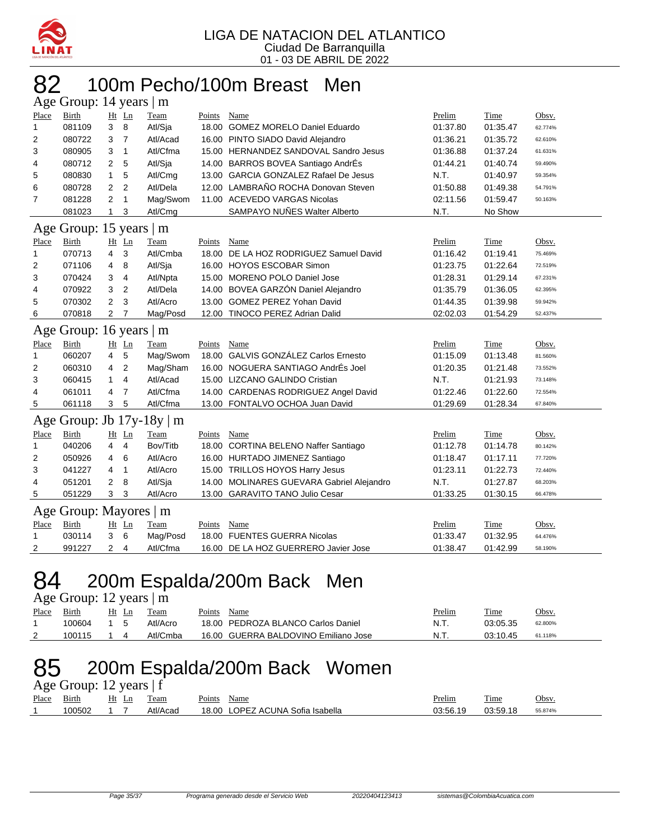

#### 82 100m Pecho/100m Breast Men  $\cdot$  14 years

|                | $\Delta$ ge Oroup. 1+ years $\parallel$ m |                |                |          |        |                                           |          |          |         |
|----------------|-------------------------------------------|----------------|----------------|----------|--------|-------------------------------------------|----------|----------|---------|
| Place          | Birth                                     |                | Ht Ln          | Team     | Points | Name                                      | Prelim   | Time     | Obsv.   |
| 1              | 081109                                    | 3              | 8              | Atl/Sja  |        | 18.00 GOMEZ MORELO Daniel Eduardo         | 01:37.80 | 01:35.47 | 62.774% |
| 2              | 080722                                    | 3              | $\overline{7}$ | Atl/Acad |        | 16.00 PINTO SIADO David Alejandro         | 01:36.21 | 01:35.72 | 62.610% |
| 3              | 080905                                    | 3              | $\mathbf{1}$   | Atl/Cfma |        | 15.00 HERNANDEZ SANDOVAL Sandro Jesus     | 01:36.88 | 01:37.24 | 61.631% |
| 4              | 080712                                    | 2              | 5              | Atl/Sja  |        | 14.00 BARROS BOVEA Santiago AndrÉs        | 01:44.21 | 01:40.74 | 59.490% |
| 5              | 080830                                    | $\mathbf{1}$   | 5              | Atl/Cmg  |        | 13.00 GARCIA GONZALEZ Rafael De Jesus     | N.T.     | 01:40.97 | 59.354% |
| 6              | 080728                                    | 2              | $\overline{2}$ | Atl/Dela |        | 12.00 LAMBRAÑO ROCHA Donovan Steven       | 01:50.88 | 01:49.38 | 54.791% |
| $\overline{7}$ | 081228                                    | 2              | $\mathbf{1}$   | Mag/Swom |        | 11.00 ACEVEDO VARGAS Nicolas              | 02:11.56 | 01:59.47 | 50.163% |
|                | 081023                                    | 1              | 3              | Atl/Cmg  |        | SAMPAYO NUÑES Walter Alberto              | N.T.     | No Show  |         |
| Age            | Group: 15 years $\mid$ m                  |                |                |          |        |                                           |          |          |         |
| Place          | <b>Birth</b>                              |                | Ht Ln          | Team     | Points | Name                                      | Prelim   | Time     | Obsv.   |
| 1              | 070713                                    | 4              | 3              | Atl/Cmba | 18.00  | DE LA HOZ RODRIGUEZ Samuel David          | 01:16.42 | 01:19.41 | 75.469% |
| 2              | 071106                                    | 4              | 8              | Atl/Sja  |        | 16.00 HOYOS ESCOBAR Simon                 | 01:23.75 | 01:22.64 | 72.519% |
| 3              | 070424                                    | 3              | 4              | Atl/Npta |        | 15.00 MORENO POLO Daniel Jose             | 01:28.31 | 01:29.14 | 67.231% |
| 4              | 070922                                    | 3              | $\overline{2}$ | Atl/Dela |        | 14.00 BOVEA GARZÓN Daniel Alejandro       | 01:35.79 | 01:36.05 | 62.395% |
| 5              | 070302                                    | $\overline{2}$ | 3              | Atl/Acro |        | 13.00 GOMEZ PEREZ Yohan David             | 01:44.35 | 01:39.98 | 59.942% |
| 6              | 070818                                    | 2              | 7              | Mag/Posd |        | 12.00 TINOCO PEREZ Adrian Dalid           | 02:02.03 | 01:54.29 | 52.437% |
|                | Age Group: 16 years   m                   |                |                |          |        |                                           |          |          |         |
| Place          | <b>Birth</b>                              |                | Ht Ln          | Team     | Points | Name                                      | Prelim   | Time     | Obsv.   |
| $\mathbf{1}$   | 060207                                    | $\overline{4}$ | 5              | Mag/Swom |        | 18.00 GALVIS GONZÁLEZ Carlos Ernesto      | 01:15.09 | 01:13.48 | 81.560% |
| $\overline{2}$ | 060310                                    | 4              | $\overline{2}$ | Mag/Sham | 16.00  | NOGUERA SANTIAGO AndrÉs Joel              | 01:20.35 | 01:21.48 | 73.552% |
| 3              | 060415                                    | $\mathbf{1}$   | $\overline{4}$ | Atl/Acad |        | 15.00 LIZCANO GALINDO Cristian            | N.T.     | 01:21.93 | 73.148% |
| 4              | 061011                                    | 4              | $\overline{7}$ | Atl/Cfma |        | 14.00 CARDENAS RODRIGUEZ Angel David      | 01:22.46 | 01:22.60 | 72.554% |
| 5              | 061118                                    | 3              | 5              | Atl/Cfma |        | 13.00 FONTALVO OCHOA Juan David           | 01:29.69 | 01:28.34 | 67.840% |
| Age            | Group: Jb $17y-18y$                       |                |                | m        |        |                                           |          |          |         |
| Place          | Birth                                     |                | Ht Ln          | Team     | Points | Name                                      | Prelim   | Time     | Obsv.   |
| 1              | 040206                                    | 4              | $\overline{4}$ | Bov/Titb |        | 18.00 CORTINA BELENO Naffer Santiago      | 01:12.78 | 01:14.78 | 80.142% |
| 2              | 050926                                    | 4              | 6              | Atl/Acro |        | 16.00 HURTADO JIMENEZ Santiago            | 01:18.47 | 01:17.11 | 77.720% |
| 3              | 041227                                    | 4              | 1              | Atl/Acro |        | 15.00 TRILLOS HOYOS Harry Jesus           | 01:23.11 | 01:22.73 | 72.440% |
| 4              | 051201                                    | 2              | 8              | Atl/Sja  |        | 14.00 MOLINARES GUEVARA Gabriel Alejandro | N.T.     | 01:27.87 | 68.203% |
| 5              | 051229                                    | 3              | 3              | Atl/Acro |        | 13.00 GARAVITO TANO Julio Cesar           | 01:33.25 | 01:30.15 | 66.478% |
|                | Age Group: Mayores   m                    |                |                |          |        |                                           |          |          |         |
| Place          | <b>Birth</b>                              |                | Ht Ln          | Team     | Points | Name                                      | Prelim   | Time     | Obsv.   |
| $\mathbf{1}$   | 030114                                    | 3              | 6              | Mag/Posd | 18.00  | <b>FUENTES GUERRA Nicolas</b>             | 01:33.47 | 01:32.95 | 64.476% |
| 2              | 991227                                    | 2              | $\overline{4}$ | Atl/Cfma |        | 16.00 DE LA HOZ GUERRERO Javier Jose      | 01:38.47 | 01:42.99 | 58.190% |

### 84 200m Espalda/200m Back Men

|       | Age Group: 12 years $\mid$ m |            |          |        |                                      |  |        |             |         |  |  |
|-------|------------------------------|------------|----------|--------|--------------------------------------|--|--------|-------------|---------|--|--|
| Place | Birth                        | Ht Ln      | Team     | Points | Name                                 |  | Prelim | <b>Time</b> | Obsv.   |  |  |
|       | 100604                       | $1\quad5$  | Atl/Acro |        | 18.00 PEDROZA BLANCO Carlos Daniel   |  | N.T.   | 03:05.35    | 62.800% |  |  |
|       | 100115                       | $1\quad 4$ | Atl/Cmba |        | 16.00 GUERRA BALDOVINO Emiliano Jose |  | N.T.   | 03:10.45    | 61.118% |  |  |

# 85 200m Espalda/200m Back Women

| Age Group: 12 years $ f $ |        |                   |          |                                  |          |          |         |  |  |  |  |
|---------------------------|--------|-------------------|----------|----------------------------------|----------|----------|---------|--|--|--|--|
| Place Birth               |        | Ht Ln             | Team     | Points Name                      | Prelim   | Time     | Obsv.   |  |  |  |  |
|                           | 100502 | $\sim$ 1 $\prime$ | Atl/Acad | 18.00 LOPEZ ACUNA Sofia Isabella | 03:56.19 | 03:59.18 | 55.874% |  |  |  |  |
|                           |        |                   |          |                                  |          |          |         |  |  |  |  |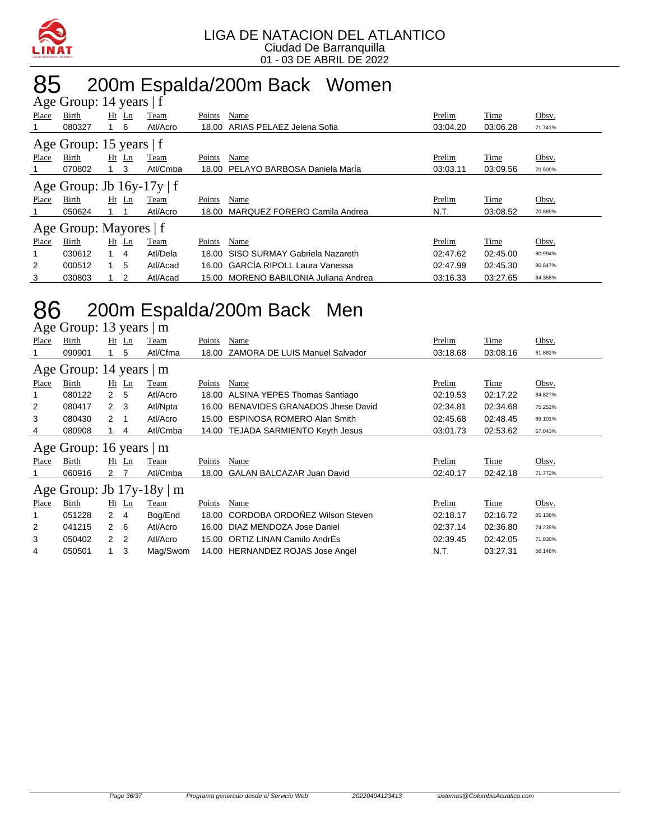

### 85 200m Espalda/200m Back Women

|       | Age Group: 14 years   f        |              |                |          |        |                                       |          |          |         |  |
|-------|--------------------------------|--------------|----------------|----------|--------|---------------------------------------|----------|----------|---------|--|
| Place | Birth                          |              | Ht Ln          | Team     | Points | Name                                  | Prelim   | Time     | Obsv.   |  |
|       | 080327                         |              | - 6            | Atl/Acro | 18.00  | ARIAS PELAEZ Jelena Sofia             | 03:04.20 | 03:06.28 | 71.741% |  |
|       | Age Group: 15 years   f        |              |                |          |        |                                       |          |          |         |  |
| Place | Birth                          |              | Ht Ln          | Team     | Points | Name                                  | Prelim   | Time     | Obsv.   |  |
|       | 070802                         |              | 3              | Atl/Cmba |        | 18.00 PELAYO BARBOSA Daniela Marla    | 03:03.11 | 03:09.56 | 70.500% |  |
|       | Age Group: Jb $16y-17y \mid f$ |              |                |          |        |                                       |          |          |         |  |
| Place | Birth                          |              | $Ht$ Ln        | Team     | Points | Name                                  | Prelim   | Time     | Obsv.   |  |
|       | 050624                         |              |                | Atl/Acro | 18.00  | MARQUEZ FORERO Camila Andrea          | N.T.     | 03:08.52 | 70.889% |  |
|       | Age Group: Mayores   f         |              |                |          |        |                                       |          |          |         |  |
| Place | Birth                          |              | Ht Ln          | Team     | Points | Name                                  | Prelim   | Time     | Obsv.   |  |
|       | 030612                         | $\mathbf{1}$ | $\overline{4}$ | Atl/Dela | 18.00  | SISO SURMAY Gabriela Nazareth         | 02:47.62 | 02:45.00 | 80.994% |  |
| 2     | 000512                         | 1            | 5              | Atl/Acad |        | 16.00 GARCÍA RIPOLL Laura Vanessa     | 02:47.99 | 02:45.30 | 80.847% |  |
| 3     | 030803                         |              | 2              | Atl/Acad |        | 15.00 MORENO BABILONIA Juliana Andrea | 03:16.33 | 03:27.65 | 64.358% |  |

### 86 200m Espalda/200m Back Men

Age Group: 13 years | m

| Place | Birth                                 |               | $Ht$ Ln        | Team     | Points        | Name                                  | Prelim   | Time     | Obsv.   |  |
|-------|---------------------------------------|---------------|----------------|----------|---------------|---------------------------------------|----------|----------|---------|--|
|       | 090901                                |               | 5              | Atl/Cfma | 18.00         | <b>ZAMORA DE LUIS Manuel Salvador</b> | 03:18.68 | 03:08.16 | 61.862% |  |
|       | Age Group: 14 years  <br>$\mathsf{m}$ |               |                |          |               |                                       |          |          |         |  |
| Place | Birth                                 |               | $Ht$ Ln        | Team     | Points        | Name                                  | Prelim   | Time     | Obsv.   |  |
|       | 080122                                | 2             | 5              | Atl/Acro | 18.00         | ALSINA YEPES Thomas Santiago          | 02:19.53 | 02:17.22 | 84.827% |  |
| 2     | 080417                                | $\mathcal{P}$ | $_{3}$         | Atl/Npta | 16.00         | BENAVIDES GRANADOS Jhese David        | 02:34.81 | 02:34.68 | 75.252% |  |
| 3     | 080430                                | 2             | -1             | Atl/Acro | 15.00         | <b>ESPINOSA ROMERO Alan Smith</b>     | 02:45.68 | 02:48.45 | 69.101% |  |
| 4     | 080908                                |               | 4              | Atl/Cmba |               | 14.00 TEJADA SARMIENTO Keyth Jesus    | 03:01.73 | 02:53.62 | 67.043% |  |
|       | Age Group: 16 years $ m$              |               |                |          |               |                                       |          |          |         |  |
| Place | Birth                                 |               | $Ht$ Ln        | Team     | Points        | Name                                  | Prelim   | Time     | Obsv.   |  |
|       | 060916                                | 2 7           |                | Atl/Cmba | 18.00         | <b>GALAN BALCAZAR Juan David</b>      | 02:40.17 | 02:42.18 | 71.772% |  |
|       | Age Group: Jb $17y-18y \mid m$        |               |                |          |               |                                       |          |          |         |  |
| Place | Birth                                 |               | $Ht$ Ln        | Team     | <b>Points</b> | Name                                  | Prelim   | Time     | Obsv.   |  |
|       | 051228                                | $\mathbf{2}$  | 4              | Bog/End  | 18.00         | CORDOBA ORDOÑEZ Wilson Steven         | 02:18.17 | 02:16.72 | 85.138% |  |
| 2     | 041215                                | $\mathcal{P}$ | - 6            | Atl/Acro | 16.00         | DIAZ MENDOZA Jose Daniel              | 02:37.14 | 02:36.80 | 74.235% |  |
| 3     | 050402                                | 2             | $\overline{2}$ | Atl/Acro |               | 15.00 ORTIZ LINAN Camilo AndrÉs       | 02:39.45 | 02:42.05 | 71.830% |  |
| 4     | 050501                                |               | 3              | Mag/Swom |               | 14.00 HERNANDEZ ROJAS Jose Angel      | N.T.     | 03:27.31 | 56.148% |  |